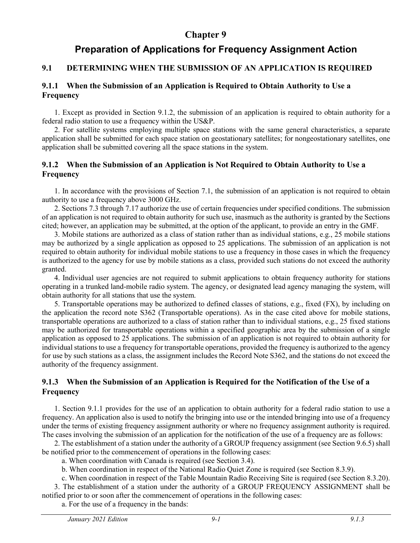## **Chapter 9**

# **Preparation of Applications for Frequency Assignment Action**

## **9.1 DETERMINING WHEN THE SUBMISSION OF AN APPLICATION IS REQUIRED**

## **9.1.1 When the Submission of an Application is Required to Obtain Authority to Use a Frequency**

1. Except as provided in Section 9.1.2, the submission of an application is required to obtain authority for a federal radio station to use a frequency within the US&P.

2. For satellite systems employing multiple space stations with the same general characteristics, a separate application shall be submitted for each space station on geostationary satellites; for nongeostationary satellites, one application shall be submitted covering all the space stations in the system.

## **9.1.2 When the Submission of an Application is Not Required to Obtain Authority to Use a Frequency**

1. In accordance with the provisions of Section 7.1, the submission of an application is not required to obtain authority to use a frequency above 3000 GHz.

2. Sections 7.3 through 7.17 authorize the use of certain frequencies under specified conditions. The submission of an application is not required to obtain authority for such use, inasmuch as the authority is granted by the Sections cited; however, an application may be submitted, at the option of the applicant, to provide an entry in the GMF.

3. Mobile stations are authorized as a class of station rather than as individual stations, e.g., 25 mobile stations may be authorized by a single application as opposed to 25 applications. The submission of an application is not required to obtain authority for individual mobile stations to use a frequency in those cases in which the frequency is authorized to the agency for use by mobile stations as a class, provided such stations do not exceed the authority granted.

4. Individual user agencies are not required to submit applications to obtain frequency authority for stations operating in a trunked land-mobile radio system. The agency, or designated lead agency managing the system, will obtain authority for all stations that use the system.

5. Transportable operations may be authorized to defined classes of stations, e.g., fixed (FX), by including on the application the record note S362 (Transportable operations). As in the case cited above for mobile stations, transportable operations are authorized to a class of station rather than to individual stations, e.g., 25 fixed stations may be authorized for transportable operations within a specified geographic area by the submission of a single application as opposed to 25 applications. The submission of an application is not required to obtain authority for individual stations to use a frequency for transportable operations, provided the frequency is authorized to the agency for use by such stations as a class, the assignment includes the Record Note S362, and the stations do not exceed the authority of the frequency assignment.

## **9.1.3 When the Submission of an Application is Required for the Notification of the Use of a Frequency**

1. Section 9.1.1 provides for the use of an application to obtain authority for a federal radio station to use a frequency. An application also is used to notify the bringing into use or the intended bringing into use of a frequency under the terms of existing frequency assignment authority or where no frequency assignment authority is required. The cases involving the submission of an application for the notification of the use of a frequency are as follows:

2. The establishment of a station under the authority of a GROUP frequency assignment (see Section 9.6.5) shall be notified prior to the commencement of operations in the following cases:

a. When coordination with Canada is required (see Section 3.4).

b. When coordination in respect of the National Radio Quiet Zone is required (see Section 8.3.9).

c. When coordination in respect of the Table Mountain Radio Receiving Site is required (see Section 8.3.20).

3. The establishment of a station under the authority of a GROUP FREQUENCY ASSIGNMENT shall be notified prior to or soon after the commencement of operations in the following cases:

a. For the use of a frequency in the bands: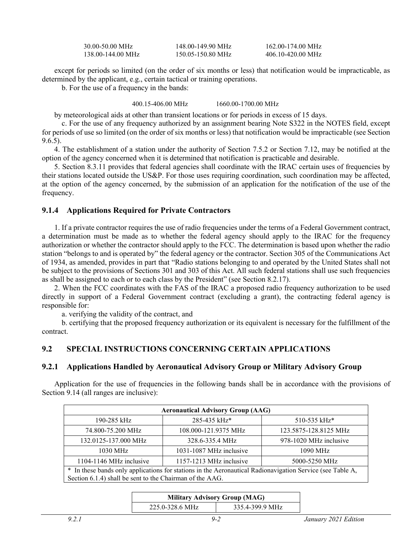| 30.00-50.00 MHz   | 148.00-149.90 MHz | 162.00-174.00 MHz |
|-------------------|-------------------|-------------------|
| 138.00-144.00 MHz | 150.05-150.80 MHz | 406.10-420.00 MHz |

except for periods so limited (on the order of six months or less) that notification would be impracticable, as determined by the applicant, e.g., certain tactical or training operations.

b. For the use of a frequency in the bands:

400.15-406.00 MHz 1660.00-1700.00 MHz

by meteorological aids at other than transient locations or for periods in excess of 15 days.

c. For the use of any frequency authorized by an assignment bearing Note S322 in the NOTES field, except for periods of use so limited (on the order of six months or less) that notification would be impracticable (see Section 9.6.5).

4. The establishment of a station under the authority of Section 7.5.2 or Section 7.12, may be notified at the option of the agency concerned when it is determined that notification is practicable and desirable.

5. Section 8.3.11 provides that federal agencies shall coordinate with the IRAC certain uses of frequencies by their stations located outside the US&P. For those uses requiring coordination, such coordination may be affected, at the option of the agency concerned, by the submission of an application for the notification of the use of the frequency.

#### **9.1.4 Applications Required for Private Contractors**

1. If a private contractor requires the use of radio frequencies under the terms of a Federal Government contract, a determination must be made as to whether the federal agency should apply to the IRAC for the frequency authorization or whether the contractor should apply to the FCC. The determination is based upon whether the radio station "belongs to and is operated by" the federal agency or the contractor. Section 305 of the Communications Act of 1934, as amended, provides in part that "Radio stations belonging to and operated by the United States shall not be subject to the provisions of Sections 301 and 303 of this Act. All such federal stations shall use such frequencies as shall be assigned to each or to each class by the President" (see Section 8.2.17).

2. When the FCC coordinates with the FAS of the IRAC a proposed radio frequency authorization to be used directly in support of a Federal Government contract (excluding a grant), the contracting federal agency is responsible for:

a. verifying the validity of the contract, and

b. certifying that the proposed frequency authorization or its equivalent is necessary for the fulfillment of the contract.

### **9.2 SPECIAL INSTRUCTIONS CONCERNING CERTAIN APPLICATIONS**

#### **9.2.1 Applications Handled by Aeronautical Advisory Group or Military Advisory Group**

Application for the use of frequencies in the following bands shall be in accordance with the provisions of Section 9.14 (all ranges are inclusive):

| <b>Aeronautical Advisory Group (AAG)</b>                                                                  |                         |                        |  |  |
|-----------------------------------------------------------------------------------------------------------|-------------------------|------------------------|--|--|
| 190-285 kHz                                                                                               | 285-435 kHz*            | 510-535 kHz*           |  |  |
| 74.800-75.200 MHz                                                                                         | 108.000-121.9375 MHz    | 123.5875-128.8125 MHz  |  |  |
| 132.0125-137.000 MHz                                                                                      | 328.6-335.4 MHz         | 978-1020 MHz inclusive |  |  |
| 1030 MHz                                                                                                  | 1031-1087 MHz inclusive | 1090 MHz               |  |  |
| 1104-1146 MHz inclusive                                                                                   | 1157-1213 MHz inclusive | 5000-5250 MHz          |  |  |
| * In these bands only applications for stations in the Aeronautical Radionavigation Service (see Table A, |                         |                        |  |  |
| Section 6.1.4) shall be sent to the Chairman of the AAG.                                                  |                         |                        |  |  |

| <b>Military Advisory Group (MAG)</b> |                 |  |
|--------------------------------------|-----------------|--|
| 225.0-328.6 MHz                      | 335.4-399.9 MHz |  |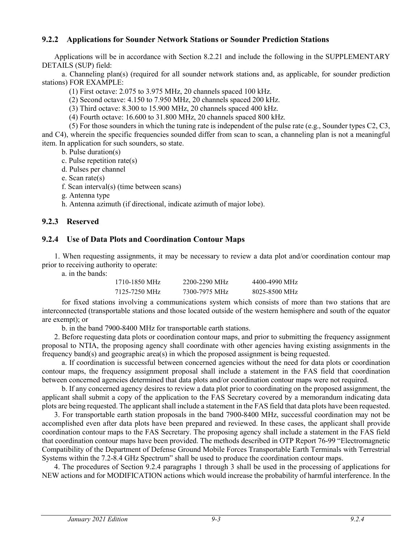### **9.2.2 Applications for Sounder Network Stations or Sounder Prediction Stations**

Applications will be in accordance with Section 8.2.21 and include the following in the SUPPLEMENTARY DETAILS (SUP) field:

a. Channeling plan(s) (required for all sounder network stations and, as applicable, for sounder prediction stations) FOR EXAMPLE:

(1) First octave: 2.075 to 3.975 MHz, 20 channels spaced 100 kHz.

(2) Second octave: 4.150 to 7.950 MHz, 20 channels spaced 200 kHz.

(3) Third octave: 8.300 to 15.900 MHz, 20 channels spaced 400 kHz.

(4) Fourth octave: 16.600 to 31.800 MHz, 20 channels spaced 800 kHz.

(5) For those sounders in which the tuning rate is independent of the pulse rate (e.g., Sounder types C2, C3, and C4), wherein the specific frequencies sounded differ from scan to scan, a channeling plan is not a meaningful item. In application for such sounders, so state.

b. Pulse duration(s)

c. Pulse repetition rate(s)

d. Pulses per channel

e. Scan rate(s)

f. Scan interval(s) (time between scans)

g. Antenna type

h. Antenna azimuth (if directional, indicate azimuth of major lobe).

#### **9.2.3 Reserved**

#### **9.2.4 Use of Data Plots and Coordination Contour Maps**

1. When requesting assignments, it may be necessary to review a data plot and/or coordination contour map prior to receiving authority to operate:

a. in the bands:

| 1710-1850 MHz | 2200-2290 MHz | 4400-4990 MHz |
|---------------|---------------|---------------|
| 7125-7250 MHz | 7300-7975 MHz | 8025-8500 MHz |

for fixed stations involving a communications system which consists of more than two stations that are interconnected (transportable stations and those located outside of the western hemisphere and south of the equator are exempt); or

b. in the band 7900-8400 MHz for transportable earth stations.

2. Before requesting data plots or coordination contour maps, and prior to submitting the frequency assignment proposal to NTIA, the proposing agency shall coordinate with other agencies having existing assignments in the frequency band(s) and geographic area(s) in which the proposed assignment is being requested.

a. If coordination is successful between concerned agencies without the need for data plots or coordination contour maps, the frequency assignment proposal shall include a statement in the FAS field that coordination between concerned agencies determined that data plots and/or coordination contour maps were not required.

b. If any concerned agency desires to review a data plot prior to coordinating on the proposed assignment, the applicant shall submit a copy of the application to the FAS Secretary covered by a memorandum indicating data plots are being requested. The applicant shall include a statement in the FAS field that data plots have been requested.

3. For transportable earth station proposals in the band 7900-8400 MHz, successful coordination may not be accomplished even after data plots have been prepared and reviewed. In these cases, the applicant shall provide coordination contour maps to the FAS Secretary. The proposing agency shall include a statement in the FAS field that coordination contour maps have been provided. The methods described in OTP Report 76-99 "Electromagnetic Compatibility of the Department of Defense Ground Mobile Forces Transportable Earth Terminals with Terrestrial Systems within the 7.2-8.4 GHz Spectrum" shall be used to produce the coordination contour maps.

4. The procedures of Section 9.2.4 paragraphs 1 through 3 shall be used in the processing of applications for NEW actions and for MODIFICATION actions which would increase the probability of harmful interference. In the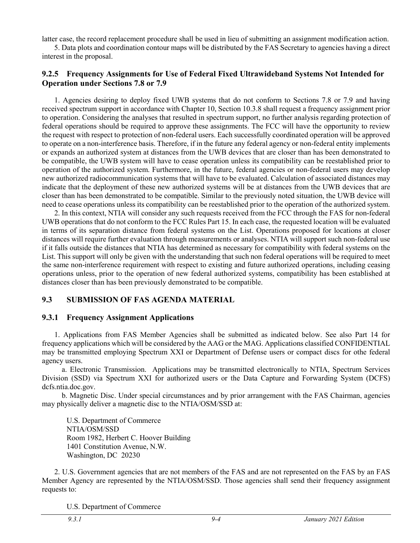latter case, the record replacement procedure shall be used in lieu of submitting an assignment modification action.

5. Data plots and coordination contour maps will be distributed by the FAS Secretary to agencies having a direct interest in the proposal.

### **9.2.5 Frequency Assignments for Use of Federal Fixed Ultrawideband Systems Not Intended for Operation under Sections 7.8 or 7.9**

1. Agencies desiring to deploy fixed UWB systems that do not conform to Sections 7.8 or 7.9 and having received spectrum support in accordance with Chapter 10, Section 10.3.8 shall request a frequency assignment prior to operation. Considering the analyses that resulted in spectrum support, no further analysis regarding protection of federal operations should be required to approve these assignments. The FCC will have the opportunity to review the request with respect to protection of non-federal users. Each successfully coordinated operation will be approved to operate on a non-interference basis. Therefore, if in the future any federal agency or non-federal entity implements or expands an authorized system at distances from the UWB devices that are closer than has been demonstrated to be compatible, the UWB system will have to cease operation unless its compatibility can be reestablished prior to operation of the authorized system. Furthermore, in the future, federal agencies or non-federal users may develop new authorized radiocommunication systems that will have to be evaluated. Calculation of associated distances may indicate that the deployment of these new authorized systems will be at distances from the UWB devices that are closer than has been demonstrated to be compatible. Similar to the previously noted situation, the UWB device will need to cease operations unless its compatibility can be reestablished prior to the operation of the authorized system.

2. In this context, NTIA will consider any such requests received from the FCC through the FAS for non-federal UWB operations that do not conform to the FCC Rules Part 15. In each case, the requested location will be evaluated in terms of its separation distance from federal systems on the List. Operations proposed for locations at closer distances will require further evaluation through measurements or analyses. NTIA will support such non-federal use if it falls outside the distances that NTIA has determined as necessary for compatibility with federal systems on the List. This support will only be given with the understanding that such non federal operations will be required to meet the same non-interference requirement with respect to existing and future authorized operations, including ceasing operations unless, prior to the operation of new federal authorized systems, compatibility has been established at distances closer than has been previously demonstrated to be compatible.

## **9.3 SUBMISSION OF FAS AGENDA MATERIAL**

#### **9.3.1 Frequency Assignment Applications**

1. Applications from FAS Member Agencies shall be submitted as indicated below. See also Part 14 for frequency applications which will be considered by the AAG or the MAG. Applications classified CONFIDENTIAL may be transmitted employing Spectrum XXI or Department of Defense users or compact discs for othe federal agency users.

a. Electronic Transmission. Applications may be transmitted electronically to NTIA, Spectrum Services Division (SSD) via Spectrum XXI for authorized users or the Data Capture and Forwarding System (DCFS) dcfs.ntia.doc.gov.

b. Magnetic Disc. Under special circumstances and by prior arrangement with the FAS Chairman, agencies may physically deliver a magnetic disc to the NTIA/OSM/SSD at:

U.S. Department of Commerce NTIA/OSM/SSD Room 1982, Herbert C. Hoover Building 1401 Constitution Avenue, N.W. Washington, DC 20230

2. U.S. Government agencies that are not members of the FAS and are not represented on the FAS by an FAS Member Agency are represented by the NTIA/OSM/SSD. Those agencies shall send their frequency assignment requests to:

U.S. Department of Commerce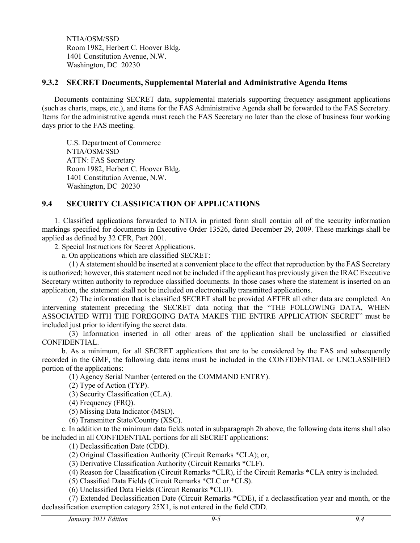NTIA/OSM/SSD Room 1982, Herbert C. Hoover Bldg. 1401 Constitution Avenue, N.W. Washington, DC 20230

### **9.3.2 SECRET Documents, Supplemental Material and Administrative Agenda Items**

Documents containing SECRET data, supplemental materials supporting frequency assignment applications (such as charts, maps, etc.), and items for the FAS Administrative Agenda shall be forwarded to the FAS Secretary. Items for the administrative agenda must reach the FAS Secretary no later than the close of business four working days prior to the FAS meeting.

U.S. Department of Commerce NTIA/OSM/SSD ATTN: FAS Secretary Room 1982, Herbert C. Hoover Bldg. 1401 Constitution Avenue, N.W. Washington, DC 20230

## **9.4 SECURITY CLASSIFICATION OF APPLICATIONS**

1. Classified applications forwarded to NTIA in printed form shall contain all of the security information markings specified for documents in Executive Order 13526, dated December 29, 2009. These markings shall be applied as defined by 32 CFR, Part 2001.

2. Special Instructions for Secret Applications.

a. On applications which are classified SECRET:

(1) A statement should be inserted at a convenient place to the effect that reproduction by the FAS Secretary is authorized; however, this statement need not be included if the applicant has previously given the IRAC Executive Secretary written authority to reproduce classified documents. In those cases where the statement is inserted on an application, the statement shall not be included on electronically transmitted applications.

(2) The information that is classified SECRET shall be provided AFTER all other data are completed. An intervening statement preceding the SECRET data noting that the "THE FOLLOWING DATA, WHEN ASSOCIATED WITH THE FOREGOING DATA MAKES THE ENTIRE APPLICATION SECRET" must be included just prior to identifying the secret data.

(3) Information inserted in all other areas of the application shall be unclassified or classified CONFIDENTIAL.

b. As a minimum, for all SECRET applications that are to be considered by the FAS and subsequently recorded in the GMF, the following data items must be included in the CONFIDENTIAL or UNCLASSIFIED portion of the applications:

(1) Agency Serial Number (entered on the COMMAND ENTRY).

(2) Type of Action (TYP).

(3) Security Classification (CLA).

- (4) Frequency (FRQ).
- (5) Missing Data Indicator (MSD).
- (6) Transmitter State/Country (XSC).

c. In addition to the minimum data fields noted in subparagraph 2b above, the following data items shall also be included in all CONFIDENTIAL portions for all SECRET applications:

(1) Declassification Date (CDD).

(2) Original Classification Authority (Circuit Remarks \*CLA); or,

(3) Derivative Classification Authority (Circuit Remarks \*CLF).

(4) Reason for Classification (Circuit Remarks \*CLR), if the Circuit Remarks \*CLA entry is included.

(5) Classified Data Fields (Circuit Remarks \*CLC or \*CLS).

(6) Unclassified Data Fields (Circuit Remarks \*CLU).

(7) Extended Declassification Date (Circuit Remarks \*CDE), if a declassification year and month, or the declassification exemption category 25X1, is not entered in the field CDD.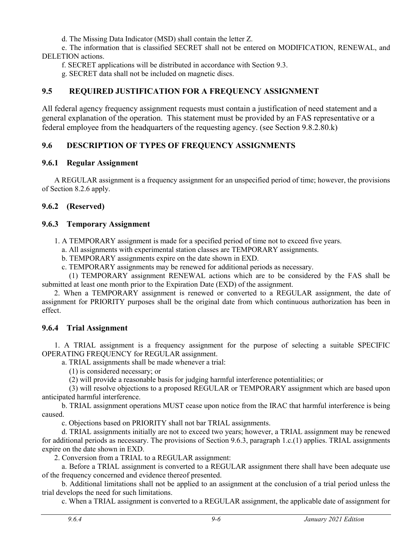d. The Missing Data Indicator (MSD) shall contain the letter Z.

e. The information that is classified SECRET shall not be entered on MODIFICATION, RENEWAL, and DELETION actions.

f. SECRET applications will be distributed in accordance with Section 9.3.

g. SECRET data shall not be included on magnetic discs.

## **9.5 REQUIRED JUSTIFICATION FOR A FREQUENCY ASSIGNMENT**

All federal agency frequency assignment requests must contain a justification of need statement and a general explanation of the operation. This statement must be provided by an FAS representative or a federal employee from the headquarters of the requesting agency. (see Section 9.8.2.80.k)

## **9.6 DESCRIPTION OF TYPES OF FREQUENCY ASSIGNMENTS**

## **9.6.1 Regular Assignment**

A REGULAR assignment is a frequency assignment for an unspecified period of time; however, the provisions of Section 8.2.6 apply.

## **9.6.2 (Reserved)**

## **9.6.3 Temporary Assignment**

1. A TEMPORARY assignment is made for a specified period of time not to exceed five years.

a. All assignments with experimental station classes are TEMPORARY assignments.

b. TEMPORARY assignments expire on the date shown in EXD.

c. TEMPORARY assignments may be renewed for additional periods as necessary.

(1) TEMPORARY assignment RENEWAL actions which are to be considered by the FAS shall be submitted at least one month prior to the Expiration Date (EXD) of the assignment.

2. When a TEMPORARY assignment is renewed or converted to a REGULAR assignment, the date of assignment for PRIORITY purposes shall be the original date from which continuous authorization has been in effect.

## **9.6.4 Trial Assignment**

1. A TRIAL assignment is a frequency assignment for the purpose of selecting a suitable SPECIFIC OPERATING FREQUENCY for REGULAR assignment.

a. TRIAL assignments shall be made whenever a trial:

(1) is considered necessary; or

(2) will provide a reasonable basis for judging harmful interference potentialities; or

(3) will resolve objections to a proposed REGULAR or TEMPORARY assignment which are based upon anticipated harmful interference.

b. TRIAL assignment operations MUST cease upon notice from the IRAC that harmful interference is being caused.

c. Objections based on PRIORITY shall not bar TRIAL assignments.

d. TRIAL assignments initially are not to exceed two years; however, a TRIAL assignment may be renewed for additional periods as necessary. The provisions of Section 9.6.3, paragraph 1.c.(1) applies. TRIAL assignments expire on the date shown in EXD.

2. Conversion from a TRIAL to a REGULAR assignment:

a. Before a TRIAL assignment is converted to a REGULAR assignment there shall have been adequate use of the frequency concerned and evidence thereof presented.

b. Additional limitations shall not be applied to an assignment at the conclusion of a trial period unless the trial develops the need for such limitations.

c. When a TRIAL assignment is converted to a REGULAR assignment, the applicable date of assignment for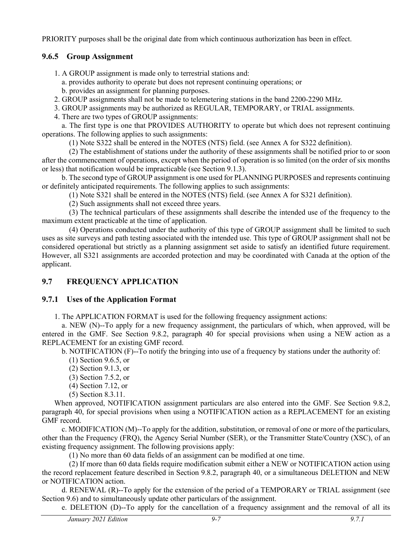PRIORITY purposes shall be the original date from which continuous authorization has been in effect.

## **9.6.5 Group Assignment**

1. A GROUP assignment is made only to terrestrial stations and:

a. provides authority to operate but does not represent continuing operations; or

b. provides an assignment for planning purposes.

- 2. GROUP assignments shall not be made to telemetering stations in the band 2200-2290 MHz.
- 3. GROUP assignments may be authorized as REGULAR, TEMPORARY, or TRIAL assignments.
- 4. There are two types of GROUP assignments:

a. The first type is one that PROVIDES AUTHORITY to operate but which does not represent continuing operations. The following applies to such assignments:

(1) Note S322 shall be entered in the NOTES (NTS) field. (see Annex A for S322 definition).

(2) The establishment of stations under the authority of these assignments shall be notified prior to or soon after the commencement of operations, except when the period of operation is so limited (on the order of six months or less) that notification would be impracticable (see Section 9.1.3).

b. The second type of GROUP assignment is one used for PLANNING PURPOSES and represents continuing or definitely anticipated requirements. The following applies to such assignments:

(1) Note S321 shall be entered in the NOTES (NTS) field. (see Annex A for S321 definition).

(2) Such assignments shall not exceed three years.

(3) The technical particulars of these assignments shall describe the intended use of the frequency to the maximum extent practicable at the time of application.

(4) Operations conducted under the authority of this type of GROUP assignment shall be limited to such uses as site surveys and path testing associated with the intended use. This type of GROUP assignment shall not be considered operational but strictly as a planning assignment set aside to satisfy an identified future requirement. However, all S321 assignments are accorded protection and may be coordinated with Canada at the option of the applicant.

## **9.7 FREQUENCY APPLICATION**

## **9.7.1 Uses of the Application Format**

1. The APPLICATION FORMAT is used for the following frequency assignment actions:

a. NEW (N)--To apply for a new frequency assignment, the particulars of which, when approved, will be entered in the GMF. See Section 9.8.2, paragraph 40 for special provisions when using a NEW action as a REPLACEMENT for an existing GMF record.

b. NOTIFICATION (F)--To notify the bringing into use of a frequency by stations under the authority of:

- (1) Section 9.6.5, or
- (2) Section 9.1.3, or
- (3) Section 7.5.2, or
- (4) Section 7.12, or
- (5) Section 8.3.11.

When approved, NOTIFICATION assignment particulars are also entered into the GMF. See Section 9.8.2, paragraph 40, for special provisions when using a NOTIFICATION action as a REPLACEMENT for an existing GMF record.

c. MODIFICATION (M)--To apply for the addition, substitution, or removal of one or more of the particulars, other than the Frequency (FRQ), the Agency Serial Number (SER), or the Transmitter State/Country (XSC), of an existing frequency assignment. The following provisions apply:

(1) No more than 60 data fields of an assignment can be modified at one time.

(2) If more than 60 data fields require modification submit either a NEW or NOTIFICATION action using the record replacement feature described in Section 9.8.2, paragraph 40, or a simultaneous DELETION and NEW or NOTIFICATION action.

d. RENEWAL (R)--To apply for the extension of the period of a TEMPORARY or TRIAL assignment (see Section 9.6) and to simultaneously update other particulars of the assignment.

e. DELETION (D)--To apply for the cancellation of a frequency assignment and the removal of all its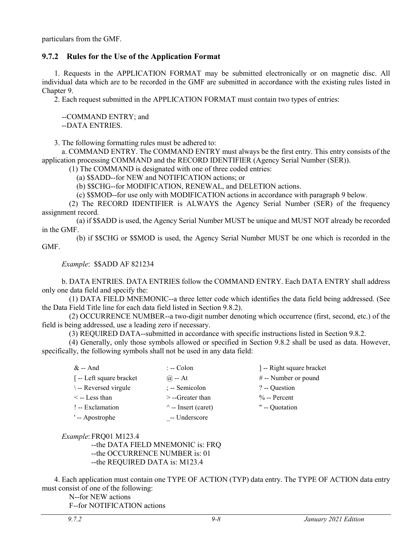particulars from the GMF.

### **9.7.2 Rules for the Use of the Application Format**

1. Requests in the APPLICATION FORMAT may be submitted electronically or on magnetic disc. All individual data which are to be recorded in the GMF are submitted in accordance with the existing rules listed in Chapter 9.

2. Each request submitted in the APPLICATION FORMAT must contain two types of entries:

--COMMAND ENTRY; and --DATA ENTRIES.

3. The following formatting rules must be adhered to:

a. COMMAND ENTRY. The COMMAND ENTRY must always be the first entry. This entry consists of the application processing COMMAND and the RECORD IDENTIFIER (Agency Serial Number (SER)).

(1) The COMMAND is designated with one of three coded entries:

(a) \$\$ADD--for NEW and NOTIFICATION actions; or

(b) \$\$CHG--for MODIFICATION, RENEWAL, and DELETION actions.

(c) \$\$MOD--for use only with MODIFICATION actions in accordance with paragraph 9 below.

(2) The RECORD IDENTIFIER is ALWAYS the Agency Serial Number (SER) of the frequency assignment record.

(a) if \$\$ADD is used, the Agency Serial Number MUST be unique and MUST NOT already be recorded in the GMF.

(b) if \$\$CHG or \$\$MOD is used, the Agency Serial Number MUST be one which is recorded in the GMF.

*Example*: \$\$ADD AF 821234

b. DATA ENTRIES. DATA ENTRIES follow the COMMAND ENTRY. Each DATA ENTRY shall address only one data field and specify the:

(1) DATA FIELD MNEMONIC--a three letter code which identifies the data field being addressed. (See the Data Field Title line for each data field listed in Section 9.8.2).

(2) OCCURRENCE NUMBER--a two-digit number denoting which occurrence (first, second, etc.) of the field is being addressed, use a leading zero if necessary.

(3) REQUIRED DATA--submitted in accordance with specific instructions listed in Section 9.8.2.

(4) Generally, only those symbols allowed or specified in Section 9.8.2 shall be used as data. However, specifically, the following symbols shall not be used in any data field:

| $& - And$              | $: -$ Colon                | ] -- Right square bracket |
|------------------------|----------------------------|---------------------------|
| [- Left square bracket | $\omega$ -- At             | # -- Number or pound      |
| \ -- Reversed virgule  | : -- Semicolon             | ? -- Question             |
| $\leq$ -- Less than    | $>$ --Greater than         | $\%$ -- Percent           |
| ! -- Exclamation       | $\wedge$ -- Insert (caret) | " -- Quotation            |
| '-- Apostrophe         | -- Underscore              |                           |

*Example*: FRQ01 M123.4

--the DATA FIELD MNEMONIC is: FRQ --the OCCURRENCE NUMBER is: 01 --the REQUIRED DATA is: M123.4

4. Each application must contain one TYPE OF ACTION (TYP) data entry. The TYPE OF ACTION data entry must consist of one of the following:

N--for NEW actions F--for NOTIFICATION actions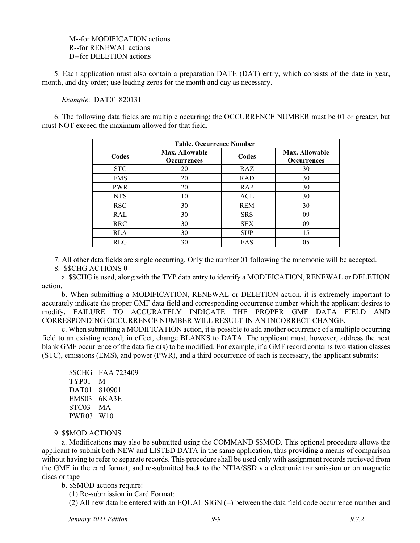#### M--for MODIFICATION actions R--for RENEWAL actions D--for DELETION actions

5. Each application must also contain a preparation DATE (DAT) entry, which consists of the date in year, month, and day order; use leading zeros for the month and day as necessary.

*Example*: DAT01 820131

6. The following data fields are multiple occurring; the OCCURRENCE NUMBER must be 01 or greater, but must NOT exceed the maximum allowed for that field.

| <b>Table. Occurrence Number</b> |                                             |            |                                             |  |
|---------------------------------|---------------------------------------------|------------|---------------------------------------------|--|
| Codes                           | <b>Max. Allowable</b><br><b>Occurrences</b> | Codes      | <b>Max. Allowable</b><br><b>Occurrences</b> |  |
| <b>STC</b>                      | 20                                          | <b>RAZ</b> | 30                                          |  |
| <b>EMS</b>                      | 20                                          | <b>RAD</b> | 30                                          |  |
| <b>PWR</b>                      | 20                                          | RAP        | 30                                          |  |
| <b>NTS</b>                      | 10                                          | ACL        | 30                                          |  |
| <b>RSC</b>                      | 30                                          | <b>REM</b> | 30                                          |  |
| RAL                             | 30                                          | <b>SRS</b> | 09                                          |  |
| <b>RRC</b>                      | 30                                          | <b>SEX</b> | 09                                          |  |
| <b>RLA</b>                      | 30                                          | <b>SUP</b> | 15                                          |  |
| <b>RLG</b>                      | 30                                          | <b>FAS</b> | 05                                          |  |

7. All other data fields are single occurring. Only the number 01 following the mnemonic will be accepted.

8. \$\$CHG ACTIONS 0

a. \$\$CHG is used, along with the TYP data entry to identify a MODIFICATION, RENEWAL or DELETION action.

b. When submitting a MODIFICATION, RENEWAL or DELETION action, it is extremely important to accurately indicate the proper GMF data field and corresponding occurrence number which the applicant desires to modify. FAILURE TO ACCURATELY INDICATE THE PROPER GMF DATA FIELD AND CORRESPONDING OCCURRENCE NUMBER WILL RESULT IN AN INCORRECT CHANGE.

c. When submitting a MODIFICATION action, it is possible to add another occurrence of a multiple occurring field to an existing record; in effect, change BLANKS to DATA. The applicant must, however, address the next blank GMF occurrence of the data field(s) to be modified. For example, if a GMF record contains two station classes (STC), emissions (EMS), and power (PWR), and a third occurrence of each is necessary, the applicant submits:

|                   | SSCHG FAA 723409 |
|-------------------|------------------|
| TYP <sub>01</sub> | M                |
| DAT <sub>01</sub> | 810901           |
| EMS <sub>03</sub> | 6KA3E            |
| STC <sub>03</sub> | MА               |
| PWR03 W10         |                  |
|                   |                  |

#### 9. \$\$MOD ACTIONS

a. Modifications may also be submitted using the COMMAND \$\$MOD. This optional procedure allows the applicant to submit both NEW and LISTED DATA in the same application, thus providing a means of comparison without having to refer to separate records. This procedure shall be used only with assignment records retrieved from the GMF in the card format, and re-submitted back to the NTIA/SSD via electronic transmission or on magnetic discs or tape

b. \$\$MOD actions require:

(1) Re-submission in Card Format;

(2) All new data be entered with an EQUAL SIGN (=) between the data field code occurrence number and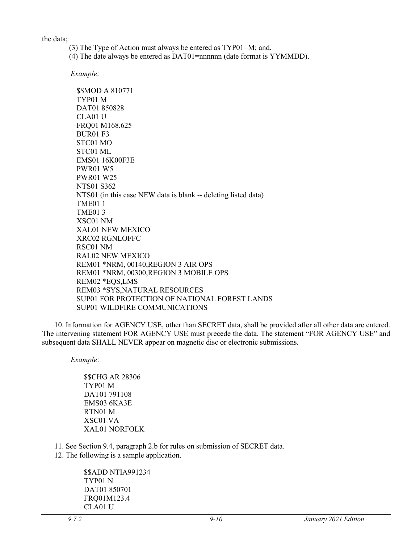the data;

- (3) The Type of Action must always be entered as TYP01=M; and,
- (4) The date always be entered as DAT01=nnnnnn (date format is YYMMDD).

*Example*:

\$\$MOD A 810771 TYP01 M DAT01 850828 CLA01 U FRQ01 M168.625 BUR01 F3 STC01 MO STC01 ML EMS01 16K00F3E PWR01 W5 PWR01 W25 NTS01 S362 NTS01 (in this case NEW data is blank -- deleting listed data) TME01 1 TME01 3 XSC01 NM XAL01 NEW MEXICO XRC02 RGNLOFFC RSC01 NM RAL02 NEW MEXICO REM01 \*NRM, 00140,REGION 3 AIR OPS REM01 \*NRM, 00300,REGION 3 MOBILE OPS REM02 \*EQS,LMS REM03 \*SYS,NATURAL RESOURCES SUP01 FOR PROTECTION OF NATIONAL FOREST LANDS SUP01 WILDFIRE COMMUNICATIONS

10. Information for AGENCY USE, other than SECRET data, shall be provided after all other data are entered. The intervening statement FOR AGENCY USE must precede the data. The statement "FOR AGENCY USE" and subsequent data SHALL NEVER appear on magnetic disc or electronic submissions.

*Example*:

\$\$CHG AR 28306 TYP01 M DAT01 791108 EMS03 6KA3E RTN01 M XSC01 VA XAL01 NORFOLK

- 11. See Section 9.4, paragraph 2.b for rules on submission of SECRET data.
- 12. The following is a sample application.

\$\$ADD NTIA991234 TYP01 N DAT01 850701 FRQ01M123.4 CLA01 U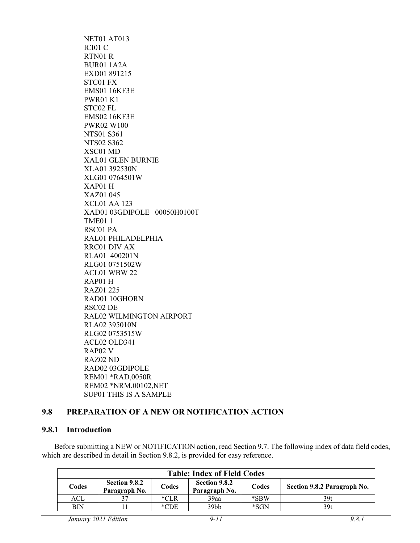NET01 AT013 ICI01 C RTN01 R BUR01 1A2A EXD01 891215 STC01 FX EMS01 16KF3E PWR01 K1 STC02 FL EMS02 16KF3E PWR02 W100 NTS01 S361 NTS02 S362 XSC01 MD XAL01 GLEN BURNIE XLA01 392530N XLG01 0764501W XAP01 H XAZ01 045 XCL01 AA 123 XAD01 03GDIPOLE 00050H0100T TME01 1 RSC01 PA RAL01 PHILADELPHIA RRC01 DIV AX RLA01 400201N RLG01 0751502W ACL01 WBW 22 RAP01 H RAZ01 225 RAD01 10GHORN RSC02 DE RAL02 WILMINGTON AIRPORT RLA02 395010N RLG02 0753515W ACL02 OLD341 RAP02 V RAZ02 ND RAD02 03GDIPOLE REM01 \*RAD,0050R REM02 \*NRM,00102,NET SUP01 THIS IS A SAMPLE

## **9.8 PREPARATION OF A NEW OR NOTIFICATION ACTION**

#### **9.8.1 Introduction**

Before submitting a NEW or NOTIFICATION action, read Section 9.7. The following index of data field codes, which are described in detail in Section 9.8.2, is provided for easy reference.

| <b>Table: Index of Field Codes</b> |                                |         |                                |         |                             |
|------------------------------------|--------------------------------|---------|--------------------------------|---------|-----------------------------|
| Codes                              | Section 9.8.2<br>Paragraph No. | Codes   | Section 9.8.2<br>Paragraph No. | Codes   | Section 9.8.2 Paragraph No. |
| ACL                                |                                | $^*CLR$ | 39aa                           | $*$ SBW | 39t                         |
| BIN                                |                                | $*$ CDE | 39 <sub>bb</sub>               | $*SGN$  | 39t                         |

*January 2021 Edition 9-11 9.8.1*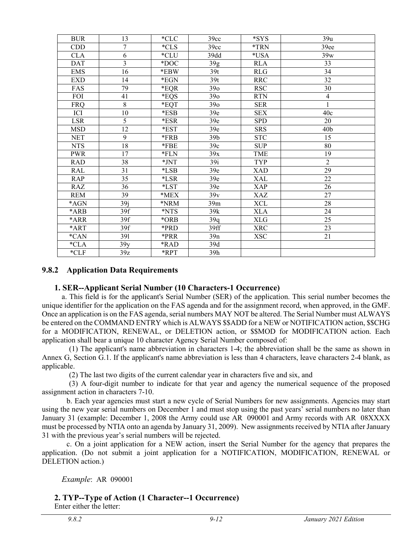| <b>BUR</b> | 13     | $*CLC$             | 39cc            | *SYS       | 39u                      |
|------------|--------|--------------------|-----------------|------------|--------------------------|
| <b>CDD</b> | $\tau$ | $*CLS$             | 39cc            | $*TRN$     | 39ee                     |
| <b>CLA</b> | 6      | $*$ CLU            | 39dd            | *USA       | 39w                      |
| <b>DAT</b> | 3      | $*$ DOC            | 39g             | <b>RLA</b> | 33                       |
| <b>EMS</b> | 16     | $*$ EBW            | 39t             | <b>RLG</b> | 34                       |
| <b>EXD</b> | 14     | $*EGN$             | 39t             | <b>RRC</b> | 32                       |
| FAS        | 79     | *EQR               | 39 <sub>o</sub> | <b>RSC</b> | 30                       |
| <b>FOI</b> | 41     | *EQS               | 39 <sub>o</sub> | <b>RTN</b> | $\overline{\mathcal{A}}$ |
| <b>FRQ</b> | $8\,$  | *EQT               | 39 <sub>o</sub> | <b>SER</b> | 1                        |
| ICI        | 10     | *ESB               | 39e             | <b>SEX</b> | 40c                      |
| <b>LSR</b> | 5      | $*ESR$             | 39e             | <b>SPD</b> | 20                       |
| <b>MSD</b> | 12     | $*EST$             | 39e             | <b>SRS</b> | 40 <sub>b</sub>          |
| <b>NET</b> | 9      | $*FRB$             | 39b             | <b>STC</b> | 15                       |
| <b>NTS</b> | 18     | $*FBE$             | 39c             | <b>SUP</b> | 80                       |
| <b>PWR</b> | 17     | *FLN               | 39x             | <b>TME</b> | 19                       |
| <b>RAD</b> | 38     | $*JNT$             | 39i             | <b>TYP</b> | $\overline{2}$           |
| <b>RAL</b> | 31     | $*LSB$             | 39e             | <b>XAD</b> | 29                       |
| <b>RAP</b> | 35     | <i><b>*LSR</b></i> | 39e             | <b>XAL</b> | 22                       |
| RAZ        | 36     | $*LST$             | 39e             | XAP        | 26                       |
| <b>REM</b> | 39     | $*MEX$             | 39v             | <b>XAZ</b> | 27                       |
| *AGN       | 39j    | *NRM               | 39m             | <b>XCL</b> | 28                       |
| *ARB       | 39f    | $*NTS$             | 39k             | <b>XLA</b> | 24                       |
| *ARR       | 39f    | *ORB               | 39q             | <b>XLG</b> | 25                       |
| *ART       | 39f    | *PRD               | 39ff            | <b>XRC</b> | 23                       |
| $*CAN$     | 391    | *PRR               | 39n             | <b>XSC</b> | 21                       |
| $*CLA$     | 39y    | *RAD               | 39d             |            |                          |
| $*CLF$     | 39z    | *RPT               | 39h             |            |                          |

### **9.8.2 Application Data Requirements**

#### **1. SER--Applicant Serial Number (10 Characters-1 Occurrence)**

a. This field is for the applicant's Serial Number (SER) of the application. This serial number becomes the unique identifier for the application on the FAS agenda and for the assignment record, when approved, in the GMF. Once an application is on the FAS agenda, serial numbers MAY NOT be altered. The Serial Number must ALWAYS be entered on the COMMAND ENTRY which is ALWAYS \$\$ADD for a NEW or NOTIFICATION action, \$\$CHG for a MODIFICATION, RENEWAL, or DELETION action, or \$\$MOD for MODIFICATION action. Each application shall bear a unique 10 character Agency Serial Number composed of:

(1) The applicant's name abbreviation in characters 1-4; the abbreviation shall be the same as shown in Annex G, Section G.1. If the applicant's name abbreviation is less than 4 characters, leave characters 2-4 blank, as applicable.

(2) The last two digits of the current calendar year in characters five and six, and

(3) A four-digit number to indicate for that year and agency the numerical sequence of the proposed assignment action in characters 7-10.

b. Each year agencies must start a new cycle of Serial Numbers for new assignments. Agencies may start using the new year serial numbers on December 1 and must stop using the past years' serial numbers no later than January 31 (example: December 1, 2008 the Army could use AR 090001 and Army records with AR 08XXXX must be processed by NTIA onto an agenda by January 31, 2009). New assignments received by NTIA after January 31 with the previous year's serial numbers will be rejected.

c. On a joint application for a NEW action, insert the Serial Number for the agency that prepares the application. (Do not submit a joint application for a NOTIFICATION, MODIFICATION, RENEWAL or DELETION action.)

*Example*: AR 090001

**2. TYP--Type of Action (1 Character--1 Occurrence)** Enter either the letter: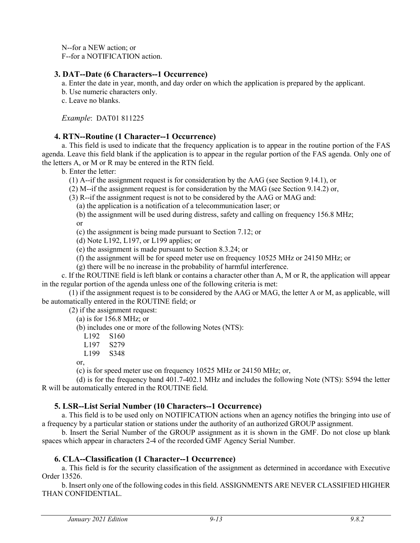N--for a NEW action; or F--for a NOTIFICATION action.

### **3. DAT--Date (6 Characters--1 Occurrence)**

a. Enter the date in year, month, and day order on which the application is prepared by the applicant.

b. Use numeric characters only.

c. Leave no blanks.

*Example*: DAT01 811225

#### **4. RTN--Routine (1 Character--1 Occurrence)**

a. This field is used to indicate that the frequency application is to appear in the routine portion of the FAS agenda. Leave this field blank if the application is to appear in the regular portion of the FAS agenda. Only one of the letters A, or M or R may be entered in the RTN field.

b. Enter the letter:

(1) A--if the assignment request is for consideration by the AAG (see Section 9.14.1), or

- (2) M--if the assignment request is for consideration by the MAG (see Section 9.14.2) or,
- (3) R--if the assignment request is not to be considered by the AAG or MAG and:
	- (a) the application is a notification of a telecommunication laser; or
	- (b) the assignment will be used during distress, safety and calling on frequency 156.8 MHz; or
	- (c) the assignment is being made pursuant to Section 7.12; or
	- (d) Note L192, L197, or L199 applies; or
	- (e) the assignment is made pursuant to Section 8.3.24; or
	- (f) the assignment will be for speed meter use on frequency  $10525 \text{ MHz}$  or  $24150 \text{ MHz}$ ; or
	- (g) there will be no increase in the probability of harmful interference.

c. If the ROUTINE field is left blank or contains a character other than A, M or R, the application will appear in the regular portion of the agenda unless one of the following criteria is met:

(1) if the assignment request is to be considered by the AAG or MAG, the letter A or M, as applicable, will be automatically entered in the ROUTINE field; or

(2) if the assignment request:

(a) is for 156.8 MHz; or

(b) includes one or more of the following Notes (NTS):

- L192 S160
- L197 S279
- L199 S348

or,

(c) is for speed meter use on frequency 10525 MHz or 24150 MHz; or,

(d) is for the frequency band 401.7-402.1 MHz and includes the following Note (NTS): S594 the letter R will be automatically entered in the ROUTINE field.

#### **5. LSR--List Serial Number (10 Characters--1 Occurrence)**

a. This field is to be used only on NOTIFICATION actions when an agency notifies the bringing into use of a frequency by a particular station or stations under the authority of an authorized GROUP assignment.

b. Insert the Serial Number of the GROUP assignment as it is shown in the GMF. Do not close up blank spaces which appear in characters 2-4 of the recorded GMF Agency Serial Number.

#### **6. CLA--Classification (1 Character--1 Occurrence)**

a. This field is for the security classification of the assignment as determined in accordance with Executive Order 13526.

b. Insert only one of the following codes in this field. ASSIGNMENTS ARE NEVER CLASSIFIED HIGHER THAN CONFIDENTIAL.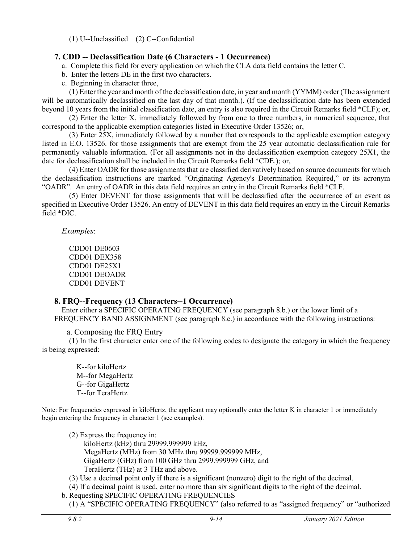(1) U--Unclassified (2) C--Confidential

## **7. CDD -- Declassification Date (6 Characters - 1 Occurrence)**

a. Complete this field for every application on which the CLA data field contains the letter C.

- b. Enter the letters DE in the first two characters.
- c. Beginning in character three,

(1) Enter the year and month of the declassification date, in year and month (YYMM) order (The assignment will be automatically declassified on the last day of that month.). (If the declassification date has been extended beyond 10 years from the initial classification date, an entry is also required in the Circuit Remarks field \*CLF); or,

(2) Enter the letter X, immediately followed by from one to three numbers, in numerical sequence, that correspond to the applicable exemption categories listed in Executive Order 13526; or,

(3) Enter 25X, immediately followed by a number that corresponds to the applicable exemption category listed in E.O. 13526. for those assignments that are exempt from the 25 year automatic declassification rule for permanently valuable information. (For all assignments not in the declassification exemption category 25X1, the date for declassification shall be included in the Circuit Remarks field \*CDE.); or,

(4) Enter OADR for those assignments that are classified derivatively based on source documents for which the declassification instructions are marked "Originating Agency's Determination Required," or its acronym "OADR". An entry of OADR in this data field requires an entry in the Circuit Remarks field \*CLF.

(5) Enter DEVENT for those assignments that will be declassified after the occurrence of an event as specified in Executive Order 13526. An entry of DEVENT in this data field requires an entry in the Circuit Remarks field \*DIC.

*Examples*:

CDD01 DE0603 CDD01 DEX358 CDD01 DE25X1 CDD01 DEOADR CDD01 DEVENT

## **8. FRQ--Frequency (13 Characters--1 Occurrence)**

Enter either a SPECIFIC OPERATING FREQUENCY (see paragraph 8.b.) or the lower limit of a FREQUENCY BAND ASSIGNMENT (see paragraph 8.c.) in accordance with the following instructions:

a. Composing the FRQ Entry

(1) In the first character enter one of the following codes to designate the category in which the frequency is being expressed:

K--for kiloHertz M--for MegaHertz G--for GigaHertz T--for TeraHertz

Note: For frequencies expressed in kiloHertz, the applicant may optionally enter the letter K in character 1 or immediately begin entering the frequency in character 1 (see examples).

(2) Express the frequency in:

kiloHertz (kHz) thru 29999.999999 kHz, MegaHertz (MHz) from 30 MHz thru 99999.999999 MHz, GigaHertz (GHz) from 100 GHz thru 2999.999999 GHz, and

- TeraHertz (THz) at 3 THz and above.
- (3) Use a decimal point only if there is a significant (nonzero) digit to the right of the decimal.
- (4) If a decimal point is used, enter no more than six significant digits to the right of the decimal.

b. Requesting SPECIFIC OPERATING FREQUENCIES

(1) A "SPECIFIC OPERATING FREQUENCY" (also referred to as "assigned frequency" or "authorized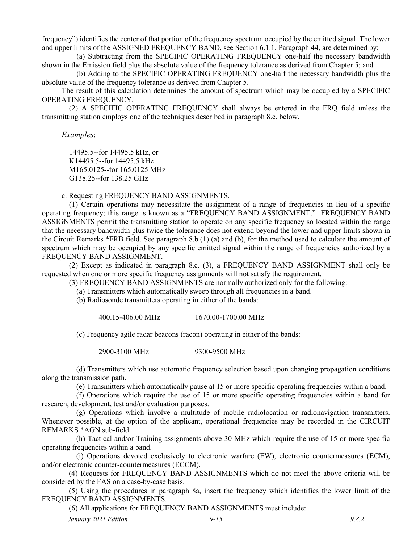frequency") identifies the center of that portion of the frequency spectrum occupied by the emitted signal. The lower and upper limits of the ASSIGNED FREQUENCY BAND, see Section 6.1.1, Paragraph 44, are determined by:

(a) Subtracting from the SPECIFIC OPERATING FREQUENCY one-half the necessary bandwidth shown in the Emission field plus the absolute value of the frequency tolerance as derived from Chapter 5; and

(b) Adding to the SPECIFIC OPERATING FREQUENCY one-half the necessary bandwidth plus the absolute value of the frequency tolerance as derived from Chapter 5.

The result of this calculation determines the amount of spectrum which may be occupied by a SPECIFIC OPERATING FREQUENCY.

(2) A SPECIFIC OPERATING FREQUENCY shall always be entered in the FRQ field unless the transmitting station employs one of the techniques described in paragraph 8.c. below.

*Examples*:

14495.5--for 14495.5 kHz, or K14495.5--for 14495.5 kHz M165.0125--for 165.0125 MHz G138.25--for 138.25 GHz

c. Requesting FREQUENCY BAND ASSIGNMENTS.

(1) Certain operations may necessitate the assignment of a range of frequencies in lieu of a specific operating frequency; this range is known as a "FREQUENCY BAND ASSIGNMENT." FREQUENCY BAND ASSIGNMENTS permit the transmitting station to operate on any specific frequency so located within the range that the necessary bandwidth plus twice the tolerance does not extend beyond the lower and upper limits shown in the Circuit Remarks \*FRB field. See paragraph 8.b.(1) (a) and (b), for the method used to calculate the amount of spectrum which may be occupied by any specific emitted signal within the range of frequencies authorized by a FREQUENCY BAND ASSIGNMENT.

(2) Except as indicated in paragraph 8.c. (3), a FREQUENCY BAND ASSIGNMENT shall only be requested when one or more specific frequency assignments will not satisfy the requirement.

(3) FREQUENCY BAND ASSIGNMENTS are normally authorized only for the following:

(a) Transmitters which automatically sweep through all frequencies in a band.

(b) Radiosonde transmitters operating in either of the bands:

400.15-406.00 MHz 1670.00-1700.00 MHz

(c) Frequency agile radar beacons (racon) operating in either of the bands:

2900-3100 MHz 9300-9500 MHz

(d) Transmitters which use automatic frequency selection based upon changing propagation conditions along the transmission path.

(e) Transmitters which automatically pause at 15 or more specific operating frequencies within a band.

(f) Operations which require the use of 15 or more specific operating frequencies within a band for research, development, test and/or evaluation purposes.

(g) Operations which involve a multitude of mobile radiolocation or radionavigation transmitters. Whenever possible, at the option of the applicant, operational frequencies may be recorded in the CIRCUIT REMARKS \*AGN sub-field.

(h) Tactical and/or Training assignments above 30 MHz which require the use of 15 or more specific operating frequencies within a band.

(i) Operations devoted exclusively to electronic warfare (EW), electronic countermeasures (ECM), and/or electronic counter-countermeasures (ECCM).

(4) Requests for FREQUENCY BAND ASSIGNMENTS which do not meet the above criteria will be considered by the FAS on a case-by-case basis.

(5) Using the procedures in paragraph 8a, insert the frequency which identifies the lower limit of the FREQUENCY BAND ASSIGNMENTS.

(6) All applications for FREQUENCY BAND ASSIGNMENTS must include: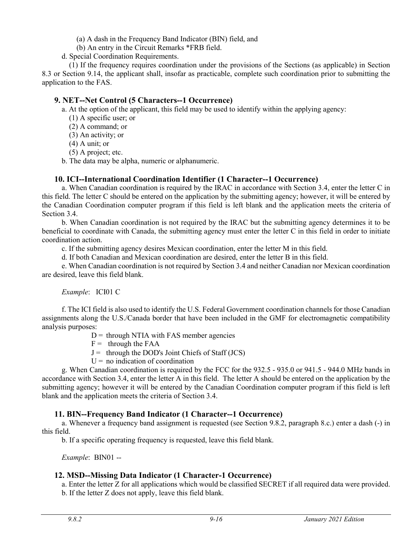(a) A dash in the Frequency Band Indicator (BIN) field, and

(b) An entry in the Circuit Remarks \*FRB field.

d. Special Coordination Requirements.

(1) If the frequency requires coordination under the provisions of the Sections (as applicable) in Section 8.3 or Section 9.14, the applicant shall, insofar as practicable, complete such coordination prior to submitting the application to the FAS.

## **9. NET--Net Control (5 Characters--1 Occurrence)**

a. At the option of the applicant, this field may be used to identify within the applying agency:

(1) A specific user; or

(2) A command; or

(3) An activity; or

(4) A unit; or

(5) A project; etc.

b. The data may be alpha, numeric or alphanumeric.

## **10. ICI--International Coordination Identifier (1 Character--1 Occurrence)**

a. When Canadian coordination is required by the IRAC in accordance with Section 3.4, enter the letter C in this field. The letter C should be entered on the application by the submitting agency; however, it will be entered by the Canadian Coordination computer program if this field is left blank and the application meets the criteria of Section 3.4.

b. When Canadian coordination is not required by the IRAC but the submitting agency determines it to be beneficial to coordinate with Canada, the submitting agency must enter the letter C in this field in order to initiate coordination action.

c. If the submitting agency desires Mexican coordination, enter the letter M in this field.

d. If both Canadian and Mexican coordination are desired, enter the letter B in this field.

e. When Canadian coordination is not required by Section 3.4 and neither Canadian nor Mexican coordination are desired, leave this field blank.

*Example*: ICI01 C

f. The ICI field is also used to identify the U.S. Federal Government coordination channels for those Canadian assignments along the U.S./Canada border that have been included in the GMF for electromagnetic compatibility analysis purposes:

- $D =$  through NTIA with FAS member agencies
- $F =$  through the FAA
- $J =$  through the DOD's Joint Chiefs of Staff (JCS)
- $U =$  no indication of coordination

g. When Canadian coordination is required by the FCC for the 932.5 - 935.0 or 941.5 - 944.0 MHz bands in accordance with Section 3.4, enter the letter A in this field. The letter A should be entered on the application by the submitting agency; however it will be entered by the Canadian Coordination computer program if this field is left blank and the application meets the criteria of Section 3.4.

## **11. BIN--Frequency Band Indicator (1 Character--1 Occurrence)**

a. Whenever a frequency band assignment is requested (see Section 9.8.2, paragraph 8.c.) enter a dash (-) in this field.

b. If a specific operating frequency is requested, leave this field blank.

*Example*: BIN01 --

## **12. MSD--Missing Data Indicator (1 Character-1 Occurrence)**

a. Enter the letter Z for all applications which would be classified SECRET if all required data were provided. b. If the letter Z does not apply, leave this field blank.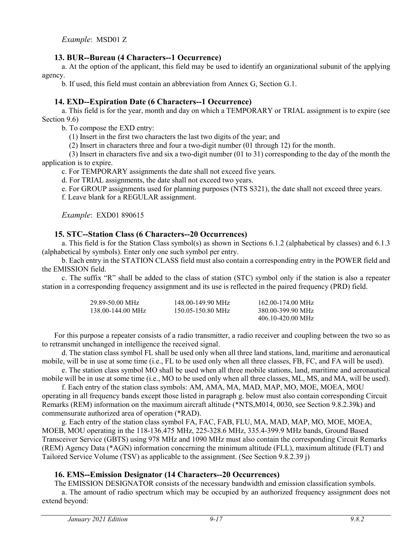*Example*: MSD01 Z

#### **13. BUR--Bureau (4 Characters--1 Occurrence)**

a. At the option of the applicant, this field may be used to identify an organizational subunit of the applying agency.

b. If used, this field must contain an abbreviation from Annex G, Section G.1.

#### **14. EXD--Expiration Date (6 Characters--1 Occurrence)**

a. This field is for the year, month and day on which a TEMPORARY or TRIAL assignment is to expire (see Section 9.6)

b. To compose the EXD entry:

(1) Insert in the first two characters the last two digits of the year; and

(2) Insert in characters three and four a two-digit number (01 through 12) for the month.

(3) Insert in characters five and six a two-digit number (01 to 31) corresponding to the day of the month the application is to expire.

c. For TEMPORARY assignments the date shall not exceed five years.

d. For TRIAL assignments, the date shall not exceed two years.

e. For GROUP assignments used for planning purposes (NTS S321), the date shall not exceed three years. f. Leave blank for a REGULAR assignment.

*Example*: EXD01 890615

#### **15. STC--Station Class (6 Characters--20 Occurrences)**

a. This field is for the Station Class symbol(s) as shown in Sections 6.1.2 (alphabetical by classes) and 6.1.3 (alphabetical by symbols). Enter only one such symbol per entry.

b. Each entry in the STATION CLASS field must also contain a corresponding entry in the POWER field and the EMISSION field.

c. The suffix "R" shall be added to the class of station (STC) symbol only if the station is also a repeater station in a corresponding frequency assignment and its use is reflected in the paired frequency (PRD) field.

| 29.89-50.00 MHz   | 148.00-149.90 MHz | 162.00-174.00 MHz |
|-------------------|-------------------|-------------------|
| 138.00-144.00 MHz | 150.05-150.80 MHz | 380.00-399.90 MHz |
|                   |                   | 406.10-420.00 MHz |

For this purpose a repeater consists of a radio transmitter, a radio receiver and coupling between the two so as to retransmit unchanged in intelligence the received signal.

d. The station class symbol FL shall be used only when all three land stations, land, maritime and aeronautical mobile, will be in use at some time (i.e., FL to be used only when all three classes, FB, FC, and FA will be used).

e. The station class symbol MO shall be used when all three mobile stations, land, maritime and aeronautical mobile will be in use at some time (i.e., MO to be used only when all three classes, ML, MS, and MA, will be used).

f. Each entry of the station class symbols: AM, AMA, MA, MAD, MAP, MO, MOE, MOEA, MOU operating in all frequency bands except those listed in paragraph g. below must also contain corresponding Circuit Remarks (REM) information on the maximum aircraft altitude (\*NTS,M014, 0030, see Section 9.8.2.39k) and commensurate authorized area of operation (\*RAD).

g. Each entry of the station class symbol FA, FAC, FAB, FLU, MA, MAD, MAP, MO, MOE, MOEA, MOEB, MOU operating in the 118-136.475 MHz, 225-328.6 MHz, 335.4-399.9 MHz bands, Ground Based Transceiver Service (GBTS) using 978 MHz and 1090 MHz must also contain the corresponding Circuit Remarks (REM) Agency Data (\*AGN) information concerning the minimum altitude (FLL), maximum altitude (FLT) and Tailored Service Volume (TSV) as applicable to the assignment. (See Section 9.8.2.39 j)

## **16. EMS--Emission Designator (14 Characters--20 Occurrences)**

The EMISSION DESIGNATOR consists of the necessary bandwidth and emission classification symbols. a. The amount of radio spectrum which may be occupied by an authorized frequency assignment does not extend beyond: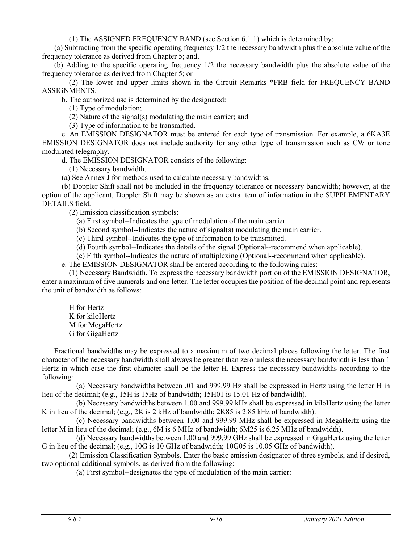(1) The ASSIGNED FREQUENCY BAND (see Section 6.1.1) which is determined by:

(a) Subtracting from the specific operating frequency 1/2 the necessary bandwidth plus the absolute value of the frequency tolerance as derived from Chapter 5; and,

(b) Adding to the specific operating frequency 1/2 the necessary bandwidth plus the absolute value of the frequency tolerance as derived from Chapter 5; or

(2) The lower and upper limits shown in the Circuit Remarks \*FRB field for FREQUENCY BAND ASSIGNMENTS.

b. The authorized use is determined by the designated:

(1) Type of modulation;

(2) Nature of the signal(s) modulating the main carrier; and

(3) Type of information to be transmitted.

c. An EMISSION DESIGNATOR must be entered for each type of transmission. For example, a 6KA3E EMISSION DESIGNATOR does not include authority for any other type of transmission such as CW or tone modulated telegraphy.

d. The EMISSION DESIGNATOR consists of the following:

(1) Necessary bandwidth.

(a) See Annex J for methods used to calculate necessary bandwidths.

(b) Doppler Shift shall not be included in the frequency tolerance or necessary bandwidth; however, at the option of the applicant, Doppler Shift may be shown as an extra item of information in the SUPPLEMENTARY DETAILS field.

(2) Emission classification symbols:

(a) First symbol--Indicates the type of modulation of the main carrier.

(b) Second symbol--Indicates the nature of signal(s) modulating the main carrier.

(c) Third symbol--Indicates the type of information to be transmitted.

(d) Fourth symbol--Indicates the details of the signal (Optional--recommend when applicable).

(e) Fifth symbol--Indicates the nature of multiplexing (Optional--recommend when applicable).

e. The EMISSION DESIGNATOR shall be entered according to the following rules:

(1) Necessary Bandwidth. To express the necessary bandwidth portion of the EMISSION DESIGNATOR, enter a maximum of five numerals and one letter. The letter occupies the position of the decimal point and represents the unit of bandwidth as follows:

H for Hertz K for kiloHertz M for MegaHertz G for GigaHertz

Fractional bandwidths may be expressed to a maximum of two decimal places following the letter. The first character of the necessary bandwidth shall always be greater than zero unless the necessary bandwidth is less than 1 Hertz in which case the first character shall be the letter H. Express the necessary bandwidths according to the following:

(a) Necessary bandwidths between .01 and 999.99 Hz shall be expressed in Hertz using the letter H in lieu of the decimal; (e.g., 15H is 15Hz of bandwidth; 15H01 is 15.01 Hz of bandwidth).

(b) Necessary bandwidths between 1.00 and 999.99 kHz shall be expressed in kiloHertz using the letter K in lieu of the decimal; (e.g., 2K is 2 kHz of bandwidth; 2K85 is 2.85 kHz of bandwidth).

(c) Necessary bandwidths between 1.00 and 999.99 MHz shall be expressed in MegaHertz using the letter M in lieu of the decimal; (e.g., 6M is 6 MHz of bandwidth; 6M25 is 6.25 MHz of bandwidth).

(d) Necessary bandwidths between 1.00 and 999.99 GHz shall be expressed in GigaHertz using the letter G in lieu of the decimal; (e.g., 10G is 10 GHz of bandwidth; 10G05 is 10.05 GHz of bandwidth).

(2) Emission Classification Symbols. Enter the basic emission designator of three symbols, and if desired, two optional additional symbols, as derived from the following:

(a) First symbol--designates the type of modulation of the main carrier: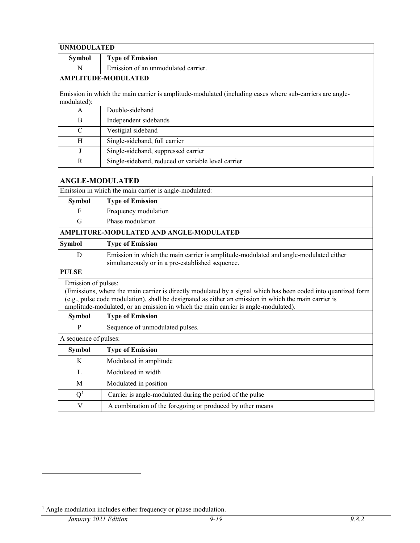| <b>UNMODULATED</b> |                                                                                                                                        |  |
|--------------------|----------------------------------------------------------------------------------------------------------------------------------------|--|
| Symbol             | <b>Type of Emission</b>                                                                                                                |  |
| N                  | Emission of an unmodulated carrier.                                                                                                    |  |
| modulated):        | <b>AMPLITUDE-MODULATED</b><br>Emission in which the main carrier is amplitude-modulated (including cases where sub-carriers are angle- |  |
| A                  | Double-sideband                                                                                                                        |  |
| B                  | Independent sidebands                                                                                                                  |  |

| Vestigial sideband                                 |
|----------------------------------------------------|
| Single-sideband, full carrier                      |
| Single-sideband, suppressed carrier                |
| Single-sideband, reduced or variable level carrier |

| <b>ANGLE-MODULATED</b> |                                                                                                                                                                                                                                                                                                              |
|------------------------|--------------------------------------------------------------------------------------------------------------------------------------------------------------------------------------------------------------------------------------------------------------------------------------------------------------|
|                        | Emission in which the main carrier is angle-modulated:                                                                                                                                                                                                                                                       |
| <b>Symbol</b>          | <b>Type of Emission</b>                                                                                                                                                                                                                                                                                      |
| F                      | Frequency modulation                                                                                                                                                                                                                                                                                         |
| G                      | Phase modulation                                                                                                                                                                                                                                                                                             |
|                        | AMPLITURE-MODULATED AND ANGLE-MODULATED                                                                                                                                                                                                                                                                      |
| <b>Symbol</b>          | <b>Type of Emission</b>                                                                                                                                                                                                                                                                                      |
| D                      | Emission in which the main carrier is amplitude-modulated and angle-modulated either<br>simultaneously or in a pre-established sequence.                                                                                                                                                                     |
| <b>PULSE</b>           |                                                                                                                                                                                                                                                                                                              |
| Emission of pulses:    | (Emissions, where the main carrier is directly modulated by a signal which has been coded into quantized form<br>(e.g., pulse code modulation), shall be designated as either an emission in which the main carrier is<br>amplitude-modulated, or an emission in which the main carrier is angle-modulated). |
| Symbol                 | <b>Type of Emission</b>                                                                                                                                                                                                                                                                                      |
| P                      | Sequence of unmodulated pulses.                                                                                                                                                                                                                                                                              |
| A sequence of pulses:  |                                                                                                                                                                                                                                                                                                              |
| <b>Symbol</b>          | <b>Type of Emission</b>                                                                                                                                                                                                                                                                                      |
| K                      | Modulated in amplitude                                                                                                                                                                                                                                                                                       |
| L                      | Modulated in width                                                                                                                                                                                                                                                                                           |
| M                      | Modulated in position                                                                                                                                                                                                                                                                                        |
| Q <sup>1</sup>         | Carrier is angle-modulated during the period of the pulse                                                                                                                                                                                                                                                    |
| V                      | A combination of the foregoing or produced by other means                                                                                                                                                                                                                                                    |

 $\overline{a}$ 

<span id="page-18-0"></span> $^{\rm 1}$  Angle modulation includes either frequency or phase modulation.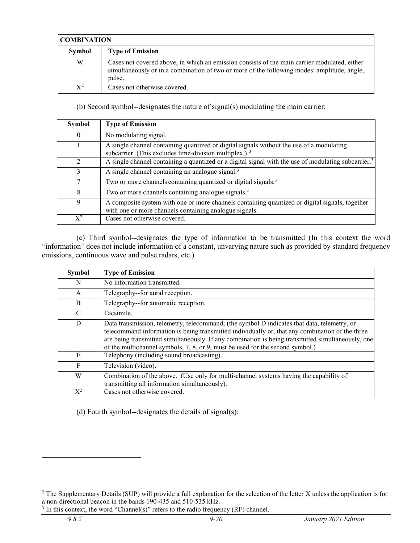| <b>COMBINATION</b> |                                                                                                                                                                                                       |  |
|--------------------|-------------------------------------------------------------------------------------------------------------------------------------------------------------------------------------------------------|--|
| <b>Symbol</b>      | <b>Type of Emission</b>                                                                                                                                                                               |  |
| W                  | Cases not covered above, in which an emission consists of the main carrier modulated, either<br>simultaneously or in a combination of two or more of the following modes: amplitude, angle,<br>pulse. |  |
| $X^2$              | Cases not otherwise covered.                                                                                                                                                                          |  |

<span id="page-19-2"></span><span id="page-19-1"></span><span id="page-19-0"></span>(b) Second symbol--designates the nature of signal(s) modulating the main carrier:

| <b>Symbol</b>  | <b>Type of Emission</b>                                                                                                                                  |
|----------------|----------------------------------------------------------------------------------------------------------------------------------------------------------|
| $\theta$       | No modulating signal.                                                                                                                                    |
|                | A single channel containing quantized or digital signals without the use of a modulating<br>subcarrier. (This excludes time-division multiplex.) $3$     |
|                | A single channel containing a quantized or a digital signal with the use of modulating subcarrier. <sup>3</sup>                                          |
| 3              | A single channel containing an analogue signal. <sup>3</sup>                                                                                             |
| 7              | Two or more channels containing quantized or digital signals. <sup>3</sup>                                                                               |
| 8              | Two or more channels containing analogue signals. <sup>3</sup>                                                                                           |
| 9              | A composite system with one or more channels containing quantized or digital signals, together<br>with one or more channels containing analogue signals. |
| $\mathbf{X}^2$ | Cases not otherwise covered.                                                                                                                             |

(c) Third symbol--designates the type of information to be transmitted (In this context the word "information" does not include information of a constant, unvarying nature such as provided by standard frequency emissions, continuous wave and pulse radars, etc.)

| <b>Symbol</b> | <b>Type of Emission</b>                                                                                                                                                                                                                                                                                                                                                              |
|---------------|--------------------------------------------------------------------------------------------------------------------------------------------------------------------------------------------------------------------------------------------------------------------------------------------------------------------------------------------------------------------------------------|
| N             | No information transmitted.                                                                                                                                                                                                                                                                                                                                                          |
| A             | Telegraphy--for aural reception.                                                                                                                                                                                                                                                                                                                                                     |
| B             | Telegraphy--for automatic reception.                                                                                                                                                                                                                                                                                                                                                 |
| C             | Facsimile.                                                                                                                                                                                                                                                                                                                                                                           |
| D             | Data transmission, telemetry, telecommand; (the symbol D indicates that data, telemetry, or<br>telecommand information is being transmitted individually or, that any combination of the three<br>are being transmitted simultaneously. If any combination is being transmitted simultaneously, one<br>of the multichannel symbols, 7, 8, or 9, must be used for the second symbol.) |
| E             | Telephony (including sound broadcasting).                                                                                                                                                                                                                                                                                                                                            |
| F             | Television (video).                                                                                                                                                                                                                                                                                                                                                                  |
| W             | Combination of the above. (Use only for multi-channel systems having the capability of<br>transmitting all information simultaneously).                                                                                                                                                                                                                                              |
| $X^2$         | Cases not otherwise covered.                                                                                                                                                                                                                                                                                                                                                         |

(d) Fourth symbol--designates the details of signal(s):

 $\overline{a}$ 

<span id="page-19-3"></span><sup>&</sup>lt;sup>2</sup> The Supplementary Details (SUP) will provide a full explanation for the selection of the letter X unless the application is for a non-directional beacon in the bands 190-435 and 510-535 kHz.

<span id="page-19-4"></span> $3$  In this context, the word "Channel(s)" refers to the radio frequency (RF) channel.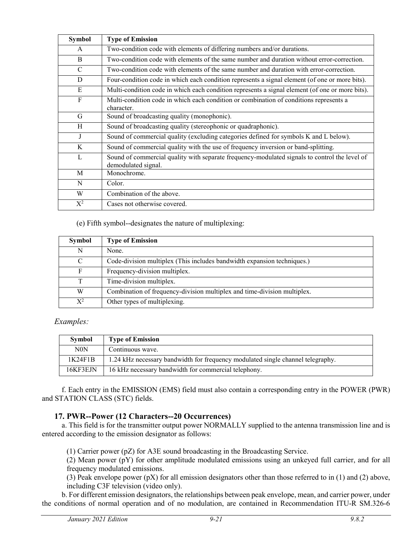| <b>Symbol</b> | <b>Type of Emission</b>                                                                                              |
|---------------|----------------------------------------------------------------------------------------------------------------------|
| $\mathsf{A}$  | Two-condition code with elements of differing numbers and/or durations.                                              |
| B             | Two-condition code with elements of the same number and duration without error-correction.                           |
| $\mathcal{C}$ | Two-condition code with elements of the same number and duration with error-correction.                              |
| D             | Four-condition code in which each condition represents a signal element (of one or more bits).                       |
| E             | Multi-condition code in which each condition represents a signal element (of one or more bits).                      |
| $\mathbf{F}$  | Multi-condition code in which each condition or combination of conditions represents a<br>character.                 |
| G             | Sound of broadcasting quality (monophonic).                                                                          |
| H             | Sound of broadcasting quality (stereophonic or quadraphonic).                                                        |
| J             | Sound of commercial quality (excluding categories defined for symbols K and L below).                                |
| K             | Sound of commercial quality with the use of frequency inversion or band-splitting.                                   |
| L             | Sound of commercial quality with separate frequency-modulated signals to control the level of<br>demodulated signal. |
| M             | Monochrome.                                                                                                          |
| N             | Color.                                                                                                               |
| W             | Combination of the above.                                                                                            |
| $X^2$         | Cases not otherwise covered.                                                                                         |

(e) Fifth symbol--designates the nature of multiplexing:

| <b>Symbol</b> | <b>Type of Emission</b>                                                  |
|---------------|--------------------------------------------------------------------------|
| N             | None.                                                                    |
| C             | Code-division multiplex (This includes bandwidth expansion techniques.)  |
| F             | Frequency-division multiplex.                                            |
| T             | Time-division multiplex.                                                 |
| W             | Combination of frequency-division multiplex and time-division multiplex. |
| $X^2$         | Other types of multiplexing.                                             |

#### *Examples:*

| <b>Symbol</b> | <b>Type of Emission</b>                                                         |
|---------------|---------------------------------------------------------------------------------|
| N0N           | Continuous wave.                                                                |
| 1K24F1B       | 1.24 kHz necessary bandwidth for frequency modulated single channel telegraphy. |
| 16KF3EJN      | 16 kHz necessary bandwidth for commercial telephony.                            |

f. Each entry in the EMISSION (EMS) field must also contain a corresponding entry in the POWER (PWR) and STATION CLASS (STC) fields.

## **17. PWR--Power (12 Characters--20 Occurrences)**

a. This field is for the transmitter output power NORMALLY supplied to the antenna transmission line and is entered according to the emission designator as follows:

(1) Carrier power (pZ) for A3E sound broadcasting in the Broadcasting Service.

(2) Mean power (pY) for other amplitude modulated emissions using an unkeyed full carrier, and for all frequency modulated emissions.

(3) Peak envelope power (pX) for all emission designators other than those referred to in (1) and (2) above, including C3F television (video only).

b. For different emission designators, the relationships between peak envelope, mean, and carrier power, under the conditions of normal operation and of no modulation, are contained in Recommendation ITU-R SM.326-6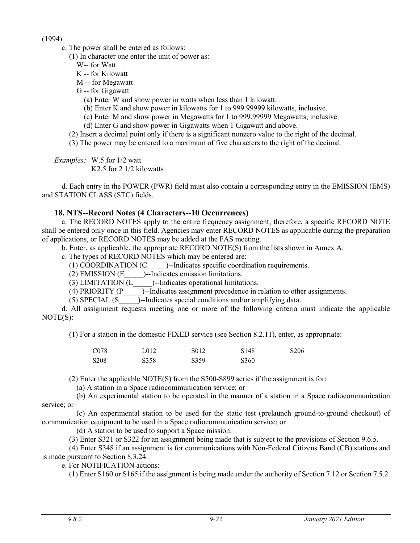(1994).

c. The power shall be entered as follows:

(1) In character one enter the unit of power as:

W-- for Watt

K -- for Kilowatt

M -- for Megawatt

G -- for Gigawatt

(a) Enter W and show power in watts when less than 1 kilowatt.

(b) Enter K and show power in kilowatts for 1 to 999.99999 kilowatts, inclusive.

(c) Enter M and show power in Megawatts for 1 to 999.99999 Megawatts, inclusive.

(d) Enter G and show power in Gigawatts when 1 Gigawatt and above.

(2) Insert a decimal point only if there is a significant nonzero value to the right of the decimal.

(3) The power may be entered to a maximum of five characters to the right of the decimal.

*Examples:* W.5 for 1/2 watt

K2.5 for 2 1/2 kilowatts

d. Each entry in the POWER (PWR) field must also contain a corresponding entry in the EMISSION (EMS) and STATION CLASS (STC) fields.

## **18. NTS--Record Notes (4 Characters--10 Occurrences)**

a. The RECORD NOTES apply to the entire frequency assignment; therefore, a specific RECORD NOTE shall be entered only once in this field. Agencies may enter RECORD NOTES as applicable during the preparation of applications, or RECORD NOTES may be added at the FAS meeting.

b. Enter, as applicable, the appropriate RECORD NOTE(S) from the lists shown in Annex A.

c. The types of RECORD NOTES which may be entered are:<br>(1) COORDINATION (C)--Indicates specific coordin

)--Indicates specific coordination requirements.

(2) EMISSION (E\_\_\_\_\_)--Indicates emission limitations.

(3) LIMITATION (L\_\_\_\_\_)--Indicates operational limitations.

(4) PRIORITY (P\_\_\_\_\_)--Indicates assignment precedence in relation to other assignments.

(5) SPECIAL (S\_\_\_\_\_)--Indicates special conditions and/or amplifying data.

d. All assignment requests meeting one or more of the following criteria must indicate the applicable NOTE(S):

(1) For a station in the domestic FIXED service (see Section 8.2.11), enter, as appropriate:

| C078             | L <sub>012</sub> | S <sub>0</sub> 12 | S <sub>148</sub> | S <sub>206</sub> |
|------------------|------------------|-------------------|------------------|------------------|
| S <sub>208</sub> | S358             | S359              | S360             |                  |

(2) Enter the applicable NOTE(S) from the S500-S899 series if the assignment is for:

(a) A station in a Space radiocommunication service; or

(b) An experimental station to be operated in the manner of a station in a Space radiocommunication service; or

(c) An experimental station to be used for the static test (prelaunch ground-to-ground checkout) of communication equipment to be used in a Space radiocommunication service; or

(d) A station to be used to support a Space mission.

(3) Enter S321 or S322 for an assignment being made that is subject to the provisions of Section 9.6.5.

(4) Enter S348 if an assignment is for communications with Non-Federal Citizens Band (CB) stations and is made pursuant to Section 8.3.24.

e. For NOTIFICATION actions:

(1) Enter S160 or S165 if the assignment is being made under the authority of Section 7.12 or Section 7.5.2.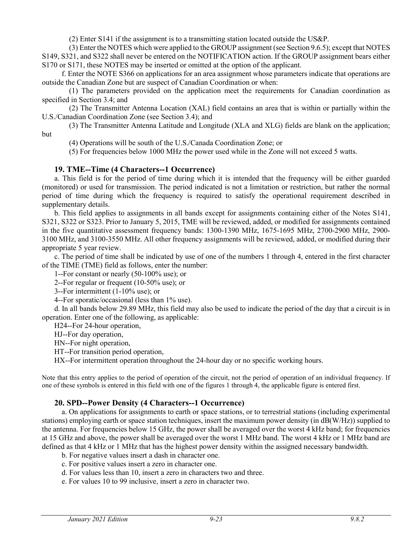(2) Enter S141 if the assignment is to a transmitting station located outside the US&P.

(3) Enter the NOTES which were applied to the GROUP assignment (see Section 9.6.5); except that NOTES S149, S321, and S322 shall never be entered on the NOTIFICATION action. If the GROUP assignment bears either S170 or S171, these NOTES may be inserted or omitted at the option of the applicant.

f. Enter the NOTE S366 on applications for an area assignment whose parameters indicate that operations are outside the Canadian Zone but are suspect of Canadian Coordination or when:

(1) The parameters provided on the application meet the requirements for Canadian coordination as specified in Section 3.4; and

(2) The Transmitter Antenna Location (XAL) field contains an area that is within or partially within the U.S./Canadian Coordination Zone (see Section 3.4); and

(3) The Transmitter Antenna Latitude and Longitude (XLA and XLG) fields are blank on the application; but

(4) Operations will be south of the U.S./Canada Coordination Zone; or

(5) For frequencies below 1000 MHz the power used while in the Zone will not exceed 5 watts.

#### **19. TME--Time (4 Characters--1 Occurrence)**

a. This field is for the period of time during which it is intended that the frequency will be either guarded (monitored) or used for transmission. The period indicated is not a limitation or restriction, but rather the normal period of time during which the frequency is required to satisfy the operational requirement described in supplementary details.

b. This field applies to assignments in all bands except for assignments containing either of the Notes S141, S321, S322 or S323. Prior to January 5, 2015, TME will be reviewed, added, or modified for assignments contained in the five quantitative assessment frequency bands: 1300-1390 MHz, 1675-1695 MHz, 2700-2900 MHz, 2900- 3100 MHz, and 3100-3550 MHz. All other frequency assignments will be reviewed, added, or modified during their appropriate 5 year review.

c. The period of time shall be indicated by use of one of the numbers 1 through 4, entered in the first character of the TIME (TME) field as follows, enter the number:

1--For constant or nearly (50-100% use); or

2--For regular or frequent (10-50% use); or

3--For intermittent (1-10% use); or

4--For sporatic/occasional (less than 1% use).

d. In all bands below 29.89 MHz, this field may also be used to indicate the period of the day that a circuit is in operation. Enter one of the following, as applicable:

H24--For 24-hour operation,

HJ--For day operation,

HN--For night operation,

HT--For transition period operation,

HX--For intermittent operation throughout the 24-hour day or no specific working hours.

Note that this entry applies to the period of operation of the circuit, not the period of operation of an individual frequency. If one of these symbols is entered in this field with one of the figures 1 through 4, the applicable figure is entered first.

#### **20. SPD--Power Density (4 Characters--1 Occurrence)**

a. On applications for assignments to earth or space stations, or to terrestrial stations (including experimental stations) employing earth or space station techniques, insert the maximum power density (in dB(W/Hz)) supplied to the antenna. For frequencies below 15 GHz, the power shall be averaged over the worst 4 kHz band; for frequencies at 15 GHz and above, the power shall be averaged over the worst 1 MHz band. The worst 4 kHz or 1 MHz band are defined as that 4 kHz or 1 MHz that has the highest power density within the assigned necessary bandwidth.

b. For negative values insert a dash in character one.

c. For positive values insert a zero in character one.

- d. For values less than 10, insert a zero in characters two and three.
- e. For values 10 to 99 inclusive, insert a zero in character two.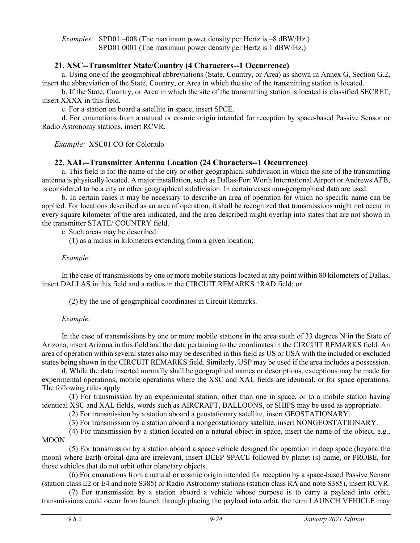*Examples*: SPD01 –008 (The maximum power density per Hertz is –8 dBW/Hz.) SPD01 0001 (The maximum power density per Hertz is 1 dBW/Hz.)

### **21. XSC--Transmitter State/Country (4 Characters--1 Occurrence)**

a. Using one of the geographical abbreviations (State, Country, or Area) as shown in Annex G, Section G.2, insert the abbreviation of the State, Country, or Area in which the site of the transmitting station is located.

b. If the State, Country, or Area in which the site of the transmitting station is located is classified SECRET, insert XXXX in this field.

c. For a station on board a satellite in space, insert SPCE.

d. For emanations from a natural or cosmic origin intended for reception by space-based Passive Sensor or Radio Astronomy stations, insert RCVR.

*Example*: XSC01 CO for Colorado

### **22. XAL--Transmitter Antenna Location (24 Characters--1 Occurrence)**

a. This field is for the name of the city or other geographical subdivision in which the site of the transmitting antenna is physically located. A major installation, such as Dallas-Fort Worth International Airport or Andrews AFB, is considered to be a city or other geographical subdivision. In certain cases non-geographical data are used.

b. In certain cases it may be necessary to describe an area of operation for which no specific name can be applied. For locations described as an area of operation, it shall be recognized that transmissions might not occur in every square kilometer of the area indicated, and the area described might overlap into states that are not shown in the transmitter STATE/ COUNTRY field.

c. Such areas may be described:

(1) as a radius in kilometers extending from a given location;

#### *Example*:

In the case of transmissions by one or more mobile stations located at any point within 80 kilometers of Dallas, insert DALLAS in this field and a radius in the CIRCUIT REMARKS \*RAD field; or

(2) by the use of geographical coordinates in Circuit Remarks.

#### *Example*:

In the case of transmissions by one or more mobile stations in the area south of 33 degrees N in the State of Arizona, insert Arizona in this field and the data pertaining to the coordinates in the CIRCUIT REMARKS field. An area of operation within several states also may be described in this field as US or USA with the included or excluded states being shown in the CIRCUIT REMARKS field. Similarly, USP may be used if the area includes a possession.

d. While the data inserted normally shall be geographical names or descriptions, exceptions may be made for experimental operations, mobile operations where the XSC and XAL fields are identical, or for space operations. The following rules apply:

(1) For transmission by an experimental station, other than one in space, or to a mobile station having identical XSC and XAL fields, words such as AIRCRAFT, BALLOONS, or SHIPS may be used as appropriate.

(2) For transmission by a station aboard a geostationary satellite, insert GEOSTATIONARY.

(3) For transmission by a station aboard a nongeostationary satellite, insert NONGEOSTATIONARY.

(4) For transmission by a station located on a natural object in space, insert the name of the object, e.g., MOON.

(5) For transmission by a station aboard a space vehicle designed for operation in deep space (beyond the moon) where Earth orbital data are irrelevant, insert DEEP SPACE followed by planet (s) name, or PROBE, for those vehicles that do not orbit other planetary objects.

(6) For emanations from a natural or cosmic origin intended for reception by a space-based Passive Sensor (station class E2 or E4 and note S385) or Radio Astronomy stations (station class RA and note S385), insert RCVR.

(7) For transmission by a station aboard a vehicle whose purpose is to carry a payload into orbit, transmissions could occur from launch through placing the payload into orbit, the term LAUNCH VEHICLE may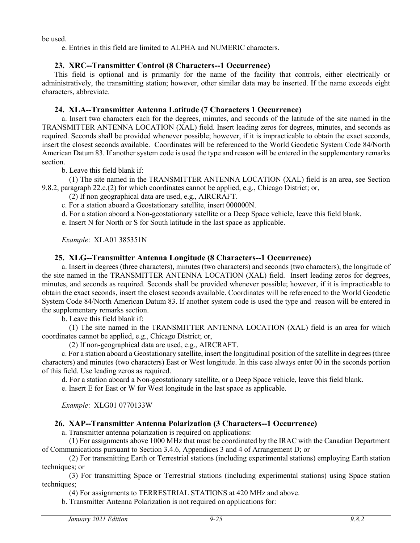be used.

e. Entries in this field are limited to ALPHA and NUMERIC characters.

### **23. XRC--Transmitter Control (8 Characters--1 Occurrence)**

This field is optional and is primarily for the name of the facility that controls, either electrically or administratively, the transmitting station; however, other similar data may be inserted. If the name exceeds eight characters, abbreviate.

### **24. XLA--Transmitter Antenna Latitude (7 Characters 1 Occurrence)**

a. Insert two characters each for the degrees, minutes, and seconds of the latitude of the site named in the TRANSMITTER ANTENNA LOCATION (XAL) field. Insert leading zeros for degrees, minutes, and seconds as required. Seconds shall be provided whenever possible; however, if it is impracticable to obtain the exact seconds, insert the closest seconds available. Coordinates will be referenced to the World Geodetic System Code 84/North American Datum 83. If another system code is used the type and reason will be entered in the supplementary remarks section.

b. Leave this field blank if:

(1) The site named in the TRANSMITTER ANTENNA LOCATION (XAL) field is an area, see Section 9.8.2, paragraph 22.c.(2) for which coordinates cannot be applied, e.g., Chicago District; or,

(2) If non geographical data are used, e.g., AIRCRAFT.

c. For a station aboard a Geostationary satellite, insert 000000N.

d. For a station aboard a Non-geostationary satellite or a Deep Space vehicle, leave this field blank.

e. Insert N for North or S for South latitude in the last space as applicable.

*Example*: XLA01 385351N

### **25. XLG--Transmitter Antenna Longitude (8 Characters--1 Occurrence)**

a. Insert in degrees (three characters), minutes (two characters) and seconds (two characters), the longitude of the site named in the TRANSMITTER ANTENNA LOCATION (XAL) field. Insert leading zeros for degrees, minutes, and seconds as required. Seconds shall be provided whenever possible; however, if it is impracticable to obtain the exact seconds, insert the closest seconds available. Coordinates will be referenced to the World Geodetic System Code 84/North American Datum 83. If another system code is used the type and reason will be entered in the supplementary remarks section.

b. Leave this field blank if:

(1) The site named in the TRANSMITTER ANTENNA LOCATION (XAL) field is an area for which coordinates cannot be applied, e.g., Chicago District; or,

(2) If non-geographical data are used, e.g., AIRCRAFT.

c. For a station aboard a Geostationary satellite, insert the longitudinal position of the satellite in degrees (three characters) and minutes (two characters) East or West longitude. In this case always enter 00 in the seconds portion of this field. Use leading zeros as required.

d. For a station aboard a Non-geostationary satellite, or a Deep Space vehicle, leave this field blank.

e. Insert E for East or W for West longitude in the last space as applicable.

*Example*: XLG01 0770133W

#### **26. XAP--Transmitter Antenna Polarization (3 Characters--1 Occurrence)**

a. Transmitter antenna polarization is required on applications:

(1) For assignments above 1000 MHz that must be coordinated by the IRAC with the Canadian Department of Communications pursuant to Section 3.4.6, Appendices 3 and 4 of Arrangement D; or

(2) For transmitting Earth or Terrestrial stations (including experimental stations) employing Earth station techniques; or

(3) For transmitting Space or Terrestrial stations (including experimental stations) using Space station techniques;

(4) For assignments to TERRESTRIAL STATIONS at 420 MHz and above.

b. Transmitter Antenna Polarization is not required on applications for: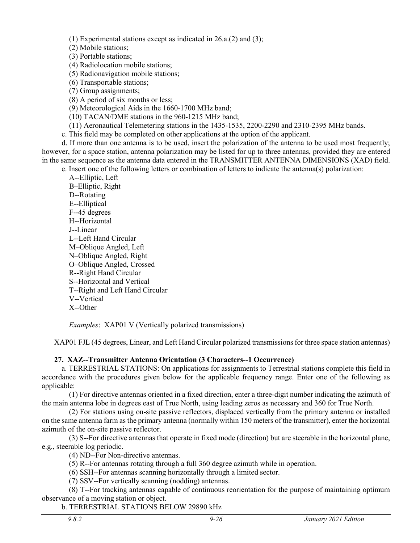(1) Experimental stations except as indicated in 26.a.(2) and (3);

(2) Mobile stations;

(3) Portable stations;

(4) Radiolocation mobile stations;

(5) Radionavigation mobile stations;

(6) Transportable stations;

(7) Group assignments;

(8) A period of six months or less;

(9) Meteorological Aids in the 1660-1700 MHz band;

(10) TACAN/DME stations in the 960-1215 MHz band;

(11) Aeronautical Telemetering stations in the 1435-1535, 2200-2290 and 2310-2395 MHz bands.

c. This field may be completed on other applications at the option of the applicant.

d. If more than one antenna is to be used, insert the polarization of the antenna to be used most frequently; however, for a space station, antenna polarization may be listed for up to three antennas, provided they are entered in the same sequence as the antenna data entered in the TRANSMITTER ANTENNA DIMENSIONS (XAD) field.

e. Insert one of the following letters or combination of letters to indicate the antenna(s) polarization:

A--Elliptic, Left B–Elliptic, Right D--Rotating E--Elliptical F--45 degrees H--Horizontal J--Linear L--Left Hand Circular M–Oblique Angled, Left N–Oblique Angled, Right O–Oblique Angled, Crossed R--Right Hand Circular S--Horizontal and Vertical T--Right and Left Hand Circular V--Vertical X--Other

*Examples*: XAP01 V (Vertically polarized transmissions)

XAP01 FJL (45 degrees, Linear, and Left Hand Circular polarized transmissions for three space station antennas)

#### **27. XAZ--Transmitter Antenna Orientation (3 Characters--1 Occurrence)**

a. TERRESTRIAL STATIONS: On applications for assignments to Terrestrial stations complete this field in accordance with the procedures given below for the applicable frequency range. Enter one of the following as applicable:

(1) For directive antennas oriented in a fixed direction, enter a three-digit number indicating the azimuth of the main antenna lobe in degrees east of True North, using leading zeros as necessary and 360 for True North.

(2) For stations using on-site passive reflectors, displaced vertically from the primary antenna or installed on the same antenna farm as the primary antenna (normally within 150 meters of the transmitter), enter the horizontal azimuth of the on-site passive reflector.

(3) S--For directive antennas that operate in fixed mode (direction) but are steerable in the horizontal plane, e.g., steerable log periodic.

(4) ND--For Non-directive antennas.

(5) R--For antennas rotating through a full 360 degree azimuth while in operation.

(6) SSH--For antennas scanning horizontally through a limited sector.

(7) SSV--For vertically scanning (nodding) antennas.

(8) T--For tracking antennas capable of continuous reorientation for the purpose of maintaining optimum observance of a moving station or object.

b. TERRESTRIAL STATIONS BELOW 29890 kHz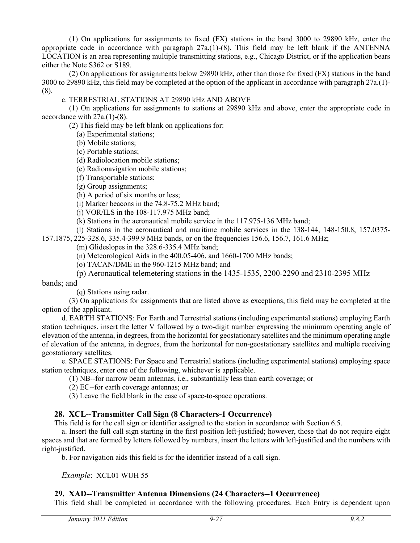(1) On applications for assignments to fixed (FX) stations in the band 3000 to 29890 kHz, enter the appropriate code in accordance with paragraph 27a.(1)-(8). This field may be left blank if the ANTENNA LOCATION is an area representing multiple transmitting stations, e.g., Chicago District, or if the application bears either the Note S362 or S189.

(2) On applications for assignments below 29890 kHz, other than those for fixed (FX) stations in the band 3000 to 29890 kHz, this field may be completed at the option of the applicant in accordance with paragraph 27a.(1)- (8).

c. TERRESTRIAL STATIONS AT 29890 kHz AND ABOVE

(1) On applications for assignments to stations at 29890 kHz and above, enter the appropriate code in accordance with 27a.(1)-(8).

(2) This field may be left blank on applications for:

(a) Experimental stations;

(b) Mobile stations;

(c) Portable stations;

(d) Radiolocation mobile stations;

(e) Radionavigation mobile stations;

(f) Transportable stations;

(g) Group assignments;

(h) A period of six months or less;

(i) Marker beacons in the 74.8-75.2 MHz band;

(j) VOR/ILS in the 108-117.975 MHz band;

(k) Stations in the aeronautical mobile service in the 117.975-136 MHz band;

(l) Stations in the aeronautical and maritime mobile services in the 138-144, 148-150.8, 157.0375-

157.1875, 225-328.6, 335.4-399.9 MHz bands, or on the frequencies 156.6, 156.7, 161.6 MHz;

(m) Glideslopes in the 328.6-335.4 MHz band;

(n) Meteorological Aids in the 400.05-406, and 1660-1700 MHz bands;

(o) TACAN/DME in the 960-1215 MHz band; and

(p) Aeronautical telemetering stations in the 1435-1535, 2200-2290 and 2310-2395 MHz

bands; and

(q) Stations using radar.

(3) On applications for assignments that are listed above as exceptions, this field may be completed at the option of the applicant.

d. EARTH STATIONS: For Earth and Terrestrial stations (including experimental stations) employing Earth station techniques, insert the letter V followed by a two-digit number expressing the minimum operating angle of elevation of the antenna, in degrees, from the horizontal for geostationary satellites and the minimum operating angle of elevation of the antenna, in degrees, from the horizontal for non-geostationary satellites and multiple receiving geostationary satellites.

e. SPACE STATIONS: For Space and Terrestrial stations (including experimental stations) employing space station techniques, enter one of the following, whichever is applicable.

(1) NB--for narrow beam antennas, i.e., substantially less than earth coverage; or

(2) EC--for earth coverage antennas; or

(3) Leave the field blank in the case of space-to-space operations.

#### **28. XCL--Transmitter Call Sign (8 Characters-1 Occurrence)**

This field is for the call sign or identifier assigned to the station in accordance with Section 6.5.

a. Insert the full call sign starting in the first position left-justified; however, those that do not require eight spaces and that are formed by letters followed by numbers, insert the letters with left-justified and the numbers with right-justified.

b. For navigation aids this field is for the identifier instead of a call sign.

*Example*: XCL01 WUH 55

#### **29. XAD--Transmitter Antenna Dimensions (24 Characters--1 Occurrence)**

This field shall be completed in accordance with the following procedures. Each Entry is dependent upon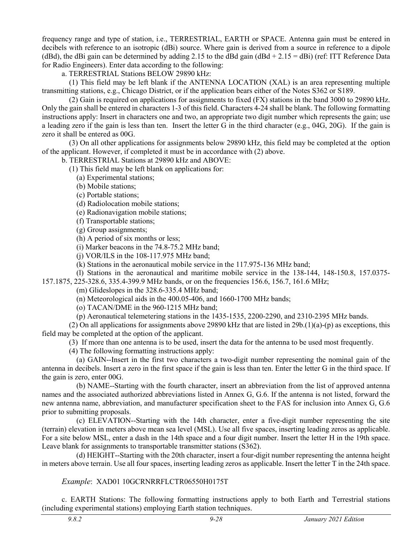frequency range and type of station, i.e., TERRESTRIAL, EARTH or SPACE. Antenna gain must be entered in decibels with reference to an isotropic (dBi) source. Where gain is derived from a source in reference to a dipole (dBd), the dBi gain can be determined by adding 2.15 to the dBd gain (dBd + 2.15 = dBi) (ref: ITT Reference Data for Radio Engineers). Enter data according to the following:

a. TERRESTRIAL Stations BELOW 29890 kHz:

(1) This field may be left blank if the ANTENNA LOCATION (XAL) is an area representing multiple transmitting stations, e.g., Chicago District, or if the application bears either of the Notes S362 or S189.

(2) Gain is required on applications for assignments to fixed (FX) stations in the band 3000 to 29890 kHz. Only the gain shall be entered in characters 1-3 of this field. Characters 4-24 shall be blank. The following formatting instructions apply: Insert in characters one and two, an appropriate two digit number which represents the gain; use a leading zero if the gain is less than ten. Insert the letter G in the third character (e.g., 04G, 20G). If the gain is zero it shall be entered as 00G.

(3) On all other applications for assignments below 29890 kHz, this field may be completed at the option of the applicant. However, if completed it must be in accordance with (2) above.

b. TERRESTRIAL Stations at 29890 kHz and ABOVE:

(1) This field may be left blank on applications for:

(a) Experimental stations;

(b) Mobile stations;

(c) Portable stations;

(d) Radiolocation mobile stations;

(e) Radionavigation mobile stations;

(f) Transportable stations;

(g) Group assignments;

(h) A period of six months or less;

(i) Marker beacons in the 74.8-75.2 MHz band;

(j) VOR/ILS in the 108-117.975 MHz band;

(k) Stations in the aeronautical mobile service in the 117.975-136 MHz band;

(l) Stations in the aeronautical and maritime mobile service in the 138-144, 148-150.8, 157.0375-

157.1875, 225-328.6, 335.4-399.9 MHz bands, or on the frequencies 156.6, 156.7, 161.6 MHz;

(m) Glideslopes in the 328.6-335.4 MHz band;

(n) Meteorological aids in the 400.05-406, and 1660-1700 MHz bands;

(o) TACAN/DME in the 960-1215 MHz band;

(p) Aeronautical telemetering stations in the 1435-1535, 2200-2290, and 2310-2395 MHz bands.

(2) On all applications for assignments above 29890 kHz that are listed in 29b.(1)(a)-(p) as exceptions, this field may be completed at the option of the applicant.

(3) If more than one antenna is to be used, insert the data for the antenna to be used most frequently.

(4) The following formatting instructions apply:

(a) GAIN--Insert in the first two characters a two-digit number representing the nominal gain of the antenna in decibels. Insert a zero in the first space if the gain is less than ten. Enter the letter G in the third space. If the gain is zero, enter 00G.

(b) NAME--Starting with the fourth character, insert an abbreviation from the list of approved antenna names and the associated authorized abbreviations listed in Annex G, G.6. If the antenna is not listed, forward the new antenna name, abbreviation, and manufacturer specification sheet to the FAS for inclusion into Annex G, G.6 prior to submitting proposals.

(c) ELEVATION--Starting with the 14th character, enter a five-digit number representing the site (terrain) elevation in meters above mean sea level (MSL). Use all five spaces, inserting leading zeros as applicable. For a site below MSL, enter a dash in the 14th space and a four digit number. Insert the letter H in the 19th space. Leave blank for assignments to transportable transmitter stations (S362).

(d) HEIGHT--Starting with the 20th character, insert a four-digit number representing the antenna height in meters above terrain. Use all four spaces, inserting leading zeros as applicable. Insert the letter T in the 24th space.

#### *Example*: XAD01 10GCRNRRFLCTR06550H0175T

c. EARTH Stations: The following formatting instructions apply to both Earth and Terrestrial stations (including experimental stations) employing Earth station techniques.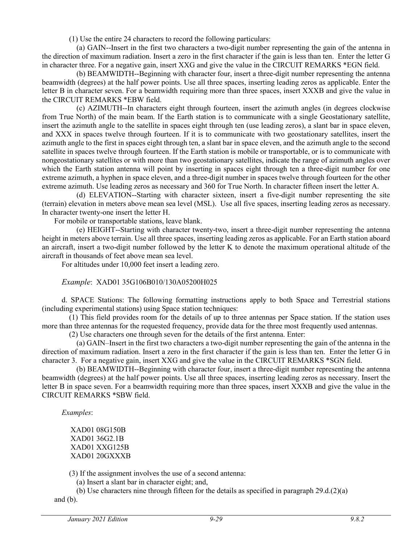(1) Use the entire 24 characters to record the following particulars:

(a) GAIN--Insert in the first two characters a two-digit number representing the gain of the antenna in the direction of maximum radiation. Insert a zero in the first character if the gain is less than ten. Enter the letter G in character three. For a negative gain, insert XXG and give the value in the CIRCUIT REMARKS \*EGN field.

(b) BEAMWIDTH--Beginning with character four, insert a three-digit number representing the antenna beamwidth (degrees) at the half power points. Use all three spaces, inserting leading zeros as applicable. Enter the letter B in character seven. For a beamwidth requiring more than three spaces, insert XXXB and give the value in the CIRCUIT REMARKS \*EBW field.

(c) AZIMUTH--In characters eight through fourteen, insert the azimuth angles (in degrees clockwise from True North) of the main beam. If the Earth station is to communicate with a single Geostationary satellite, insert the azimuth angle to the satellite in spaces eight through ten (use leading zeros), a slant bar in space eleven, and XXX in spaces twelve through fourteen. If it is to communicate with two geostationary satellites, insert the azimuth angle to the first in spaces eight through ten, a slant bar in space eleven, and the azimuth angle to the second satellite in spaces twelve through fourteen. If the Earth station is mobile or transportable, or is to communicate with nongeostationary satellites or with more than two geostationary satellites, indicate the range of azimuth angles over which the Earth station antenna will point by inserting in spaces eight through ten a three-digit number for one extreme azimuth, a hyphen in space eleven, and a three-digit number in spaces twelve through fourteen for the other extreme azimuth. Use leading zeros as necessary and 360 for True North. In character fifteen insert the letter A.

(d) ELEVATION--Starting with character sixteen, insert a five-digit number representing the site (terrain) elevation in meters above mean sea level (MSL). Use all five spaces, inserting leading zeros as necessary. In character twenty-one insert the letter H.

For mobile or transportable stations, leave blank.

(e) HEIGHT--Starting with character twenty-two, insert a three-digit number representing the antenna height in meters above terrain. Use all three spaces, inserting leading zeros as applicable. For an Earth station aboard an aircraft, insert a two-digit number followed by the letter K to denote the maximum operational altitude of the aircraft in thousands of feet above mean sea level.

For altitudes under 10,000 feet insert a leading zero.

#### *Example*: XAD01 35G106B010/130A05200H025

d. SPACE Stations: The following formatting instructions apply to both Space and Terrestrial stations (including experimental stations) using Space station techniques:

(1) This field provides room for the details of up to three antennas per Space station. If the station uses more than three antennas for the requested frequency, provide data for the three most frequently used antennas.

(2) Use characters one through seven for the details of the first antenna. Enter:

(a) GAIN–Insert in the first two characters a two-digit number representing the gain of the antenna in the direction of maximum radiation. Insert a zero in the first character if the gain is less than ten. Enter the letter G in character 3. For a negative gain, insert XXG and give the value in the CIRCUIT REMARKS \*SGN field.

(b) BEAMWIDTH--Beginning with character four, insert a three-digit number representing the antenna beamwidth (degrees) at the half power points. Use all three spaces, inserting leading zeros as necessary. Insert the letter B in space seven. For a beamwidth requiring more than three spaces, insert XXXB and give the value in the CIRCUIT REMARKS \*SBW field.

*Examples*:

XAD01 08G150B XAD01 36G2.1B XAD01 XXG125B XAD01 20GXXXB

(3) If the assignment involves the use of a second antenna:

(a) Insert a slant bar in character eight; and,

(b) Use characters nine through fifteen for the details as specified in paragraph 29.d.(2)(a) and (b).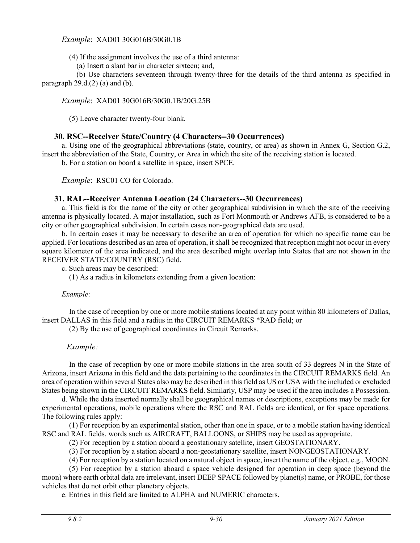#### *Example*: XAD01 30G016B/30G0.1B

(4) If the assignment involves the use of a third antenna:

(a) Insert a slant bar in character sixteen; and,

(b) Use characters seventeen through twenty-three for the details of the third antenna as specified in paragraph  $29.d.(2)$  (a) and (b).

#### *Example*: XAD01 30G016B/30G0.1B/20G.25B

(5) Leave character twenty-four blank.

#### **30. RSC--Receiver State/Country (4 Characters--30 Occurrences)**

a. Using one of the geographical abbreviations (state, country, or area) as shown in Annex G, Section G.2, insert the abbreviation of the State, Country, or Area in which the site of the receiving station is located.

b. For a station on board a satellite in space, insert SPCE.

*Example*: RSC01 CO for Colorado.

#### **31. RAL--Receiver Antenna Location (24 Characters--30 Occurrences)**

a. This field is for the name of the city or other geographical subdivision in which the site of the receiving antenna is physically located. A major installation, such as Fort Monmouth or Andrews AFB, is considered to be a city or other geographical subdivision. In certain cases non-geographical data are used.

b. In certain cases it may be necessary to describe an area of operation for which no specific name can be applied. For locations described as an area of operation, it shall be recognized that reception might not occur in every square kilometer of the area indicated, and the area described might overlap into States that are not shown in the RECEIVER STATE/COUNTRY (RSC) field.

c. Such areas may be described:

(1) As a radius in kilometers extending from a given location:

#### *Example*:

In the case of reception by one or more mobile stations located at any point within 80 kilometers of Dallas, insert DALLAS in this field and a radius in the CIRCUIT REMARKS \*RAD field; or

(2) By the use of geographical coordinates in Circuit Remarks.

#### *Example:*

In the case of reception by one or more mobile stations in the area south of 33 degrees N in the State of Arizona, insert Arizona in this field and the data pertaining to the coordinates in the CIRCUIT REMARKS field. An area of operation within several States also may be described in this field as US or USA with the included or excluded States being shown in the CIRCUIT REMARKS field. Similarly, USP may be used if the area includes a Possession.

d. While the data inserted normally shall be geographical names or descriptions, exceptions may be made for experimental operations, mobile operations where the RSC and RAL fields are identical, or for space operations. The following rules apply:

(1) For reception by an experimental station, other than one in space, or to a mobile station having identical RSC and RAL fields, words such as AIRCRAFT, BALLOONS, or SHIPS may be used as appropriate.

(2) For reception by a station aboard a geostationary satellite, insert GEOSTATIONARY.

(3) For reception by a station aboard a non-geostationary satellite, insert NONGEOSTATIONARY.

(4) For reception by a station located on a natural object in space, insert the name of the object, e.g., MOON.

(5) For reception by a station aboard a space vehicle designed for operation in deep space (beyond the moon) where earth orbital data are irrelevant, insert DEEP SPACE followed by planet(s) name, or PROBE, for those vehicles that do not orbit other planetary objects.

e. Entries in this field are limited to ALPHA and NUMERIC characters.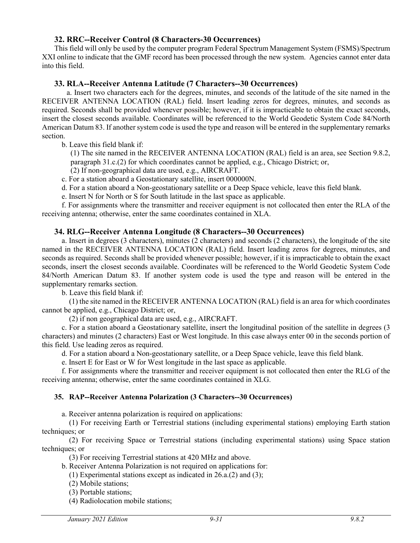### **32. RRC--Receiver Control (8 Characters-30 Occurrences)**

This field will only be used by the computer program Federal Spectrum Management System (FSMS)/Spectrum XXI online to indicate that the GMF record has been processed through the new system. Agencies cannot enter data into this field.

### **33. RLA--Receiver Antenna Latitude (7 Characters--30 Occurrences)**

a. Insert two characters each for the degrees, minutes, and seconds of the latitude of the site named in the RECEIVER ANTENNA LOCATION (RAL) field. Insert leading zeros for degrees, minutes, and seconds as required. Seconds shall be provided whenever possible; however, if it is impracticable to obtain the exact seconds, insert the closest seconds available. Coordinates will be referenced to the World Geodetic System Code 84/North American Datum 83. If another system code is used the type and reason will be entered in the supplementary remarks section.

b. Leave this field blank if:

(1) The site named in the RECEIVER ANTENNA LOCATION (RAL) field is an area, see Section 9.8.2, paragraph 31.c.(2) for which coordinates cannot be applied, e.g., Chicago District; or,

(2) If non-geographical data are used, e.g., AIRCRAFT.

c. For a station aboard a Geostationary satellite, insert 000000N.

d. For a station aboard a Non-geostationary satellite or a Deep Space vehicle, leave this field blank.

e. Insert N for North or S for South latitude in the last space as applicable.

f. For assignments where the transmitter and receiver equipment is not collocated then enter the RLA of the receiving antenna; otherwise, enter the same coordinates contained in XLA.

#### **34. RLG--Receiver Antenna Longitude (8 Characters--30 Occurrences)**

a. Insert in degrees (3 characters), minutes (2 characters) and seconds (2 characters), the longitude of the site named in the RECEIVER ANTENNA LOCATION (RAL) field. Insert leading zeros for degrees, minutes, and seconds as required. Seconds shall be provided whenever possible; however, if it is impracticable to obtain the exact seconds, insert the closest seconds available. Coordinates will be referenced to the World Geodetic System Code 84/North American Datum 83. If another system code is used the type and reason will be entered in the supplementary remarks section.

b. Leave this field blank if:

(1) the site named in the RECEIVER ANTENNA LOCATION (RAL) field is an area for which coordinates cannot be applied, e.g., Chicago District; or,

(2) if non geographical data are used, e.g., AIRCRAFT.

c. For a station aboard a Geostationary satellite, insert the longitudinal position of the satellite in degrees (3 characters) and minutes (2 characters) East or West longitude. In this case always enter 00 in the seconds portion of this field. Use leading zeros as required.

d. For a station aboard a Non-geostationary satellite, or a Deep Space vehicle, leave this field blank.

e. Insert E for East or W for West longitude in the last space as applicable.

f. For assignments where the transmitter and receiver equipment is not collocated then enter the RLG of the receiving antenna; otherwise, enter the same coordinates contained in XLG.

#### **35. RAP--Receiver Antenna Polarization (3 Characters--30 Occurrences)**

a. Receiver antenna polarization is required on applications:

(1) For receiving Earth or Terrestrial stations (including experimental stations) employing Earth station techniques; or

(2) For receiving Space or Terrestrial stations (including experimental stations) using Space station techniques; or

(3) For receiving Terrestrial stations at 420 MHz and above.

b. Receiver Antenna Polarization is not required on applications for:

(1) Experimental stations except as indicated in 26.a.(2) and (3);

- (2) Mobile stations;
- (3) Portable stations;
- (4) Radiolocation mobile stations;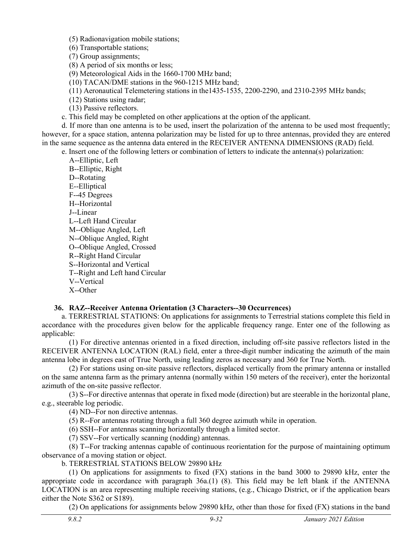(5) Radionavigation mobile stations;

(6) Transportable stations;

(7) Group assignments;

(8) A period of six months or less;

(9) Meteorological Aids in the 1660-1700 MHz band;

(10) TACAN/DME stations in the 960-1215 MHz band;

(11) Aeronautical Telemetering stations in the1435-1535, 2200-2290, and 2310-2395 MHz bands;

(12) Stations using radar;

(13) Passive reflectors.

c. This field may be completed on other applications at the option of the applicant.

d. If more than one antenna is to be used, insert the polarization of the antenna to be used most frequently; however, for a space station, antenna polarization may be listed for up to three antennas, provided they are entered in the same sequence as the antenna data entered in the RECEIVER ANTENNA DIMENSIONS (RAD) field.

e. Insert one of the following letters or combination of letters to indicate the antenna(s) polarization:

A--Elliptic, Left B--Elliptic, Right D--Rotating E--Elliptical F--45 Degrees H--Horizontal J--Linear L--Left Hand Circular M--Oblique Angled, Left N--Oblique Angled, Right O--Oblique Angled, Crossed R--Right Hand Circular S--Horizontal and Vertical T--Right and Left hand Circular V--Vertical X--Other

#### **36. RAZ--Receiver Antenna Orientation (3 Characters--30 Occurrences)**

a. TERRESTRIAL STATIONS: On applications for assignments to Terrestrial stations complete this field in accordance with the procedures given below for the applicable frequency range. Enter one of the following as applicable:

(1) For directive antennas oriented in a fixed direction, including off-site passive reflectors listed in the RECEIVER ANTENNA LOCATION (RAL) field, enter a three-digit number indicating the azimuth of the main antenna lobe in degrees east of True North, using leading zeros as necessary and 360 for True North.

(2) For stations using on-site passive reflectors, displaced vertically from the primary antenna or installed on the same antenna farm as the primary antenna (normally within 150 meters of the receiver), enter the horizontal azimuth of the on-site passive reflector.

(3) S--For directive antennas that operate in fixed mode (direction) but are steerable in the horizontal plane, e.g., steerable log periodic.

(4) ND--For non directive antennas.

(5) R--For antennas rotating through a full 360 degree azimuth while in operation.

(6) SSH--For antennas scanning horizontally through a limited sector.

(7) SSV--For vertically scanning (nodding) antennas.

(8) T--For tracking antennas capable of continuous reorientation for the purpose of maintaining optimum observance of a moving station or object.

b. TERRESTRIAL STATIONS BELOW 29890 kHz

(1) On applications for assignments to fixed (FX) stations in the band 3000 to 29890 kHz, enter the appropriate code in accordance with paragraph 36a.(1) (8). This field may be left blank if the ANTENNA LOCATION is an area representing multiple receiving stations, (e.g., Chicago District, or if the application bears either the Note S362 or S189).

(2) On applications for assignments below 29890 kHz, other than those for fixed (FX) stations in the band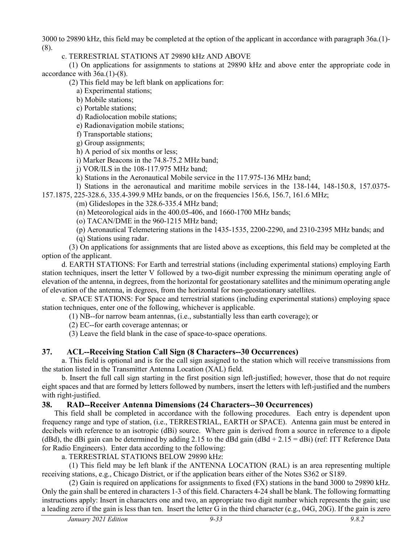3000 to 29890 kHz, this field may be completed at the option of the applicant in accordance with paragraph 36a.(1)- (8).

c. TERRESTRIAL STATIONS AT 29890 kHz AND ABOVE

(1) On applications for assignments to stations at 29890 kHz and above enter the appropriate code in accordance with 36a.(1)-(8).

(2) This field may be left blank on applications for:

a) Experimental stations;

b) Mobile stations;

c) Portable stations;

d) Radiolocation mobile stations;

e) Radionavigation mobile stations;

f) Transportable stations;

g) Group assignments;

h) A period of six months or less;

i) Marker Beacons in the 74.8-75.2 MHz band;

j) VOR/ILS in the 108-117.975 MHz band;

k) Stations in the Aeronautical Mobile service in the 117.975-136 MHz band;

l) Stations in the aeronautical and maritime mobile services in the 138-144, 148-150.8, 157.0375-

157.1875, 225-328.6, 335.4-399.9 MHz bands, or on the frequencies 156.6, 156.7, 161.6 MHz;

(m) Glideslopes in the 328.6-335.4 MHz band;

(n) Meteorological aids in the 400.05-406, and 1660-1700 MHz bands;

(o) TACAN/DME in the 960-1215 MHz band;

(p) Aeronautical Telemetering stations in the 1435-1535, 2200-2290, and 2310-2395 MHz bands; and

(q) Stations using radar.

(3) On applications for assignments that are listed above as exceptions, this field may be completed at the option of the applicant.

d. EARTH STATIONS: For Earth and terrestrial stations (including experimental stations) employing Earth station techniques, insert the letter V followed by a two-digit number expressing the minimum operating angle of elevation of the antenna, in degrees, from the horizontal for geostationary satellites and the minimum operating angle of elevation of the antenna, in degrees, from the horizontal for non-geostationary satellites.

e. SPACE STATIONS: For Space and terrestrial stations (including experimental stations) employing space station techniques, enter one of the following, whichever is applicable.

(1) NB--for narrow beam antennas, (i.e., substantially less than earth coverage); or

(2) EC--for earth coverage antennas; or

(3) Leave the field blank in the case of space-to-space operations.

#### **37. ACL--Receiving Station Call Sign (8 Characters--30 Occurrences)**

a. This field is optional and is for the call sign assigned to the station which will receive transmissions from the station listed in the Transmitter Antenna Location (XAL) field.

b. Insert the full call sign starting in the first position sign left-justified; however, those that do not require eight spaces and that are formed by letters followed by numbers, insert the letters with left-justified and the numbers with right-justified.

#### **38. RAD--Receiver Antenna Dimensions (24 Characters--30 Occurrences)**

This field shall be completed in accordance with the following procedures. Each entry is dependent upon frequency range and type of station, (i.e., TERRESTRIAL, EARTH or SPACE). Antenna gain must be entered in decibels with reference to an isotropic (dBi) source. Where gain is derived from a source in reference to a dipole (dBd), the dBi gain can be determined by adding 2.15 to the dBd gain  $(dBd + 2.15 = dBi)$  (ref: ITT Reference Data for Radio Engineers). Enter data according to the following:

a. TERRESTRIAL STATIONS BELOW 29890 kHz:

(1) This field may be left blank if the ANTENNA LOCATION (RAL) is an area representing multiple receiving stations, e.g., Chicago District, or if the application bears either of the Notes S362 or S189.

(2) Gain is required on applications for assignments to fixed (FX) stations in the band 3000 to 29890 kHz. Only the gain shall be entered in characters 1-3 of this field. Characters 4-24 shall be blank. The following formatting instructions apply: Insert in characters one and two, an appropriate two digit number which represents the gain; use a leading zero if the gain is less than ten. Insert the letter G in the third character (e.g., 04G, 20G). If the gain is zero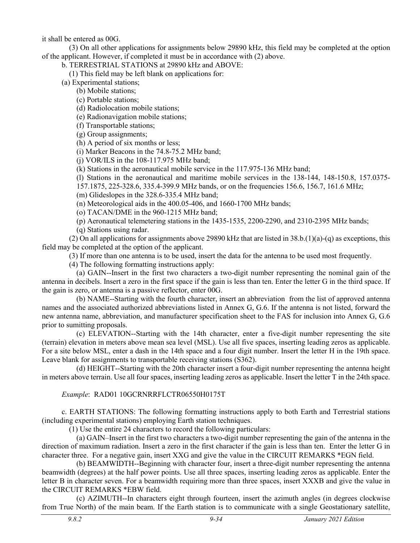it shall be entered as 00G.

(3) On all other applications for assignments below 29890 kHz, this field may be completed at the option of the applicant. However, if completed it must be in accordance with (2) above.

b. TERRESTRIAL STATIONS at 29890 kHz and ABOVE:

(1) This field may be left blank on applications for:

(a) Experimental stations;

(b) Mobile stations;

(c) Portable stations;

(d) Radiolocation mobile stations;

(e) Radionavigation mobile stations;

(f) Transportable stations;

(g) Group assignments;

(h) A period of six months or less;

(i) Marker Beacons in the 74.8-75.2 MHz band;

(j) VOR/ILS in the 108-117.975 MHz band;

(k) Stations in the aeronautical mobile service in the 117.975-136 MHz band;

(l) Stations in the aeronautical and maritime mobile services in the 138-144, 148-150.8, 157.0375-

157.1875, 225-328.6, 335.4-399.9 MHz bands, or on the frequencies 156.6, 156.7, 161.6 MHz;

(m) Glideslopes in the 328.6-335.4 MHz band;

(n) Meteorological aids in the 400.05-406, and 1660-1700 MHz bands;

(o) TACAN/DME in the 960-1215 MHz band;

(p) Aeronautical telemetering stations in the 1435-1535, 2200-2290, and 2310-2395 MHz bands;

(q) Stations using radar.

(2) On all applications for assignments above 29890 kHz that are listed in  $38.b(1)(a)-(q)$  as exceptions, this field may be completed at the option of the applicant.

(3) If more than one antenna is to be used, insert the data for the antenna to be used most frequently.

(4) The following formatting instructions apply:

(a) GAIN--Insert in the first two characters a two-digit number representing the nominal gain of the antenna in decibels. Insert a zero in the first space if the gain is less than ten. Enter the letter G in the third space. If the gain is zero, or antenna is a passive reflector, enter 00G.

(b) NAME--Starting with the fourth character, insert an abbreviation from the list of approved antenna names and the associated authorized abbreviations listed in Annex G, G.6. If the antenna is not listed, forward the new antenna name, abbreviation, and manufacturer specification sheet to the FAS for inclusion into Annex G, G.6 prior to sumitting proposals.

(c) ELEVATION--Starting with the 14th character, enter a five-digit number representing the site (terrain) elevation in meters above mean sea level (MSL). Use all five spaces, inserting leading zeros as applicable. For a site below MSL, enter a dash in the 14th space and a four digit number. Insert the letter H in the 19th space. Leave blank for assignments to transportable receiving stations (S362).

(d) HEIGHT--Starting with the 20th character insert a four-digit number representing the antenna height in meters above terrain. Use all four spaces, inserting leading zeros as applicable. Insert the letter T in the 24th space.

*Example*: RAD01 10GCRNRRFLCTR06550H0175T

c. EARTH STATIONS: The following formatting instructions apply to both Earth and Terrestrial stations (including experimental stations) employing Earth station techniques.

(1) Use the entire 24 characters to record the following particulars:

(a) GAIN–Insert in the first two characters a two-digit number representing the gain of the antenna in the direction of maximum radiation. Insert a zero in the first character if the gain is less than ten. Enter the letter G in character three. For a negative gain, insert XXG and give the value in the CIRCUIT REMARKS \*EGN field.

(b) BEAMWIDTH--Beginning with character four, insert a three-digit number representing the antenna beamwidth (degrees) at the half power points. Use all three spaces, inserting leading zeros as applicable. Enter the letter B in character seven. For a beamwidth requiring more than three spaces, insert XXXB and give the value in the CIRCUIT REMARKS \*EBW field.

(c) AZIMUTH--In characters eight through fourteen, insert the azimuth angles (in degrees clockwise from True North) of the main beam. If the Earth station is to communicate with a single Geostationary satellite,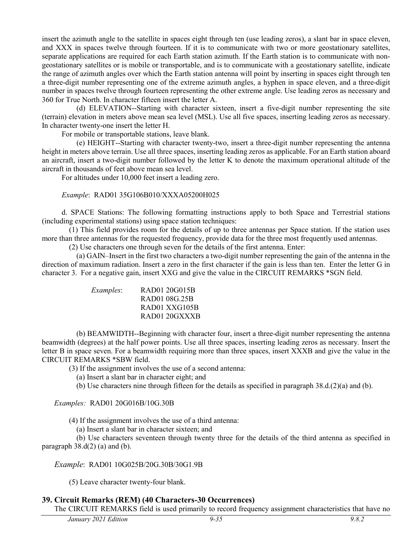insert the azimuth angle to the satellite in spaces eight through ten (use leading zeros), a slant bar in space eleven, and XXX in spaces twelve through fourteen. If it is to communicate with two or more geostationary satellites, separate applications are required for each Earth station azimuth. If the Earth station is to communicate with nongeostationary satellites or is mobile or transportable, and is to communicate with a geostationary satellite, indicate the range of azimuth angles over which the Earth station antenna will point by inserting in spaces eight through ten a three-digit number representing one of the extreme azimuth angles, a hyphen in space eleven, and a three-digit number in spaces twelve through fourteen representing the other extreme angle. Use leading zeros as necessary and 360 for True North. In character fifteen insert the letter A.

(d) ELEVATION--Starting with character sixteen, insert a five-digit number representing the site (terrain) elevation in meters above mean sea level (MSL). Use all five spaces, inserting leading zeros as necessary. In character twenty-one insert the letter H.

For mobile or transportable stations, leave blank.

(e) HEIGHT--Starting with character twenty-two, insert a three-digit number representing the antenna height in meters above terrain. Use all three spaces, inserting leading zeros as applicable. For an Earth station aboard an aircraft, insert a two-digit number followed by the letter K to denote the maximum operational altitude of the aircraft in thousands of feet above mean sea level.

For altitudes under 10,000 feet insert a leading zero.

*Example*: RAD01 35G106B010/XXXA05200H025

d. SPACE Stations: The following formatting instructions apply to both Space and Terrestrial stations (including experimental stations) using space station techniques:

(1) This field provides room for the details of up to three antennas per Space station. If the station uses more than three antennas for the requested frequency, provide data for the three most frequently used antennas.

(2) Use characters one through seven for the details of the first antenna. Enter:

(a) GAIN–Insert in the first two characters a two-digit number representing the gain of the antenna in the direction of maximum radiation. Insert a zero in the first character if the gain is less than ten. Enter the letter G in character 3. For a negative gain, insert XXG and give the value in the CIRCUIT REMARKS \*SGN field.

| <i>Examples:</i> | RAD01 20G015B |
|------------------|---------------|
|                  | RAD01 08G.25B |
|                  | RAD01 XXG105B |
|                  | RAD01 20GXXXB |

(b) BEAMWIDTH--Beginning with character four, insert a three-digit number representing the antenna beamwidth (degrees) at the half power points. Use all three spaces, inserting leading zeros as necessary. Insert the letter B in space seven. For a beamwidth requiring more than three spaces, insert XXXB and give the value in the CIRCUIT REMARKS \*SBW field.

(3) If the assignment involves the use of a second antenna:

(a) Insert a slant bar in character eight; and

(b) Use characters nine through fifteen for the details as specified in paragraph 38.d.(2)(a) and (b).

*Examples:* RAD01 20G016B/10G.30B

(4) If the assignment involves the use of a third antenna:

(a) Insert a slant bar in character sixteen; and

(b) Use characters seventeen through twenty three for the details of the third antenna as specified in paragraph  $38.d(2)$  (a) and (b).

*Example*: RAD01 10G025B/20G.30B/30G1.9B

(5) Leave character twenty-four blank.

#### **39. Circuit Remarks (REM) (40 Characters-30 Occurrences)**

The CIRCUIT REMARKS field is used primarily to record frequency assignment characteristics that have no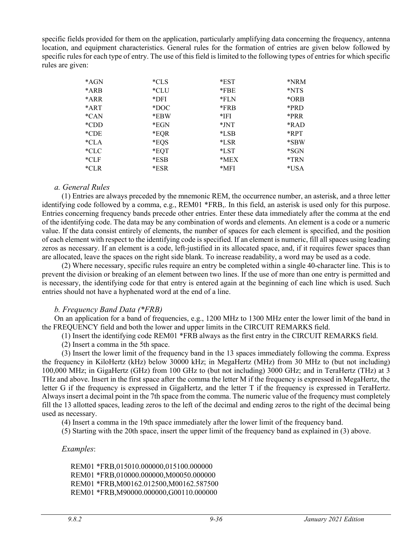specific fields provided for them on the application, particularly amplifying data concerning the frequency, antenna location, and equipment characteristics. General rules for the formation of entries are given below followed by specific rules for each type of entry. The use of this field is limited to the following types of entries for which specific rules are given:

| $*AGN$  | $*CI.S$ | *EST    | *NRM   |
|---------|---------|---------|--------|
| *ARB    | *CLU    | $*$ FBE | *NTS   |
| *ARR    | *DFI    | *FLN    | *ORB   |
| *ART    | $*DOC$  | *FRB    | *PRD   |
| $*CAN$  | *EBW    | $*$ IFI | *PRR   |
| $*CDD$  | *EGN    | $*INT$  | $*RAD$ |
| $*$ CDE | *EQR    | *LSB    | *RPT   |
| $^*CLA$ | *EQS    | *LSR    | *SBW   |
| $*CLC$  | *EQT    | $*LST$  | *SGN   |
| $^*CLF$ | *ESB    | $*MEX$  | $*TRN$ |
| $*CLR$  | *ESR    | *MFI    | *USA   |

#### *a. General Rules*

(1) Entries are always preceded by the mnemonic REM, the occurrence number, an asterisk, and a three letter identifying code followed by a comma, e.g., REM01 \*FRB,. In this field, an asterisk is used only for this purpose. Entries concerning frequency bands precede other entries. Enter these data immediately after the comma at the end of the identifying code. The data may be any combination of words and elements. An element is a code or a numeric value. If the data consist entirely of elements, the number of spaces for each element is specified, and the position of each element with respect to the identifying code is specified. If an element is numeric, fill all spaces using leading zeros as necessary. If an element is a code, left-justified in its allocated space, and, if it requires fewer spaces than are allocated, leave the spaces on the right side blank. To increase readability, a word may be used as a code.

(2) Where necessary, specific rules require an entry be completed within a single 40-character line. This is to prevent the division or breaking of an element between two lines. If the use of more than one entry is permitted and is necessary, the identifying code for that entry is entered again at the beginning of each line which is used. Such entries should not have a hyphenated word at the end of a line.

#### *b. Frequency Band Data (\*FRB)*

On an application for a band of frequencies, e.g., 1200 MHz to 1300 MHz enter the lower limit of the band in the FREQUENCY field and both the lower and upper limits in the CIRCUIT REMARKS field.

(1) Insert the identifying code REM01 \*FRB always as the first entry in the CIRCUIT REMARKS field.

(2) Insert a comma in the 5th space.

(3) Insert the lower limit of the frequency band in the 13 spaces immediately following the comma. Express the frequency in KiloHertz (kHz) below 30000 kHz; in MegaHertz (MHz) from 30 MHz to (but not including) 100,000 MHz; in GigaHertz (GHz) from 100 GHz to (but not including) 3000 GHz; and in TeraHertz (THz) at 3 THz and above. Insert in the first space after the comma the letter M if the frequency is expressed in MegaHertz, the letter G if the frequency is expressed in GigaHertz, and the letter T if the frequency is expressed in TeraHertz. Always insert a decimal point in the 7th space from the comma. The numeric value of the frequency must completely fill the 13 allotted spaces, leading zeros to the left of the decimal and ending zeros to the right of the decimal being used as necessary.

(4) Insert a comma in the 19th space immediately after the lower limit of the frequency band.

(5) Starting with the 20th space, insert the upper limit of the frequency band as explained in (3) above.

#### *Examples*:

REM01 \*FRB,015010.000000,015100.000000 REM01 \*FRB,010000.000000,M00050.000000 REM01 \*FRB,M00162.012500,M00162.587500 REM01 \*FRB,M90000.000000,G00110.000000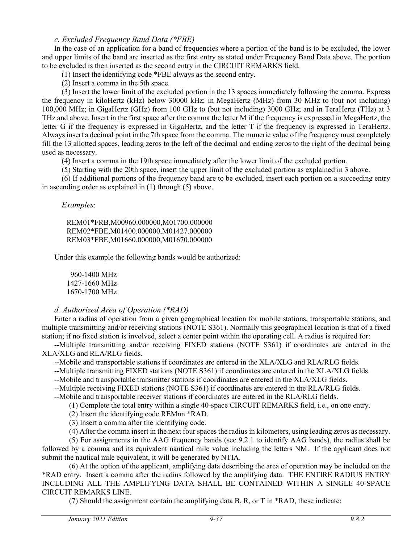## *c. Excluded Frequency Band Data (\*FBE)*

In the case of an application for a band of frequencies where a portion of the band is to be excluded, the lower and upper limits of the band are inserted as the first entry as stated under Frequency Band Data above. The portion to be excluded is then inserted as the second entry in the CIRCUIT REMARKS field.

(1) Insert the identifying code \*FBE always as the second entry.

(2) Insert a comma in the 5th space.

(3) Insert the lower limit of the excluded portion in the 13 spaces immediately following the comma. Express the frequency in kiloHertz (kHz) below 30000 kHz; in MegaHertz (MHz) from 30 MHz to (but not including) 100,000 MHz; in GigaHertz (GHz) from 100 GHz to (but not including) 3000 GHz; and in TeraHertz (THz) at 3 THz and above. Insert in the first space after the comma the letter M if the frequency is expressed in MegaHertz, the letter G if the frequency is expressed in GigaHertz, and the letter T if the frequency is expressed in TeraHertz. Always insert a decimal point in the 7th space from the comma. The numeric value of the frequency must completely fill the 13 allotted spaces, leading zeros to the left of the decimal and ending zeros to the right of the decimal being used as necessary.

(4) Insert a comma in the 19th space immediately after the lower limit of the excluded portion.

(5) Starting with the 20th space, insert the upper limit of the excluded portion as explained in 3 above.

(6) If additional portions of the frequency band are to be excluded, insert each portion on a succeeding entry in ascending order as explained in (1) through (5) above.

#### *Examples*:

REM01\*FRB,M00960.000000,M01700.000000 REM02\*FBE,M01400.000000,M01427.000000 REM03\*FBE,M01660.000000,M01670.000000

Under this example the following bands would be authorized:

 960-1400 MHz 1427-1660 MHz 1670-1700 MHz

#### *d. Authorized Area of Operation (\*RAD)*

Enter a radius of operation from a given geographical location for mobile stations, transportable stations, and multiple transmitting and/or receiving stations (NOTE S361). Normally this geographical location is that of a fixed station; if no fixed station is involved, select a center point within the operating cell. A radius is required for:

--Multiple transmitting and/or receiving FIXED stations (NOTE S361) if coordinates are entered in the XLA/XLG and RLA/RLG fields.

--Mobile and transportable stations if coordinates are entered in the XLA/XLG and RLA/RLG fields.

--Multiple transmitting FIXED stations (NOTE S361) if coordinates are entered in the XLA/XLG fields.

--Mobile and transportable transmitter stations if coordinates are entered in the XLA/XLG fields.

--Multiple receiving FIXED stations (NOTE S361) if coordinates are entered in the RLA/RLG fields.

--Mobile and transportable receiver stations if coordinates are entered in the RLA/RLG fields.

(1) Complete the total entry within a single 40-space CIRCUIT REMARKS field, i.e., on one entry.

(2) Insert the identifying code REMnn \*RAD.

(3) Insert a comma after the identifying code.

(4) After the comma insert in the next four spaces the radius in kilometers, using leading zeros as necessary.

(5) For assignments in the AAG frequency bands (see 9.2.1 to identify AAG bands), the radius shall be followed by a comma and its equivalent nautical mile value including the letters NM. If the applicant does not submit the nautical mile equivalent, it will be generated by NTIA.

(6) At the option of the applicant, amplifying data describing the area of operation may be included on the \*RAD entry. Insert a comma after the radius followed by the amplifying data. THE ENTIRE RADIUS ENTRY INCLUDING ALL THE AMPLIFYING DATA SHALL BE CONTAINED WITHIN A SINGLE 40-SPACE CIRCUIT REMARKS LINE.

(7) Should the assignment contain the amplifying data B, R, or T in \*RAD, these indicate: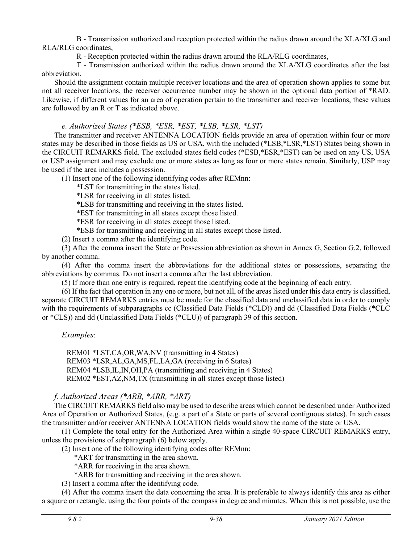B - Transmission authorized and reception protected within the radius drawn around the XLA/XLG and RLA/RLG coordinates,

R - Reception protected within the radius drawn around the RLA/RLG coordinates,

T - Transmission authorized within the radius drawn around the XLA/XLG coordinates after the last abbreviation.

Should the assignment contain multiple receiver locations and the area of operation shown applies to some but not all receiver locations, the receiver occurrence number may be shown in the optional data portion of \*RAD. Likewise, if different values for an area of operation pertain to the transmitter and receiver locations, these values are followed by an R or T as indicated above.

## *e. Authorized States (\*ESB, \*ESR, \*EST, \*LSB, \*LSR, \*LST)*

The transmitter and receiver ANTENNA LOCATION fields provide an area of operation within four or more states may be described in those fields as US or USA, with the included (\*LSB,\*LSR,\*LST) States being shown in the CIRCUIT REMARKS field. The excluded states field codes (\*ESB,\*ESR,\*EST) can be used on any US, USA or USP assignment and may exclude one or more states as long as four or more states remain. Similarly, USP may be used if the area includes a possession.

(1) Insert one of the following identifying codes after REMnn:

\*LST for transmitting in the states listed.

\*LSR for receiving in all states listed.

\*LSB for transmitting and receiving in the states listed.

\*EST for transmitting in all states except those listed.

\*ESR for receiving in all states except those listed.

\*ESB for transmitting and receiving in all states except those listed.

(2) Insert a comma after the identifying code.

(3) After the comma insert the State or Possession abbreviation as shown in Annex G, Section G.2, followed by another comma.

(4) After the comma insert the abbreviations for the additional states or possessions, separating the abbreviations by commas. Do not insert a comma after the last abbreviation.

(5) If more than one entry is required, repeat the identifying code at the beginning of each entry.

(6) If the fact that operation in any one or more, but not all, of the areas listed under this data entry is classified, separate CIRCUIT REMARKS entries must be made for the classified data and unclassified data in order to comply with the requirements of subparagraphs cc (Classified Data Fields (\*CLD)) and dd (Classified Data Fields (\*CLC or \*CLS)) and dd (Unclassified Data Fields (\*CLU)) of paragraph 39 of this section.

## *Examples*:

REM01 \*LST,CA,OR,WA,NV (transmitting in 4 States) REM03 \*LSR,AL,GA,MS,FL,LA,GA (receiving in 6 States) REM04 \*LSB,IL,IN,OH,PA (transmitting and receiving in 4 States) REM02 \*EST,AZ,NM,TX (transmitting in all states except those listed)

## *f. Authorized Areas (\*ARB, \*ARR, \*ART)*

The CIRCUIT REMARKS field also may be used to describe areas which cannot be described under Authorized Area of Operation or Authorized States, (e.g. a part of a State or parts of several contiguous states). In such cases the transmitter and/or receiver ANTENNA LOCATION fields would show the name of the state or USA.

(1) Complete the total entry for the Authorized Area within a single 40-space CIRCUIT REMARKS entry, unless the provisions of subparagraph (6) below apply.

(2) Insert one of the following identifying codes after REMnn:

\*ART for transmitting in the area shown.

\*ARR for receiving in the area shown.

\*ARB for transmitting and receiving in the area shown.

(3) Insert a comma after the identifying code.

(4) After the comma insert the data concerning the area. It is preferable to always identify this area as either a square or rectangle, using the four points of the compass in degree and minutes. When this is not possible, use the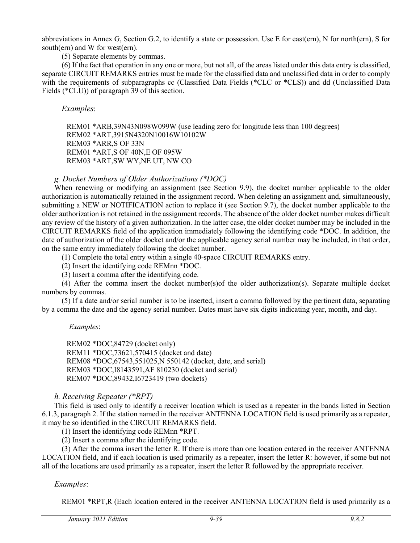abbreviations in Annex G, Section G.2, to identify a state or possession. Use E for east(ern), N for north(ern), S for south(ern) and W for west(ern).

(5) Separate elements by commas.

(6) If the fact that operation in any one or more, but not all, of the areas listed under this data entry is classified, separate CIRCUIT REMARKS entries must be made for the classified data and unclassified data in order to comply with the requirements of subparagraphs cc (Classified Data Fields (\*CLC or \*CLS)) and dd (Unclassified Data Fields (\*CLU)) of paragraph 39 of this section.

*Examples*:

REM01 \*ARB,39N43N098W099W (use leading zero for longitude less than 100 degrees) REM02 \*ART,3915N4320N10016W10102W REM03 \*ARR,S OF 33N REM01 \*ART,S OF 40N,E OF 095W REM03 \*ART,SW WY,NE UT, NW CO

*g. Docket Numbers of Older Authorizations (\*DOC)*

When renewing or modifying an assignment (see Section 9.9), the docket number applicable to the older authorization is automatically retained in the assignment record. When deleting an assignment and, simultaneously, submitting a NEW or NOTIFICATION action to replace it (see Section 9.7), the docket number applicable to the older authorization is not retained in the assignment records. The absence of the older docket number makes difficult any review of the history of a given authorization. In the latter case, the older docket number may be included in the CIRCUIT REMARKS field of the application immediately following the identifying code \*DOC. In addition, the date of authorization of the older docket and/or the applicable agency serial number may be included, in that order, on the same entry immediately following the docket number.

(1) Complete the total entry within a single 40-space CIRCUIT REMARKS entry.

(2) Insert the identifying code REMnn \*DOC.

(3) Insert a comma after the identifying code.

(4) After the comma insert the docket number(s)of the older authorization(s). Separate multiple docket numbers by commas.

(5) If a date and/or serial number is to be inserted, insert a comma followed by the pertinent data, separating by a comma the date and the agency serial number. Dates must have six digits indicating year, month, and day.

*Examples*:

REM02 \*DOC,84729 (docket only) REM11 \*DOC,73621,570415 (docket and date) REM08 \*DOC,67543,551025,N 550142 (docket, date, and serial) REM03 \*DOC,I8143591,AF 810230 (docket and serial) REM07 \*DOC,89432,I6723419 (two dockets)

## *h. Receiving Repeater (\*RPT)*

This field is used only to identify a receiver location which is used as a repeater in the bands listed in Section 6.1.3, paragraph 2. If the station named in the receiver ANTENNA LOCATION field is used primarily as a repeater, it may be so identified in the CIRCUIT REMARKS field.

(1) Insert the identifying code REMnn \*RPT.

(2) Insert a comma after the identifying code.

(3) After the comma insert the letter R. If there is more than one location entered in the receiver ANTENNA LOCATION field, and if each location is used primarily as a repeater, insert the letter R: however, if some but not all of the locations are used primarily as a repeater, insert the letter R followed by the appropriate receiver.

## *Examples*:

REM01 \*RPT,R (Each location entered in the receiver ANTENNA LOCATION field is used primarily as a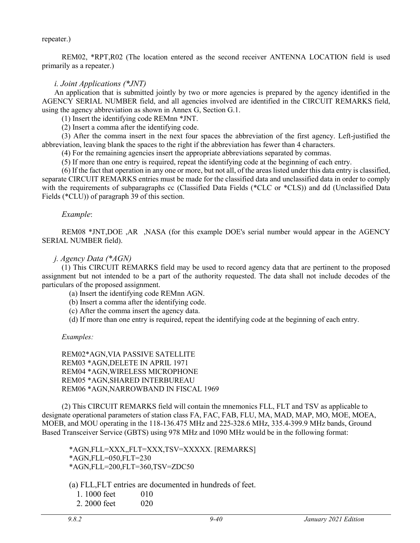repeater.)

REM02, \*RPT,R02 (The location entered as the second receiver ANTENNA LOCATION field is used primarily as a repeater.)

## *i. Joint Applications (\*JNT)*

An application that is submitted jointly by two or more agencies is prepared by the agency identified in the AGENCY SERIAL NUMBER field, and all agencies involved are identified in the CIRCUIT REMARKS field, using the agency abbreviation as shown in Annex G, Section G.1.

(1) Insert the identifying code REMnn \*JNT.

(2) Insert a comma after the identifying code.

(3) After the comma insert in the next four spaces the abbreviation of the first agency. Left-justified the abbreviation, leaving blank the spaces to the right if the abbreviation has fewer than 4 characters.

(4) For the remaining agencies insert the appropriate abbreviations separated by commas.

(5) If more than one entry is required, repeat the identifying code at the beginning of each entry.

(6) If the fact that operation in any one or more, but not all, of the areas listed under this data entry is classified, separate CIRCUIT REMARKS entries must be made for the classified data and unclassified data in order to comply with the requirements of subparagraphs cc (Classified Data Fields (\*CLC or \*CLS)) and dd (Unclassified Data Fields (\*CLU)) of paragraph 39 of this section.

### *Example*:

REM08 \*JNT,DOE ,AR ,NASA (for this example DOE's serial number would appear in the AGENCY SERIAL NUMBER field).

### *j. Agency Data (\*AGN)*

(1) This CIRCUIT REMARKS field may be used to record agency data that are pertinent to the proposed assignment but not intended to be a part of the authority requested. The data shall not include decodes of the particulars of the proposed assignment.

(a) Insert the identifying code REMnn AGN.

(b) Insert a comma after the identifying code.

(c) After the comma insert the agency data.

(d) If more than one entry is required, repeat the identifying code at the beginning of each entry.

#### *Examples:*

REM02\*AGN,VIA PASSIVE SATELLITE REM03 \*AGN,DELETE IN APRIL 1971 REM04 \*AGN,WIRELESS MICROPHONE REM05 \*AGN,SHARED INTERBUREAU REM06 \*AGN,NARROWBAND IN FISCAL 1969

(2) This CIRCUIT REMARKS field will contain the mnemonics FLL, FLT and TSV as applicable to designate operational parameters of station class FA, FAC, FAB, FLU, MA, MAD, MAP, MO, MOE, MOEA, MOEB, and MOU operating in the 118-136.475 MHz and 225-328.6 MHz, 335.4-399.9 MHz bands, Ground Based Transceiver Service (GBTS) using 978 MHz and 1090 MHz would be in the following format:

\*AGN,FLL=XXX,,FLT=XXX,TSV=XXXXX. [REMARKS] \*AGN,FLL=050,FLT=230 \*AGN,FLL=200,FLT=360,TSV=ZDC50

(a) FLL,FLT entries are documented in hundreds of feet. 1. 1000 feet 010 2. 2000 feet 020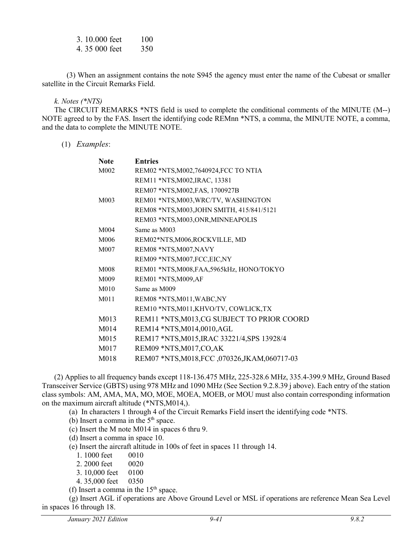| 3.10.000 feet | 100 |
|---------------|-----|
| 4.35 000 feet | 350 |

(3) When an assignment contains the note S945 the agency must enter the name of the Cubesat or smaller satellite in the Circuit Remarks Field.

#### *k. Notes (\*NTS)*

The CIRCUIT REMARKS \*NTS field is used to complete the conditional comments of the MINUTE (M--) NOTE agreed to by the FAS. Insert the identifying code REMnn \*NTS, a comma, the MINUTE NOTE, a comma, and the data to complete the MINUTE NOTE.

(1) *Examples*:

| <b>Note</b>      | <b>Entries</b>                                 |
|------------------|------------------------------------------------|
| M002             | REM02 *NTS, M002, 7640924, FCC TO NTIA         |
|                  | REM11 *NTS, M002, IRAC, 13381                  |
|                  | REM07 *NTS, M002, FAS, 1700927B                |
| M003             | REM01 *NTS, M003, WRC/TV, WASHINGTON           |
|                  | REM08 *NTS, M003, JOHN SMITH, 415/841/5121     |
|                  | REM03 *NTS, M003, ONR, MINNEAPOLIS             |
| M <sub>004</sub> | Same as M003                                   |
| M006             | REM02*NTS, M006, ROCKVILLE, MD                 |
| M007             | REM08 *NTS, M007, NAVY                         |
|                  | REM09 *NTS, M007, FCC, EIC, NY                 |
| M008             | REM01 *NTS, M008, FAA, 5965 kHz, HONO/TOKYO    |
| M009             | REM01 *NTS, M009, AF                           |
| M010             | Same as M009                                   |
| M011             | REM08 *NTS, M011, WABC, NY                     |
|                  | REM10 *NTS, M011, KHVO/TV, COWLICK, TX         |
| M013             | REM11 *NTS, M013, CG SUBJECT TO PRIOR COORD    |
| M014             | REM14 *NTS, M014, 0010, AGL                    |
| M015             | REM17 *NTS, M015, IRAC 33221/4, SPS 13928/4    |
| M017             | REM09 *NTS, M017, CO, AK                       |
| M018             | REM07 *NTS, M018, FCC, 070326, JKAM, 060717-03 |

(2) Applies to all frequency bands except 118-136.475 MHz, 225-328.6 MHz, 335.4-399.9 MHz, Ground Based Transceiver Service (GBTS) using 978 MHz and 1090 MHz (See Section 9.2.8.39 j above). Each entry of the station class symbols: AM, AMA, MA, MO, MOE, MOEA, MOEB, or MOU must also contain corresponding information on the maximum aircraft altitude (\*NTS,M014,).

(a) In characters 1 through 4 of the Circuit Remarks Field insert the identifying code \*NTS.

- (b) Insert a comma in the  $5<sup>th</sup>$  space.
- (c) Insert the M note M014 in spaces 6 thru 9.
- (d) Insert a comma in space 10.
- (e) Insert the aircraft altitude in 100s of feet in spaces 11 through 14.
	- 1. 1000 feet 0010
	- 2. 2000 feet 0020
	- 3. 10,000 feet 0100
	- 4. 35,000 feet 0350
- (f) Insert a comma in the  $15<sup>th</sup>$  space.

(g) Insert AGL if operations are Above Ground Level or MSL if operations are reference Mean Sea Level in spaces 16 through 18.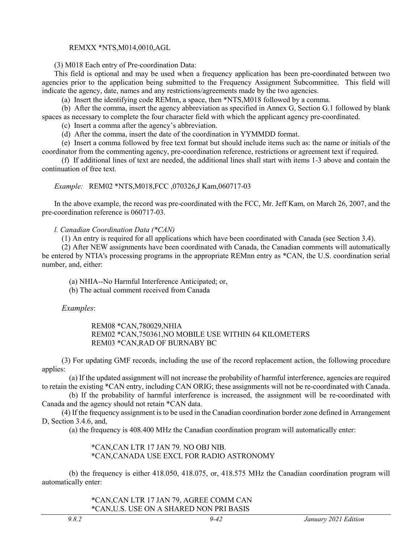### REMXX \*NTS,M014,0010,AGL

(3) M018 Each entry of Pre-coordination Data:

This field is optional and may be used when a frequency application has been pre-coordinated between two agencies prior to the application being submitted to the Frequency Assignment Subcommittee. This field will indicate the agency, date, names and any restrictions/agreements made by the two agencies.

(a) Insert the identifying code REMnn, a space, then \*NTS,M018 followed by a comma.

(b) After the comma, insert the agency abbreviation as specified in Annex G, Section G.1 followed by blank spaces as necessary to complete the four character field with which the applicant agency pre-coordinated.

(c) Insert a comma after the agency's abbreviation.

(d) After the comma, insert the date of the coordination in YYMMDD format.

(e) Insert a comma followed by free text format but should include items such as: the name or initials of the coordinator from the commenting agency, pre-coordination reference, restrictions or agreement text if required.

(f) If additional lines of text are needed, the additional lines shall start with items 1-3 above and contain the continuation of free text.

*Example:* REM02 \*NTS,M018,FCC ,070326,J Kam,060717-03

In the above example, the record was pre-coordinated with the FCC, Mr. Jeff Kam, on March 26, 2007, and the pre-coordination reference is 060717-03.

### *l. Canadian Coordination Data (\*CAN)*

(1) An entry is required for all applications which have been coordinated with Canada (see Section 3.4).

(2) After NEW assignments have been coordinated with Canada, the Canadian comments will automatically be entered by NTIA's processing programs in the appropriate REMnn entry as \*CAN, the U.S. coordination serial number, and, either:

(a) NHIA--No Harmful Interference Anticipated; or,

(b) The actual comment received from Canada

*Examples*:

REM08 \*CAN,780029,NHIA REM02 \*CAN,750361,NO MOBILE USE WITHIN 64 KILOMETERS REM03 \*CAN,RAD OF BURNABY BC

(3) For updating GMF records, including the use of the record replacement action, the following procedure applies:

(a) If the updated assignment will not increase the probability of harmful interference, agencies are required to retain the existing \*CAN entry, including CAN ORIG; these assignments will not be re-coordinated with Canada.

(b) If the probability of harmful interference is increased, the assignment will be re-coordinated with Canada and the agency should not retain \*CAN data.

(4) If the frequency assignment is to be used in the Canadian coordination border zone defined in Arrangement D, Section 3.4.6, and,

(a) the frequency is 408.400 MHz the Canadian coordination program will automatically enter:

\*CAN,CAN LTR 17 JAN 79. NO OBJ NIB. \*CAN,CANADA USE EXCL FOR RADIO ASTRONOMY

(b) the frequency is either 418.050, 418.075, or, 418.575 MHz the Canadian coordination program will automatically enter:

> \*CAN,CAN LTR 17 JAN 79, AGREE COMM CAN \*CAN,U.S. USE ON A SHARED NON PRI BASIS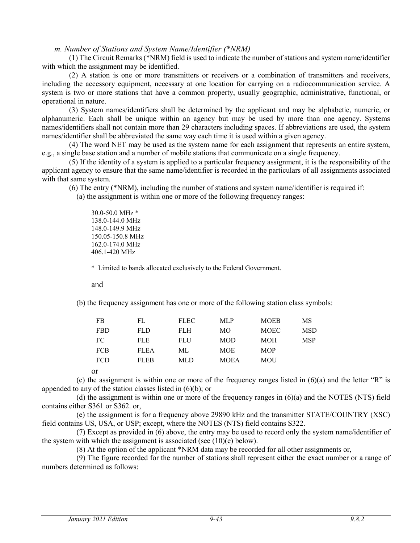*m. Number of Stations and System Name/Identifier (\*NRM)*

(1) The Circuit Remarks (\*NRM) field is used to indicate the number of stations and system name/identifier with which the assignment may be identified.

(2) A station is one or more transmitters or receivers or a combination of transmitters and receivers, including the accessory equipment, necessary at one location for carrying on a radiocommunication service. A system is two or more stations that have a common property, usually geographic, administrative, functional, or operational in nature.

(3) System names/identifiers shall be determined by the applicant and may be alphabetic, numeric, or alphanumeric. Each shall be unique within an agency but may be used by more than one agency. Systems names/identifiers shall not contain more than 29 characters including spaces. If abbreviations are used, the system names/identifier shall be abbreviated the same way each time it is used within a given agency.

(4) The word NET may be used as the system name for each assignment that represents an entire system, e.g., a single base station and a number of mobile stations that communicate on a single frequency.

(5) If the identity of a system is applied to a particular frequency assignment, it is the responsibility of the applicant agency to ensure that the same name/identifier is recorded in the particulars of all assignments associated with that same system.

(6) The entry (\*NRM), including the number of stations and system name/identifier is required if:

(a) the assignment is within one or more of the following frequency ranges:

30.0-50.0 MHz \* 138.0-144.0 MHz 148.0-149.9 MHz 150.05-150.8 MHz 162.0-174.0 MHz 406.1-420 MHz

\* Limited to bands allocated exclusively to the Federal Government.

and

(b) the frequency assignment has one or more of the following station class symbols:

| FB         | FL          | <b>FLEC</b> | <b>MLP</b>  | <b>MOEB</b> | MS         |
|------------|-------------|-------------|-------------|-------------|------------|
| <b>FBD</b> | <b>FLD</b>  | <b>FLH</b>  | MO.         | <b>MOEC</b> | <b>MSD</b> |
| FC.        | <b>FLE</b>  | FLU         | <b>MOD</b>  | <b>MOH</b>  | <b>MSP</b> |
| FCB        | <b>FLEA</b> | ML          | <b>MOE</b>  | <b>MOP</b>  |            |
| <b>FCD</b> | <b>FLEB</b> | MLD         | <b>MOEA</b> | MOU         |            |
|            |             |             |             |             |            |

or

(c) the assignment is within one or more of the frequency ranges listed in  $(6)(a)$  and the letter "R" is appended to any of the station classes listed in (6)(b); or

(d) the assignment is within one or more of the frequency ranges in (6)(a) and the NOTES (NTS) field contains either S361 or S362. or,

(e) the assignment is for a frequency above 29890 kHz and the transmitter STATE/COUNTRY (XSC) field contains US, USA, or USP; except, where the NOTES (NTS) field contains S322.

(7) Except as provided in (6) above, the entry may be used to record only the system name/identifier of the system with which the assignment is associated (see (10)(e) below).

(8) At the option of the applicant \*NRM data may be recorded for all other assignments or,

(9) The figure recorded for the number of stations shall represent either the exact number or a range of numbers determined as follows: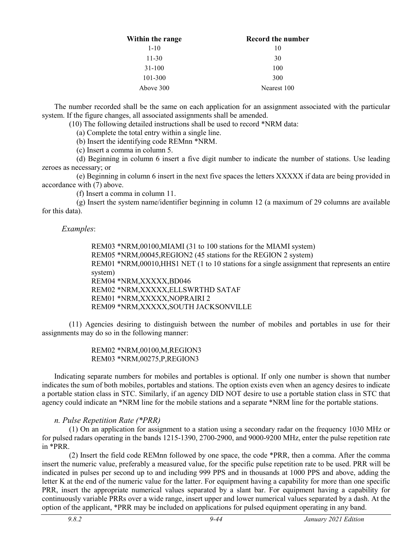| Within the range | <b>Record the number</b> |  |  |
|------------------|--------------------------|--|--|
| $1 - 10$         | 10                       |  |  |
| $11 - 30$        | 30                       |  |  |
| $31 - 100$       | 100                      |  |  |
| 101-300          | 300                      |  |  |
| Above 300        | Nearest 100              |  |  |

The number recorded shall be the same on each application for an assignment associated with the particular system. If the figure changes, all associated assignments shall be amended.

(10) The following detailed instructions shall be used to record \*NRM data:

(a) Complete the total entry within a single line.

(b) Insert the identifying code REMnn \*NRM.

(c) Insert a comma in column 5.

(d) Beginning in column 6 insert a five digit number to indicate the number of stations. Use leading zeroes as necessary; or

(e) Beginning in column 6 insert in the next five spaces the letters XXXXX if data are being provided in accordance with (7) above.

(f) Insert a comma in column 11.

(g) Insert the system name/identifier beginning in column 12 (a maximum of 29 columns are available for this data).

*Examples*:

REM03 \*NRM,00100,MIAMI (31 to 100 stations for the MIAMI system) REM05 \*NRM,00045,REGION2 (45 stations for the REGION 2 system) REM01 \*NRM,00010,HHS1 NET (1 to 10 stations for a single assignment that represents an entire system) REM04 \*NRM,XXXXX,BD046 REM02 \*NRM,XXXXX,ELLSWRTHD SATAF REM01 \*NRM,XXXXX,NOPRAIRI 2 REM09 \*NRM,XXXXX,SOUTH JACKSONVILLE

(11) Agencies desiring to distinguish between the number of mobiles and portables in use for their assignments may do so in the following manner:

> REM02 \*NRM,00100,M,REGION3 REM03 \*NRM,00275,P,REGION3

Indicating separate numbers for mobiles and portables is optional. If only one number is shown that number indicates the sum of both mobiles, portables and stations. The option exists even when an agency desires to indicate a portable station class in STC. Similarly, if an agency DID NOT desire to use a portable station class in STC that agency could indicate an \*NRM line for the mobile stations and a separate \*NRM line for the portable stations.

## *n. Pulse Repetition Rate (\*PRR)*

(1) On an application for assignment to a station using a secondary radar on the frequency 1030 MHz or for pulsed radars operating in the bands 1215-1390, 2700-2900, and 9000-9200 MHz, enter the pulse repetition rate in \*PRR.

(2) Insert the field code REMnn followed by one space, the code \*PRR, then a comma. After the comma insert the numeric value, preferably a measured value, for the specific pulse repetition rate to be used. PRR will be indicated in pulses per second up to and including 999 PPS and in thousands at 1000 PPS and above, adding the letter K at the end of the numeric value for the latter. For equipment having a capability for more than one specific PRR, insert the appropriate numerical values separated by a slant bar. For equipment having a capability for continuously variable PRRs over a wide range, insert upper and lower numerical values separated by a dash. At the option of the applicant, \*PRR may be included on applications for pulsed equipment operating in any band.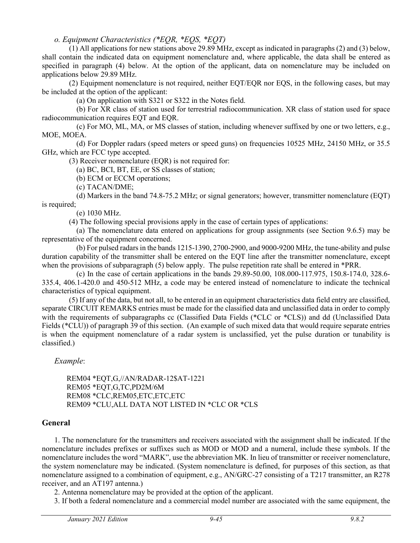*o. Equipment Characteristics (\*EQR, \*EQS, \*EQT)*

(1) All applications for new stations above 29.89 MHz, except as indicated in paragraphs (2) and (3) below, shall contain the indicated data on equipment nomenclature and, where applicable, the data shall be entered as specified in paragraph (4) below. At the option of the applicant, data on nomenclature may be included on applications below 29.89 MHz.

(2) Equipment nomenclature is not required, neither EQT/EQR nor EQS, in the following cases, but may be included at the option of the applicant:

(a) On application with S321 or S322 in the Notes field.

(b) For XR class of station used for terrestrial radiocommunication. XR class of station used for space radiocommunication requires EQT and EQR.

(c) For MO, ML, MA, or MS classes of station, including whenever suffixed by one or two letters, e.g., MOE, MOEA.

(d) For Doppler radars (speed meters or speed guns) on frequencies 10525 MHz, 24150 MHz, or 35.5 GHz, which are FCC type accepted.

(3) Receiver nomenclature (EQR) is not required for:

(a) BC, BCI, BT, EE, or SS classes of station;

(b) ECM or ECCM operations;

(c) TACAN/DME;

(d) Markers in the band 74.8-75.2 MHz; or signal generators; however, transmitter nomenclature (EQT) is required;

(e) 1030 MHz.

(4) The following special provisions apply in the case of certain types of applications:

(a) The nomenclature data entered on applications for group assignments (see Section 9.6.5) may be representative of the equipment concerned.

(b) For pulsed radars in the bands 1215-1390, 2700-2900, and 9000-9200 MHz, the tune-ability and pulse duration capability of the transmitter shall be entered on the EQT line after the transmitter nomenclature, except when the provisions of subparagraph (5) below apply. The pulse repetition rate shall be entered in \*PRR.

(c) In the case of certain applications in the bands 29.89-50.00, 108.000-117.975, 150.8-174.0, 328.6- 335.4, 406.1-420.0 and 450-512 MHz, a code may be entered instead of nomenclature to indicate the technical characteristics of typical equipment.

(5) If any of the data, but not all, to be entered in an equipment characteristics data field entry are classified, separate CIRCUIT REMARKS entries must be made for the classified data and unclassified data in order to comply with the requirements of subparagraphs cc (Classified Data Fields (\*CLC or \*CLS)) and dd (Unclassified Data Fields (\*CLU)) of paragraph 39 of this section. (An example of such mixed data that would require separate entries is when the equipment nomenclature of a radar system is unclassified, yet the pulse duration or tunability is classified.)

## *Example*:

REM04 \*EQT,G,//AN/RADAR-12\$AT-1221 REM05 \*EQT,G,TC,PD2M/6M REM08 \*CLC,REM05,ETC,ETC,ETC REM09 \*CLU,ALL DATA NOT LISTED IN \*CLC OR \*CLS

## **General**

1. The nomenclature for the transmitters and receivers associated with the assignment shall be indicated. If the nomenclature includes prefixes or suffixes such as MOD or MOD and a numeral, include these symbols. If the nomenclature includes the word "MARK", use the abbreviation MK. In lieu of transmitter or receiver nomenclature, the system nomenclature may be indicated. (System nomenclature is defined, for purposes of this section, as that nomenclature assigned to a combination of equipment, e.g., AN/GRC-27 consisting of a T217 transmitter, an R278 receiver, and an AT197 antenna.)

2. Antenna nomenclature may be provided at the option of the applicant.

3. If both a federal nomenclature and a commercial model number are associated with the same equipment, the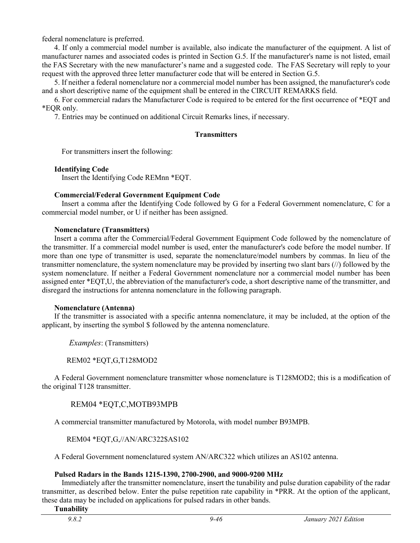federal nomenclature is preferred.

4. If only a commercial model number is available, also indicate the manufacturer of the equipment. A list of manufacturer names and associated codes is printed in Section G.5. If the manufacturer's name is not listed, email the FAS Secretary with the new manufacturer's name and a suggested code. The FAS Secretary will reply to your request with the approved three letter manufacturer code that will be entered in Section G.5.

5. If neither a federal nomenclature nor a commercial model number has been assigned, the manufacturer's code and a short descriptive name of the equipment shall be entered in the CIRCUIT REMARKS field.

6. For commercial radars the Manufacturer Code is required to be entered for the first occurrence of \*EQT and \*EQR only.

7. Entries may be continued on additional Circuit Remarks lines, if necessary.

#### **Transmitters**

For transmitters insert the following:

#### **Identifying Code**

Insert the Identifying Code REMnn \*EQT.

#### **Commercial/Federal Government Equipment Code**

Insert a comma after the Identifying Code followed by G for a Federal Government nomenclature, C for a commercial model number, or U if neither has been assigned.

#### **Nomenclature (Transmitters)**

Insert a comma after the Commercial/Federal Government Equipment Code followed by the nomenclature of the transmitter. If a commercial model number is used, enter the manufacturer's code before the model number. If more than one type of transmitter is used, separate the nomenclature/model numbers by commas. In lieu of the transmitter nomenclature, the system nomenclature may be provided by inserting two slant bars (//) followed by the system nomenclature. If neither a Federal Government nomenclature nor a commercial model number has been assigned enter \*EQT,U, the abbreviation of the manufacturer's code, a short descriptive name of the transmitter, and disregard the instructions for antenna nomenclature in the following paragraph.

#### **Nomenclature (Antenna)**

If the transmitter is associated with a specific antenna nomenclature, it may be included, at the option of the applicant, by inserting the symbol \$ followed by the antenna nomenclature.

*Examples*: (Transmitters)

REM02 \*EQT,G,T128MOD2

A Federal Government nomenclature transmitter whose nomenclature is T128MOD2; this is a modification of the original T128 transmitter.

## REM04 \*EQT,C,MOTB93MPB

A commercial transmitter manufactured by Motorola, with model number B93MPB.

## REM04 \*EQT,G,//AN/ARC322\$AS102

A Federal Government nomenclatured system AN/ARC322 which utilizes an AS102 antenna.

#### **Pulsed Radars in the Bands 1215-1390, 2700-2900, and 9000-9200 MHz**

Immediately after the transmitter nomenclature, insert the tunability and pulse duration capability of the radar transmitter, as described below. Enter the pulse repetition rate capability in \*PRR. At the option of the applicant, these data may be included on applications for pulsed radars in other bands.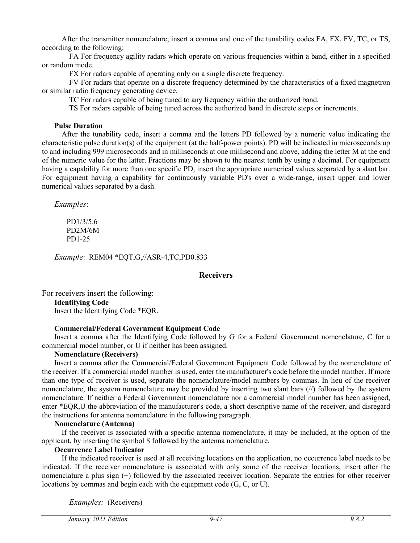After the transmitter nomenclature, insert a comma and one of the tunability codes FA, FX, FV, TC, or TS, according to the following:

FA For frequency agility radars which operate on various frequencies within a band, either in a specified or random mode.

FX For radars capable of operating only on a single discrete frequency.

FV For radars that operate on a discrete frequency determined by the characteristics of a fixed magnetron or similar radio frequency generating device.

TC For radars capable of being tuned to any frequency within the authorized band.

TS For radars capable of being tuned across the authorized band in discrete steps or increments.

#### **Pulse Duration**

After the tunability code, insert a comma and the letters PD followed by a numeric value indicating the characteristic pulse duration(s) of the equipment (at the half-power points). PD will be indicated in microseconds up to and including 999 microseconds and in milliseconds at one millisecond and above, adding the letter M at the end of the numeric value for the latter. Fractions may be shown to the nearest tenth by using a decimal. For equipment having a capability for more than one specific PD, insert the appropriate numerical values separated by a slant bar. For equipment having a capability for continuously variable PD's over a wide-range, insert upper and lower numerical values separated by a dash.

*Examples*:

PD1/3/5.6 PD2M/6M PD1-25

*Example*: REM04 \*EQT,G,//ASR-4,TC,PD0.833

## **Receivers**

For receivers insert the following: **Identifying Code** Insert the Identifying Code \*EQR.

#### **Commercial/Federal Government Equipment Code**

Insert a comma after the Identifying Code followed by G for a Federal Government nomenclature, C for a commercial model number, or U if neither has been assigned.

#### **Nomenclature (Receivers)**

Insert a comma after the Commercial/Federal Government Equipment Code followed by the nomenclature of the receiver. If a commercial model number is used, enter the manufacturer's code before the model number. If more than one type of receiver is used, separate the nomenclature/model numbers by commas. In lieu of the receiver nomenclature, the system nomenclature may be provided by inserting two slant bars (//) followed by the system nomenclature. If neither a Federal Government nomenclature nor a commercial model number has been assigned, enter \*EQR,U the abbreviation of the manufacturer's code, a short descriptive name of the receiver, and disregard the instructions for antenna nomenclature in the following paragraph.

#### **Nomenclature (Antenna)**

If the receiver is associated with a specific antenna nomenclature, it may be included, at the option of the applicant, by inserting the symbol \$ followed by the antenna nomenclature.

#### **Occurrence Label Indicator**

If the indicated receiver is used at all receiving locations on the application, no occurrence label needs to be indicated. If the receiver nomenclature is associated with only some of the receiver locations, insert after the nomenclature a plus sign (+) followed by the associated receiver location. Separate the entries for other receiver locations by commas and begin each with the equipment code (G, C, or U).

*Examples:* (Receivers)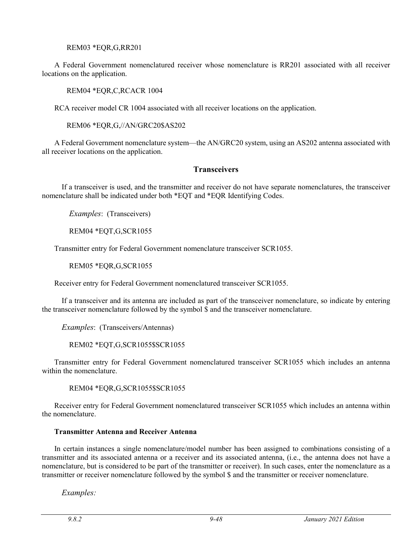REM03 \*EQR,G,RR201

A Federal Government nomenclatured receiver whose nomenclature is RR201 associated with all receiver locations on the application.

REM04 \*EQR,C,RCACR 1004

RCA receiver model CR 1004 associated with all receiver locations on the application.

REM06 \*EQR,G,//AN/GRC20\$AS202

A Federal Government nomenclature system—the AN/GRC20 system, using an AS202 antenna associated with all receiver locations on the application.

## **Transceivers**

If a transceiver is used, and the transmitter and receiver do not have separate nomenclatures, the transceiver nomenclature shall be indicated under both \*EQT and \*EQR Identifying Codes.

*Examples*: (Transceivers)

REM04 \*EQT,G,SCR1055

Transmitter entry for Federal Government nomenclature transceiver SCR1055.

REM05 \*EQR,G,SCR1055

Receiver entry for Federal Government nomenclatured transceiver SCR1055.

If a transceiver and its antenna are included as part of the transceiver nomenclature, so indicate by entering the transceiver nomenclature followed by the symbol  $\hat{\mathbf{\hat{s}}}$  and the transceiver nomenclature.

*Examples*: (Transceivers/Antennas)

REM02 \*EQT,G,SCR1055\$SCR1055

Transmitter entry for Federal Government nomenclatured transceiver SCR1055 which includes an antenna within the nomenclature.

REM04 \*EQR,G,SCR1055\$SCR1055

Receiver entry for Federal Government nomenclatured transceiver SCR1055 which includes an antenna within the nomenclature.

## **Transmitter Antenna and Receiver Antenna**

In certain instances a single nomenclature/model number has been assigned to combinations consisting of a transmitter and its associated antenna or a receiver and its associated antenna, (i.e., the antenna does not have a nomenclature, but is considered to be part of the transmitter or receiver). In such cases, enter the nomenclature as a transmitter or receiver nomenclature followed by the symbol \$ and the transmitter or receiver nomenclature.

*Examples:*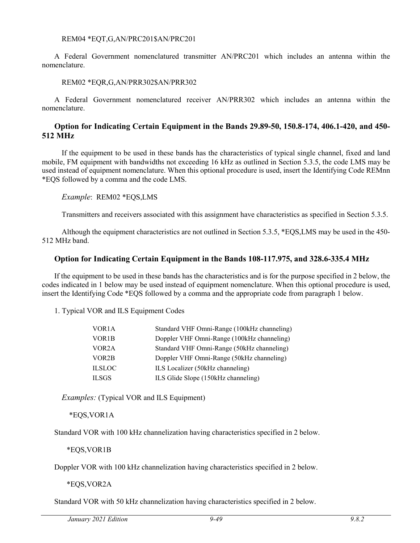#### REM04 \*EQT,G,AN/PRC201\$AN/PRC201

A Federal Government nomenclatured transmitter AN/PRC201 which includes an antenna within the nomenclature.

#### REM02 \*EQR,G,AN/PRR302\$AN/PRR302

A Federal Government nomenclatured receiver AN/PRR302 which includes an antenna within the nomenclature.

## **Option for Indicating Certain Equipment in the Bands 29.89-50, 150.8-174, 406.1-420, and 450- 512 MHz**

If the equipment to be used in these bands has the characteristics of typical single channel, fixed and land mobile, FM equipment with bandwidths not exceeding 16 kHz as outlined in Section 5.3.5, the code LMS may be used instead of equipment nomenclature. When this optional procedure is used, insert the Identifying Code REMnn \*EQS followed by a comma and the code LMS.

*Example*: REM02 \*EQS,LMS

Transmitters and receivers associated with this assignment have characteristics as specified in Section 5.3.5.

Although the equipment characteristics are not outlined in Section 5.3.5, \*EQS,LMS may be used in the 450- 512 MHz band.

### **Option for Indicating Certain Equipment in the Bands 108-117.975, and 328.6-335.4 MHz**

If the equipment to be used in these bands has the characteristics and is for the purpose specified in 2 below, the codes indicated in 1 below may be used instead of equipment nomenclature. When this optional procedure is used, insert the Identifying Code \*EQS followed by a comma and the appropriate code from paragraph 1 below.

1. Typical VOR and ILS Equipment Codes

| VOR <sub>1</sub> A | Standard VHF Omni-Range (100kHz channeling) |
|--------------------|---------------------------------------------|
| VOR <sub>1</sub> B | Doppler VHF Omni-Range (100kHz channeling)  |
| VOR <sub>2</sub> A | Standard VHF Omni-Range (50kHz channeling)  |
| VOR <sub>2</sub> B | Doppler VHF Omni-Range (50kHz channeling)   |
| <b>ILSLOC</b>      | ILS Localizer (50kHz channeling)            |
| <b>ILSGS</b>       | ILS Glide Slope (150kHz channeling)         |
|                    |                                             |

*Examples:* (Typical VOR and ILS Equipment)

\*EQS,VOR1A

Standard VOR with 100 kHz channelization having characteristics specified in 2 below.

\*EQS,VOR1B

Doppler VOR with 100 kHz channelization having characteristics specified in 2 below.

\*EQS,VOR2A

Standard VOR with 50 kHz channelization having characteristics specified in 2 below.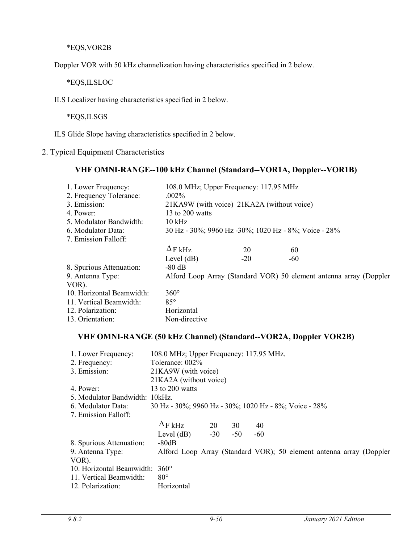\*EQS,VOR2B

Doppler VOR with 50 kHz channelization having characteristics specified in 2 below.

\*EQS,ILSLOC

ILS Localizer having characteristics specified in 2 below.

\*EQS,ILSGS

ILS Glide Slope having characteristics specified in 2 below.

# 2. Typical Equipment Characteristics

# **VHF OMNI-RANGE--100 kHz Channel (Standard--VOR1A, Doppler--VOR1B)**

| 1. Lower Frequency:<br>2. Frequency Tolerance:<br>3. Emission:<br>4. Power:<br>5. Modulator Bandwidth:<br>6. Modulator Data:<br>7. Emission Falloff: | $.002\%$<br>13 to $200$ watts<br>$10$ kHz | 108.0 MHz; Upper Frequency: 117.95 MHz | 21KA9W (with voice) 21KA2A (without voice)<br>30 Hz - 30%; 9960 Hz -30%; 1020 Hz - 8%; Voice - 28% |                                                                    |
|------------------------------------------------------------------------------------------------------------------------------------------------------|-------------------------------------------|----------------------------------------|----------------------------------------------------------------------------------------------------|--------------------------------------------------------------------|
|                                                                                                                                                      | $\Delta$ F kHz                            | 20                                     | 60                                                                                                 |                                                                    |
|                                                                                                                                                      | Level $(dB)$                              | $-20$                                  | $-60$                                                                                              |                                                                    |
| 8. Spurious Attenuation:                                                                                                                             | $-80$ dB                                  |                                        |                                                                                                    |                                                                    |
| 9. Antenna Type:                                                                                                                                     |                                           |                                        |                                                                                                    | Alford Loop Array (Standard VOR) 50 element antenna array (Doppler |
| VOR).                                                                                                                                                |                                           |                                        |                                                                                                    |                                                                    |
| 10. Horizontal Beamwidth:                                                                                                                            | $360^\circ$                               |                                        |                                                                                                    |                                                                    |
| 11. Vertical Beamwidth:                                                                                                                              | $85^\circ$                                |                                        |                                                                                                    |                                                                    |
| 12. Polarization:                                                                                                                                    | Horizontal                                |                                        |                                                                                                    |                                                                    |
| 13. Orientation:                                                                                                                                     | Non-directive                             |                                        |                                                                                                    |                                                                    |

# **VHF OMNI-RANGE (50 kHz Channel) (Standard--VOR2A, Doppler VOR2B)**

| 1. Lower Frequency:            | 108.0 MHz; Upper Frequency: 117.95 MHz.               |       |       |       |                                                                     |  |
|--------------------------------|-------------------------------------------------------|-------|-------|-------|---------------------------------------------------------------------|--|
| 2. Frequency:                  | Tolerance: 002%                                       |       |       |       |                                                                     |  |
| 3. Emission:                   | 21KA9W (with voice)                                   |       |       |       |                                                                     |  |
|                                | 21KA2A (without voice)                                |       |       |       |                                                                     |  |
| 4. Power:                      | 13 to $200$ watts                                     |       |       |       |                                                                     |  |
| 5. Modulator Bandwidth: 10kHz. |                                                       |       |       |       |                                                                     |  |
| 6. Modulator Data:             | 30 Hz - 30%; 9960 Hz - 30%; 1020 Hz - 8%; Voice - 28% |       |       |       |                                                                     |  |
| 7. Emission Falloff:           |                                                       |       |       |       |                                                                     |  |
|                                | $\Delta$ F kHz                                        | 20    | 30    | 40    |                                                                     |  |
|                                | Level $(dB)$                                          | $-30$ | $-50$ | $-60$ |                                                                     |  |
| 8. Spurious Attenuation:       | $-80dB$                                               |       |       |       |                                                                     |  |
| 9. Antenna Type:               |                                                       |       |       |       | Alford Loop Array (Standard VOR); 50 element antenna array (Doppler |  |
| VOR).                          |                                                       |       |       |       |                                                                     |  |
| 10. Horizontal Beamwidth:      | $360^\circ$                                           |       |       |       |                                                                     |  |
| 11. Vertical Beamwidth:        | $80^\circ$                                            |       |       |       |                                                                     |  |
| 12. Polarization:              | Horizontal                                            |       |       |       |                                                                     |  |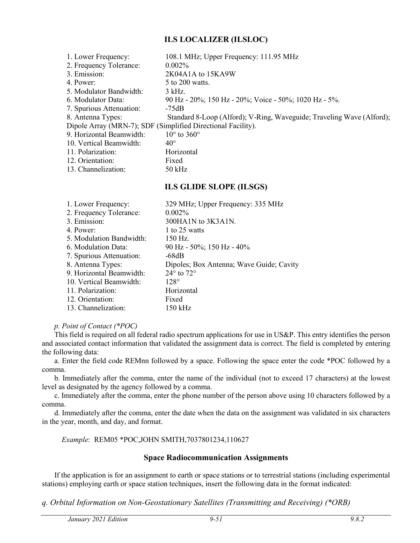## **ILS LOCALIZER (ILSLOC)**

| 1. Lower Frequency:                                          | 108.1 MHz; Upper Frequency: 111.95 MHz                                |
|--------------------------------------------------------------|-----------------------------------------------------------------------|
| 2. Frequency Tolerance:                                      | $0.002\%$                                                             |
| 3. Emission:                                                 | 2K04A1A to 15KA9W                                                     |
| 4. Power:                                                    | 5 to 200 watts.                                                       |
| 5. Modulator Bandwidth:                                      | $3$ kHz.                                                              |
| 6. Modulator Data:                                           | 90 Hz - 20%; 150 Hz - 20%; Voice - 50%; 1020 Hz - 5%.                 |
| 7. Spurious Attenuation:                                     | $-75dB$                                                               |
| 8. Antenna Types:                                            | Standard 8-Loop (Alford); V-Ring, Waveguide; Traveling Wave (Alford); |
| Dipole Array (MRN-7); SDF (Simplified Directional Facility). |                                                                       |
| 9. Horizontal Beamwidth:                                     | $10^{\circ}$ to $360^{\circ}$                                         |
| 10. Vertical Beamwidth:                                      | $40^{\circ}$                                                          |
| 11. Polarization:                                            | Horizontal                                                            |
| 12. Orientation:                                             | Fixed                                                                 |
| 13. Channelization:                                          | $50$ kHz                                                              |
|                                                              | <b>ILS GLIDE SLOPE (ILSGS)</b>                                        |

| 1. Lower Frequency:      | 329 MHz; Upper Frequency: 335 MHz        |
|--------------------------|------------------------------------------|
| 2. Frequency Tolerance:  | $0.002\%$                                |
| 3. Emission:             | 300HA1N to 3K3A1N.                       |
| 4. Power:                | 1 to 25 watts                            |
| 5. Modulation Bandwidth: | $150$ Hz.                                |
| 6. Modulation Data:      | 90 Hz - 50%; 150 Hz - 40%                |
| 7. Spurious Attenuation: | $-68dB$                                  |
| 8. Antenna Types:        | Dipoles; Box Antenna; Wave Guide; Cavity |
| 9. Horizontal Beamwidth: | $24^\circ$ to $72^\circ$                 |
| 10. Vertical Beamwidth:  | $128^\circ$                              |
| 11. Polarization:        | Horizontal                               |
| 12. Orientation:         | Fixed                                    |
| 13. Channelization:      | $150$ kHz                                |
|                          |                                          |

## *p. Point of Contact (\*POC)*

This field is required on all federal radio spectrum applications for use in US&P. This entry identifies the person and associated contact information that validated the assignment data is correct. The field is completed by entering the following data:

a. Enter the field code REMnn followed by a space. Following the space enter the code \*POC followed by a comma.

b. Immediately after the comma, enter the name of the individual (not to exceed 17 characters) at the lowest level as designated by the agency followed by a comma.

c. Immediately after the comma, enter the phone number of the person above using 10 characters followed by a comma.

d. Immediately after the comma, enter the date when the data on the assignment was validated in six characters in the year, month, and day, and format.

#### *Example*: REM05 \*POC,JOHN SMITH,7037801234,110627

#### **Space Radiocommunication Assignments**

If the application is for an assignment to earth or space stations or to terrestrial stations (including experimental stations) employing earth or space station techniques, insert the following data in the format indicated:

*q. Orbital Information on Non-Geostationary Satellites (Transmitting and Receiving) (\*ORB)*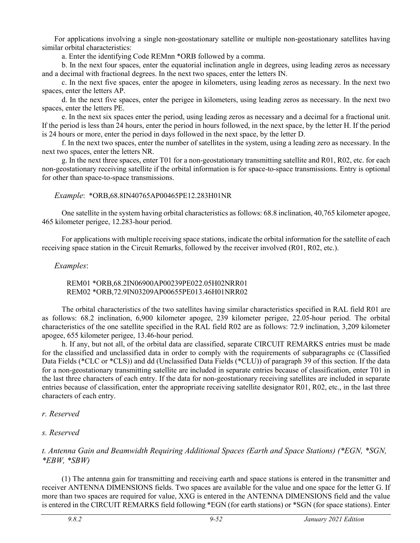For applications involving a single non-geostationary satellite or multiple non-geostationary satellites having similar orbital characteristics:

a. Enter the identifying Code REMnn \*ORB followed by a comma.

b. In the next four spaces, enter the equatorial inclination angle in degrees, using leading zeros as necessary and a decimal with fractional degrees. In the next two spaces, enter the letters IN.

c. In the next five spaces, enter the apogee in kilometers, using leading zeros as necessary. In the next two spaces, enter the letters AP.

d. In the next five spaces, enter the perigee in kilometers, using leading zeros as necessary. In the next two spaces, enter the letters PE.

e. In the next six spaces enter the period, using leading zeros as necessary and a decimal for a fractional unit. If the period is less than 24 hours, enter the period in hours followed, in the next space, by the letter H. If the period is 24 hours or more, enter the period in days followed in the next space, by the letter D.

f. In the next two spaces, enter the number of satellites in the system, using a leading zero as necessary. In the next two spaces, enter the letters NR.

g. In the next three spaces, enter T01 for a non-geostationary transmitting satellite and R01, R02, etc. for each non-geostationary receiving satellite if the orbital information is for space-to-space transmissions. Entry is optional for other than space-to-space transmissions.

### *Example*: \*ORB,68.8IN40765AP00465PE12.283H01NR

One satellite in the system having orbital characteristics as follows: 68.8 inclination, 40,765 kilometer apogee, 465 kilometer perigee, 12.283-hour period.

For applications with multiple receiving space stations, indicate the orbital information for the satellite of each receiving space station in the Circuit Remarks, followed by the receiver involved (R01, R02, etc.).

### *Examples*:

#### REM01 \*ORB,68.2IN06900AP00239PE022.05H02NRR01 REM02 \*ORB,72.9IN03209AP00655PE013.46H01NRR02

The orbital characteristics of the two satellites having similar characteristics specified in RAL field R01 are as follows: 68.2 inclination, 6,900 kilometer apogee, 239 kilometer perigee, 22.05-hour period. The orbital characteristics of the one satellite specified in the RAL field R02 are as follows: 72.9 inclination, 3,209 kilometer apogee, 655 kilometer perigee, 13.46-hour period.

h. If any, but not all, of the orbital data are classified, separate CIRCUIT REMARKS entries must be made for the classified and unclassified data in order to comply with the requirements of subparagraphs cc (Classified Data Fields (\*CLC or \*CLS)) and dd (Unclassified Data Fields (\*CLU)) of paragraph 39 of this section. If the data for a non-geostationary transmitting satellite are included in separate entries because of classification, enter T01 in the last three characters of each entry. If the data for non-geostationary receiving satellites are included in separate entries because of classification, enter the appropriate receiving satellite designator R01, R02, etc., in the last three characters of each entry.

## *r. Reserved*

## *s. Reserved*

*t. Antenna Gain and Beamwidth Requiring Additional Spaces (Earth and Space Stations) (\*EGN, \*SGN, \*EBW, \*SBW)*

(1) The antenna gain for transmitting and receiving earth and space stations is entered in the transmitter and receiver ANTENNA DIMENSIONS fields. Two spaces are available for the value and one space for the letter G. If more than two spaces are required for value, XXG is entered in the ANTENNA DIMENSIONS field and the value is entered in the CIRCUIT REMARKS field following \*EGN (for earth stations) or \*SGN (for space stations). Enter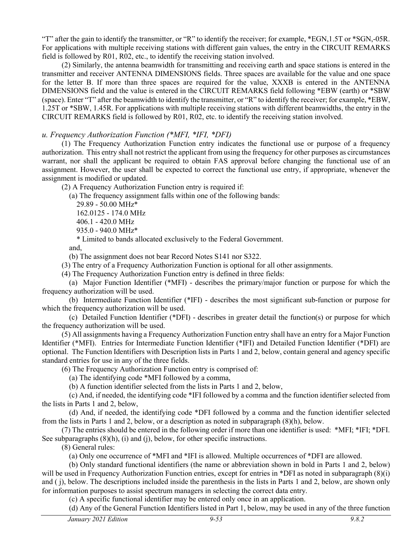"T" after the gain to identify the transmitter, or "R" to identify the receiver; for example, \*EGN,1.5T or \*SGN,-05R. For applications with multiple receiving stations with different gain values, the entry in the CIRCUIT REMARKS field is followed by R01, R02, etc., to identify the receiving station involved.

(2) Similarly, the antenna beamwidth for transmitting and receiving earth and space stations is entered in the transmitter and receiver ANTENNA DIMENSIONS fields. Three spaces are available for the value and one space for the letter B. If more than three spaces are required for the value, XXXB is entered in the ANTENNA DIMENSIONS field and the value is entered in the CIRCUIT REMARKS field following \*EBW (earth) or \*SBW (space). Enter "T" after the beamwidth to identify the transmitter, or "R" to identify the receiver; for example, \*EBW, 1.25T or \*SBW, 1.45R. For applications with multiple receiving stations with different beamwidths, the entry in the CIRCUIT REMARKS field is followed by R01, R02, etc. to identify the receiving station involved.

### *u. Frequency Authorization Function (\*MFI, \*IFI, \*DFI)*

(1) The Frequency Authorization Function entry indicates the functional use or purpose of a frequency authorization. This entry shall not restrict the applicant from using the frequency for other purposes as circumstances warrant, nor shall the applicant be required to obtain FAS approval before changing the functional use of an assignment. However, the user shall be expected to correct the functional use entry, if appropriate, whenever the assignment is modified or updated.

(2) A Frequency Authorization Function entry is required if:

(a) The frequency assignment falls within one of the following bands:

29.89 - 50.00 MHz\*

162.0125 - 174.0 MHz

406.1 - 420.0 MHz

935.0 - 940.0 MHz\*

\* Limited to bands allocated exclusively to the Federal Government.

and,

(b) The assignment does not bear Record Notes S141 nor S322.

(3) The entry of a Frequency Authorization Function is optional for all other assignments.

(4) The Frequency Authorization Function entry is defined in three fields:

(a) Major Function Identifier (\*MFI) - describes the primary/major function or purpose for which the frequency authorization will be used.

(b) Intermediate Function Identifier (\*IFI) - describes the most significant sub-function or purpose for which the frequency authorization will be used.

(c) Detailed Function Identifier (\*DFI) - describes in greater detail the function(s) or purpose for which the frequency authorization will be used.

(5) All assignments having a Frequency Authorization Function entry shall have an entry for a Major Function Identifier (\*MFI). Entries for Intermediate Function Identifier (\*IFI) and Detailed Function Identifier (\*DFI) are optional. The Function Identifiers with Description lists in Parts 1 and 2, below, contain general and agency specific standard entries for use in any of the three fields.

(6) The Frequency Authorization Function entry is comprised of:

(a) The identifying code \*MFI followed by a comma,

(b) A function identifier selected from the lists in Parts 1 and 2, below,

(c) And, if needed, the identifying code \*IFI followed by a comma and the function identifier selected from the lists in Parts 1 and 2, below,

(d) And, if needed, the identifying code \*DFI followed by a comma and the function identifier selected from the lists in Parts 1 and 2, below, or a description as noted in subparagraph (8)(h), below.

(7) The entries should be entered in the following order if more than one identifier is used: \*MFI; \*IFI; \*DFI. See subparagraphs (8)(h), (i) and (j), below, for other specific instructions.

(8) General rules:

(a) Only one occurrence of \*MFI and \*IFI is allowed. Multiple occurrences of \*DFI are allowed.

(b) Only standard functional identifiers (the name or abbreviation shown in bold in Parts 1 and 2, below) will be used in Frequency Authorization Function entries, except for entries in \*DFI as noted in subparagraph (8)(i) and ( j), below. The descriptions included inside the parenthesis in the lists in Parts 1 and 2, below, are shown only for information purposes to assist spectrum managers in selecting the correct data entry.

(c) A specific functional identifier may be entered only once in an application.

(d) Any of the General Function Identifiers listed in Part 1, below, may be used in any of the three function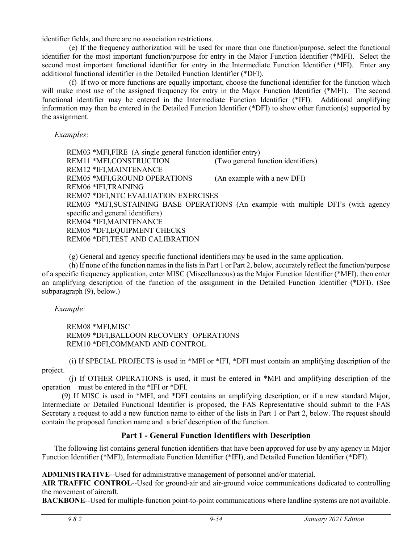identifier fields, and there are no association restrictions.

(e) If the frequency authorization will be used for more than one function/purpose, select the functional identifier for the most important function/purpose for entry in the Major Function Identifier (\*MFI). Select the second most important functional identifier for entry in the Intermediate Function Identifier (\*IFI). Enter any additional functional identifier in the Detailed Function Identifier (\*DFI).

(f) If two or more functions are equally important, choose the functional identifier for the function which will make most use of the assigned frequency for entry in the Major Function Identifier (\*MFI). The second functional identifier may be entered in the Intermediate Function Identifier (\*IFI). Additional amplifying information may then be entered in the Detailed Function Identifier (\*DFI) to show other function(s) supported by the assignment.

*Examples*:

REM03 \*MFI,FIRE (A single general function identifier entry) REM11 \*MFI,CONSTRUCTION (Two general function identifiers) REM12 \*IFI,MAINTENANCE REM05 \*MFI,GROUND OPERATIONS (An example with a new DFI) REM06 \*IFI,TRAINING REM07 \*DFI,NTC EVALUATION EXERCISES REM03 \*MFI,SUSTAINING BASE OPERATIONS (An example with multiple DFI's (with agency specific and general identifiers) REM04 \*IFI,MAINTENANCE REM05 \*DFI,EQUIPMENT CHECKS REM06 \*DFI,TEST AND CALIBRATION

(g) General and agency specific functional identifiers may be used in the same application.

(h) If none of the function names in the lists in Part 1 or Part 2, below, accurately reflect the function/purpose of a specific frequency application, enter MISC (Miscellaneous) as the Major Function Identifier (\*MFI), then enter an amplifying description of the function of the assignment in the Detailed Function Identifier (\*DFI). (See subparagraph (9), below.)

## *Example*:

REM08 \*MFI,MISC REM09 \*DFI,BALLOON RECOVERY OPERATIONS REM10 \*DFI,COMMAND AND CONTROL

(i) If SPECIAL PROJECTS is used in \*MFI or \*IFI, \*DFI must contain an amplifying description of the project.

(j) If OTHER OPERATIONS is used, it must be entered in \*MFI and amplifying description of the operation must be entered in the \*IFI or \*DFI.

(9) If MISC is used in \*MFI, and \*DFI contains an amplifying description, or if a new standard Major, Intermediate or Detailed Functional Identifier is proposed, the FAS Representative should submit to the FAS Secretary a request to add a new function name to either of the lists in Part 1 or Part 2, below. The request should contain the proposed function name and a brief description of the function.

# **Part 1 - General Function Identifiers with Description**

The following list contains general function identifiers that have been approved for use by any agency in Major Function Identifier (\*MFI), Intermediate Function Identifier (\*IFI), and Detailed Function Identifier (\*DFI).

**ADMINISTRATIVE**--Used for administrative management of personnel and/or material.

**AIR TRAFFIC CONTROL**--Used for ground-air and air-ground voice communications dedicated to controlling the movement of aircraft.

**BACKBONE--Used for multiple-function point-to-point communications where landline systems are not available.**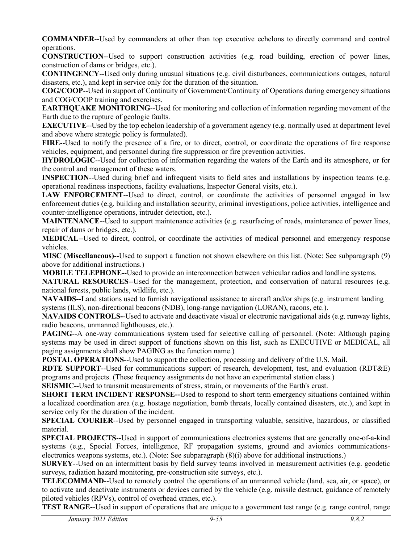**COMMANDER**--Used by commanders at other than top executive echelons to directly command and control operations.

**CONSTRUCTION**--Used to support construction activities (e.g. road building, erection of power lines, construction of dams or bridges, etc.).

**CONTINGENCY**--Used only during unusual situations (e.g. civil disturbances, communications outages, natural disasters, etc.), and kept in service only for the duration of the situation.

**COG/COOP**--Used in support of Continuity of Government/Continuity of Operations during emergency situations and COG/COOP training and exercises.

**EARTHQUAKE MONITORING**--Used for monitoring and collection of information regarding movement of the Earth due to the rupture of geologic faults.

**EXECUTIVE--Used by the top echelon leadership of a government agency (e.g. normally used at department level** and above where strategic policy is formulated).

**FIRE**--Used to notify the presence of a fire, or to direct, control, or coordinate the operations of fire response vehicles, equipment, and personnel during fire suppression or fire prevention activities.

**HYDROLOGIC**--Used for collection of information regarding the waters of the Earth and its atmosphere, or for the control and management of these waters.

**INSPECTION--Used during brief and infrequent visits to field sites and installations by inspection teams (e.g.** operational readiness inspections, facility evaluations, Inspector General visits, etc.).

LAW ENFORCEMENT<sup>--</sup>Used to direct, control, or coordinate the activities of personnel engaged in law enforcement duties (e.g. building and installation security, criminal investigations, police activities, intelligence and counter-intelligence operations, intruder detection, etc.).

**MAINTENANCE**--Used to support maintenance activities (e.g. resurfacing of roads, maintenance of power lines, repair of dams or bridges, etc.).

**MEDICAL**--Used to direct, control, or coordinate the activities of medical personnel and emergency response vehicles.

**MISC (Miscellaneous)**--Used to support a function not shown elsewhere on this list. (Note: See subparagraph (9) above for additional instructions.)

**MOBILE TELEPHONE**--Used to provide an interconnection between vehicular radios and landline systems.

**NATURAL RESOURCES--Used for the management, protection, and conservation of natural resources (e.g.**) national forests, public lands, wildlife, etc.).

**NAVAIDS--**Land stations used to furnish navigational assistance to aircraft and/or ships (e.g. instrument landing systems (ILS), non-directional beacons (NDB), long-range navigation (LORAN), racons, etc.).

**NAVAIDS CONTROLS-**-Used to activate and deactivate visual or electronic navigational aids (e.g. runway lights, radio beacons, unmanned lighthouses, etc.).

**PAGING--A** one-way communications system used for selective calling of personnel. (Note: Although paging systems may be used in direct support of functions shown on this list, such as EXECUTIVE or MEDICAL, all paging assignments shall show PAGING as the function name.)

**POSTAL OPERATIONS--**Used to support the collection, processing and delivery of the U.S. Mail.

**RDTE SUPPORT**--Used for communications support of research, development, test, and evaluation (RDT&E) programs and projects. (These frequency assignments do not have an experimental station class.)

**SEISMIC--**Used to transmit measurements of stress, strain, or movements of the Earth's crust.

**SHORT TERM INCIDENT RESPONSE--Used to respond to short term emergency situations contained within** a localized coordination area (e.g. hostage negotiation, bomb threats, locally contained disasters, etc.), and kept in service only for the duration of the incident.

**SPECIAL COURIER**--Used by personnel engaged in transporting valuable, sensitive, hazardous, or classified material.

**SPECIAL PROJECTS**--Used in support of communications electronics systems that are generally one-of-a-kind systems (e.g., Special Forces, intelligence, RF propagation systems, ground and avionics communicationselectronics weapons systems, etc.). (Note: See subparagraph (8)(i) above for additional instructions.)

**SURVEY**--Used on an intermittent basis by field survey teams involved in measurement activities (e.g. geodetic surveys, radiation hazard monitoring, pre-construction site surveys, etc.).

**TELECOMMAND**--Used to remotely control the operations of an unmanned vehicle (land, sea, air, or space), or to activate and deactivate instruments or devices carried by the vehicle (e.g. missile destruct, guidance of remotely piloted vehicles (RPVs), control of overhead cranes, etc.).

**TEST RANGE-**-Used in support of operations that are unique to a government test range (e.g. range control, range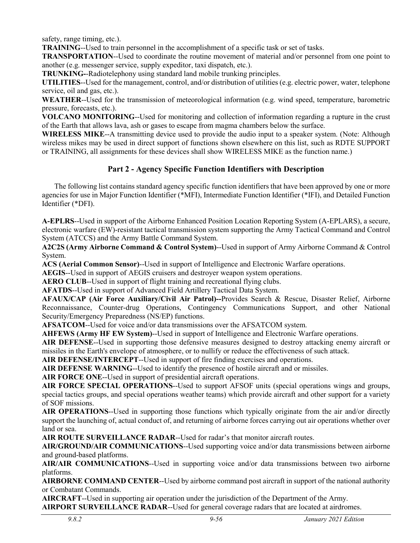safety, range timing, etc.).

**TRAINING**--Used to train personnel in the accomplishment of a specific task or set of tasks.

**TRANSPORTATION**--Used to coordinate the routine movement of material and/or personnel from one point to another (e.g. messenger service, supply expeditor, taxi dispatch, etc.).

**TRUNKING-**-Radiotelephony using standard land mobile trunking principles.

**UTILITIES**--Used for the management, control, and/or distribution of utilities (e.g. electric power, water, telephone service, oil and gas, etc.).

**WEATHER**--Used for the transmission of meteorological information (e.g. wind speed, temperature, barometric pressure, forecasts, etc.).

**VOLCANO MONITORING**--Used for monitoring and collection of information regarding a rupture in the crust of the Earth that allows lava, ash or gases to escape from magma chambers below the surface.

**WIRELESS MIKE**--A transmitting device used to provide the audio input to a speaker system. (Note: Although wireless mikes may be used in direct support of functions shown elsewhere on this list, such as RDTE SUPPORT or TRAINING, all assignments for these devices shall show WIRELESS MIKE as the function name.)

# **Part 2 - Agency Specific Function Identifiers with Description**

The following list contains standard agency specific function identifiers that have been approved by one or more agencies for use in Major Function Identifier (\*MFI), Intermediate Function Identifier (\*IFI), and Detailed Function Identifier (\*DFI).

**A-EPLRS**--Used in support of the Airborne Enhanced Position Location Reporting System (A-EPLARS), a secure, electronic warfare (EW)-resistant tactical transmission system supporting the Army Tactical Command and Control System (ATCCS) and the Army Battle Command System.

**A2C2S (Army Airborne Command & Control System)**--Used in support of Army Airborne Command & Control System.

**ACS (Aerial Common Sensor)**--Used in support of Intelligence and Electronic Warfare operations.

**AEGIS**--Used in support of AEGIS cruisers and destroyer weapon system operations.

**AERO CLUB**--Used in support of flight training and recreational flying clubs.

**AFATDS**--Used in support of Advanced Field Artillery Tactical Data System.

**AFAUX/CAP (Air Force Auxiliary/Civil Air Patrol)--**Provides Search & Rescue, Disaster Relief, Airborne Reconnaissance, Counter-drug Operations, Contingency Communications Support, and other National Security/Emergency Preparedness (NS/EP) functions.

**AFSATCOM**--Used for voice and/or data transmissions over the AFSATCOM system.

**AHFEWS (Army HF EW System)**--Used in support of Intelligence and Electronic Warfare operations.

**AIR DEFENSE**--Used in supporting those defensive measures designed to destroy attacking enemy aircraft or missiles in the Earth's envelope of atmosphere, or to nullify or reduce the effectiveness of such attack.

**AIR DEFENSE/INTERCEPT**--Used in support of fire finding exercises and operations.

**AIR DEFENSE WARNING**--Used to identify the presence of hostile aircraft and or missiles.

**AIR FORCE ONE**--Used in support of presidential aircraft operations.

**AIR FORCE SPECIAL OPERATIONS**--Used to support AFSOF units (special operations wings and groups, special tactics groups, and special operations weather teams) which provide aircraft and other support for a variety of SOF missions.

**AIR OPERATIONS**--Used in supporting those functions which typically originate from the air and/or directly support the launching of, actual conduct of, and returning of airborne forces carrying out air operations whether over land or sea.

**AIR ROUTE SURVEILLANCE RADAR**--Used for radar's that monitor aircraft routes.

**AIR/GROUND/AIR COMMUNICATIONS**--Used supporting voice and/or data transmissions between airborne and ground-based platforms.

**AIR/AIR COMMUNICATIONS**--Used in supporting voice and/or data transmissions between two airborne platforms.

**AIRBORNE COMMAND CENTER**--Used by airborne command post aircraft in support of the national authority or Combatant Commands.

**AIRCRAFT**--Used in supporting air operation under the jurisdiction of the Department of the Army. **AIRPORT SURVEILLANCE RADAR**--Used for general coverage radars that are located at airdromes.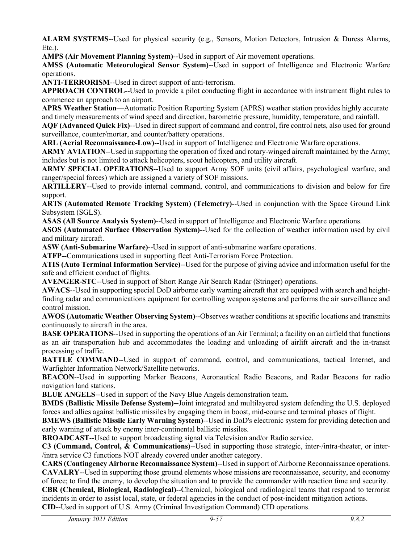**ALARM SYSTEMS**--Used for physical security (e.g., Sensors, Motion Detectors, Intrusion & Duress Alarms, Etc.).

**AMPS (Air Movement Planning System)**--Used in support of Air movement operations.

**AMSS (Automatic Meteorological Sensor System)**--Used in support of Intelligence and Electronic Warfare operations.

**ANTI-TERRORISM**--Used in direct support of anti-terrorism.

**APPROACH CONTROL**--Used to provide a pilot conducting flight in accordance with instrument flight rules to commence an approach to an airport.

**APRS Weather Station**—Automatic Position Reporting System (APRS) weather station provides highly accurate and timely measurements of wind speed and direction, barometric pressure, humidity, temperature, and rainfall.

**AQF (Advanced Quick Fix)**--Used in direct support of command and control, fire control nets, also used for ground surveillance, counter/mortar, and counter/battery operations.

**ARL (Aerial Reconnaissance-Low)**--Used in support of Intelligence and Electronic Warfare operations.

**ARMY AVIATION**--Used in supporting the operation of fixed and rotary-winged aircraft maintained by the Army; includes but is not limited to attack helicopters, scout helicopters, and utility aircraft.

**ARMY SPECIAL OPERATIONS**--Used to support Army SOF units (civil affairs, psychological warfare, and ranger/special forces) which are assigned a variety of SOF missions.

**ARTILLERY**--Used to provide internal command, control, and communications to division and below for fire support.

**ARTS (Automated Remote Tracking System) (Telemetry)**--Used in conjunction with the Space Ground Link Subsystem (SGLS).

**ASAS (All Source Analysis System)**--Used in support of Intelligence and Electronic Warfare operations.

**ASOS (Automated Surface Observation System)**--Used for the collection of weather information used by civil and military aircraft.

**ASW (Anti-Submarine Warfare)**--Used in support of anti-submarine warfare operations.

**ATFP--**Communications used in supporting fleet Anti-Terrorism Force Protection.

**ATIS (Auto Terminal Information Service)**--Used for the purpose of giving advice and information useful for the safe and efficient conduct of flights.

**AVENGER-STC**--Used in support of Short Range Air Search Radar (Stringer) operations.

**AWACS**--Used in supporting special DoD airborne early warning aircraft that are equipped with search and heightfinding radar and communications equipment for controlling weapon systems and performs the air surveillance and control mission.

**AWOS (Automatic Weather Observing System)**--Observes weather conditions at specific locations and transmits continuously to aircraft in the area.

**BASE OPERATIONS--Used in supporting the operations of an Air Terminal; a facility on an airfield that functions** as an air transportation hub and accommodates the loading and unloading of airlift aircraft and the in-transit processing of traffic.

**BATTLE COMMAND--Used in support of command, control, and communications, tactical Internet, and** Warfighter Information Network/Satellite networks.

**BEACON**--Used in supporting Marker Beacons, Aeronautical Radio Beacons, and Radar Beacons for radio navigation land stations.

**BLUE ANGELS**--Used in support of the Navy Blue Angels demonstration team.

**BMDS (Ballistic Missile Defense System)--**Joint integrated and multilayered system defending the U.S. deployed forces and allies against ballistic missiles by engaging them in boost, mid-course and terminal phases of flight.

**BMEWS (Ballistic Missile Early Warning System)**--Used in DoD's electronic system for providing detection and early warning of attack by enemy inter-continental ballistic missiles.

**BROADCAST**--Used to support broadcasting signal via Television and/or Radio service.

**C3 (Command, Control, & Communications)**--Used in supporting those strategic, inter-/intra-theater, or inter- /intra service C3 functions NOT already covered under another category.

**CARS (Contingency Airborne Reconnaissance System)**--Used in support of Airborne Reconnaissance operations. **CAVALRY**--Used in supporting those ground elements whose missions are reconnaissance, security, and economy of force; to find the enemy, to develop the situation and to provide the commander with reaction time and security.

**CBR (Chemical, Biological, Radiological)**--Chemical, biological and radiological teams that respond to terrorist incidents in order to assist local, state, or federal agencies in the conduct of post-incident mitigation actions. **CID**--Used in support of U.S. Army (Criminal Investigation Command) CID operations.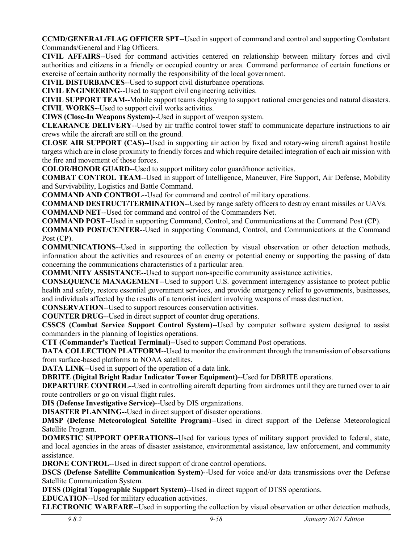**CCMD/GENERAL/FLAG OFFICER SPT**--Used in support of command and control and supporting Combatant Commands/General and Flag Officers.

**CIVIL AFFAIRS**--Used for command activities centered on relationship between military forces and civil authorities and citizens in a friendly or occupied country or area. Command performance of certain functions or exercise of certain authority normally the responsibility of the local government.

**CIVIL DISTURBANCES**--Used to support civil disturbance operations.

**CIVIL ENGINEERING**--Used to support civil engineering activities.

**CIVIL SUPPORT TEAM**--Mobile support teams deploying to support national emergencies and natural disasters. **CIVIL WORKS-**-Used to support civil works activities.

**CIWS (Close-In Weapons System)**--Used in support of weapon system.

**CLEARANCE DELIVERY**--Used by air traffic control tower staff to communicate departure instructions to air crews while the aircraft are still on the ground.

**CLOSE AIR SUPPORT (CAS)**--Used in supporting air action by fixed and rotary-wing aircraft against hostile targets which are in close proximity to friendly forces and which require detailed integration of each air mission with the fire and movement of those forces.

**COLOR/HONOR GUARD**--Used to support military color guard/honor activities.

**COMBAT CONTROL TEAM**--Used in support of Intelligence, Maneuver, Fire Support, Air Defense, Mobility and Survivability, Logistics and Battle Command.

**COMMAND AND CONTROL**--Used for command and control of military operations.

**COMMAND DESTRUCT/TERMINATION**--Used by range safety officers to destroy errant missiles or UAVs. **COMMAND NET**--Used for command and control of the Commanders Net.

**COMMAND POST**--Used in supporting Command, Control, and Communications at the Command Post (CP).

**COMMAND POST/CENTER-**-Used in supporting Command, Control, and Communications at the Command Post (CP).

**COMMUNICATIONS**--Used in supporting the collection by visual observation or other detection methods, information about the activities and resources of an enemy or potential enemy or supporting the passing of data concerning the communications characteristics of a particular area.

**COMMUNITY ASSISTANCE**--Used to support non-specific community assistance activities.

**CONSEQUENCE MANAGEMENT**--Used to support U.S. government interagency assistance to protect public health and safety, restore essential government services, and provide emergency relief to governments, businesses, and individuals affected by the results of a terrorist incident involving weapons of mass destruction.

**CONSERVATION**--Used to support resources conservation activities.

**COUNTER DRUG**--Used in direct support of counter drug operations.

**CSSCS (Combat Service Support Control System)**--Used by computer software system designed to assist commanders in the planning of logistics operations.

**CTT (Commander's Tactical Terminal)**--Used to support Command Post operations.

**DATA COLLECTION PLATFORM--Used to monitor the environment through the transmission of observations** from surface-based platforms to NOAA satellites.

**DATA LINK**--Used in support of the operation of a data link.

**DBRITE (Digital Bright Radar Indicator Tower Equipment)**--Used for DBRITE operations.

**DEPARTURE CONTROL**--Used in controlling aircraft departing from airdromes until they are turned over to air route controllers or go on visual flight rules.

**DIS (Defense Investigative Service)**--Used by DIS organizations.

**DISASTER PLANNING**--Used in direct support of disaster operations.

**DMSP (Defense Meteorological Satellite Program)**--Used in direct support of the Defense Meteorological Satellite Program.

**DOMESTIC SUPPORT OPERATIONS**--Used for various types of military support provided to federal, state, and local agencies in the areas of disaster assistance, environmental assistance, law enforcement, and community assistance.

**DRONE CONTROL-**-Used in direct support of drone control operations.

**DSCS (Defense Satellite Communication System)**--Used for voice and/or data transmissions over the Defense Satellite Communication System.

**DTSS (Digital Topographic Support System)**--Used in direct support of DTSS operations.

**EDUCATION**--Used for military education activities.

**ELECTRONIC WARFARE**--Used in supporting the collection by visual observation or other detection methods,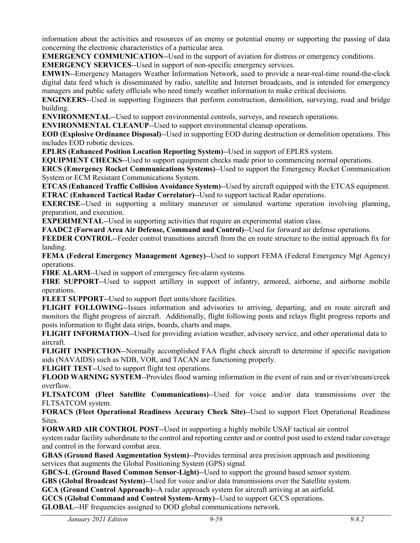information about the activities and resources of an enemy or potential enemy or supporting the passing of data concerning the electronic characteristics of a particular area.

**EMERGENCY COMMUNICATION--Used in the support of aviation for distress or emergency conditions. EMERGENCY SERVICES**--Used in support of non-specific emergency services.

**EMWIN**--Emergency Managers Weather Information Network, used to provide a near-real-time round-the-clock digital data feed which is disseminated by radio, satellite and Internet broadcasts, and is intended for emergency managers and public safety officials who need timely weather information to make critical decisions.

**ENGINEERS**--Used in supporting Engineers that perform construction, demolition, surveying, road and bridge building.

**ENVIRONMENTAL**--Used to support environmental controls, surveys, and research operations.

**ENVIRONMENTAL CLEANUP**--Used to support environmental cleanup operations.

**EOD (Explosive Ordinance Disposal)**--Used in supporting EOD during destruction or demolition operations. This includes EOD robotic devices.

**EPLRS (Enhanced Position Location Reporting System)**--Used in support of EPLRS system.

**EQUIPMENT CHECKS**--Used to support equipment checks made prior to commencing normal operations.

**ERCS (Emergency Rocket Communications Systems)**--Used to support the Emergency Rocket Communication System or ECM Resistant Communications System.

**ETCAS (Enhanced Traffic Collision Avoidance System)**--Used by aircraft equipped with the ETCAS equipment. **ETRAC (Enhanced Tactical Radar Correlator)**--Used to support tactical Radar operations.

**EXERCISE**--Used in supporting a military maneuver or simulated wartime operation involving planning, preparation, and execution.

**EXPERIMENTAL**--Used in supporting activities that require an experimental station class.

**FAADC2 (Forward Area Air Defense, Command and Control)**--Used for forward air defense operations.

**FEEDER CONTROL--Feeder control transitions aircraft from the en route structure to the initial approach fix for** landing.

**FEMA (Federal Emergency Management Agency)**--Used to support FEMA (Federal Emergency Mgt Agency) operations.

**FIRE ALARM**--Used in support of emergency fire-alarm systems.

**FIRE SUPPORT**--Used to support artillery in support of infantry, armored, airborne, and airborne mobile operations.

**FLEET SUPPORT**--Used to support fleet units/shore facilities.

**FLIGHT FOLLOWING**--Issues information and advisories to arriving, departing, and en route aircraft and monitors the flight progress of aircraft. Additionally, flight following posts and relays flight progress reports and posts information to flight data strips, boards, charts and maps.

**FLIGHT INFORMATION**--Used for providing aviation weather, advisory service, and other operational data to aircraft.

**FLIGHT INSPECTION**--Normally accomplished FAA flight check aircraft to determine if specific navigation aids (NAVAIDS) such as NDB, VOR, and TACAN are functioning properly.

**FLIGHT TEST**--Used to support flight test operations.

**FLOOD WARNING SYSTEM**--Provides flood warning information in the event of rain and or river/stream/creek overflow.

**FLTSATCOM (Fleet Satellite Communications)**--Used for voice and/or data transmissions over the FLTSATCOM system.

**FORACS (Fleet Operational Readiness Accuracy Check Site)**--Used to support Fleet Operational Readiness Sites.

**FORWARD AIR CONTROL POST**--Used in supporting a highly mobile USAF tactical air control

system radar facility subordinate to the control and reporting center and or control post used to extend radar coverage and control in the forward combat area.

**GBAS (Ground Based Augmentation System)**--Provides terminal area precision approach and positioning services that augments the Global Positioning System (GPS) signal.

**GBCS-L (Ground Based Common Sensor-Light)**--Used to support the ground based sensor system.

**GBS (Global Broadcast System)**--Used for voice and/or data transmissions over the Satellite system.

**GCA (Ground Control Approach)**--A radar approach system for aircraft arriving at an airfield.

**GCCS (Global Command and Control System-Army)**--Used to support GCCS operations.

**GLOBAL**--HF frequencies assigned to DOD global communications network.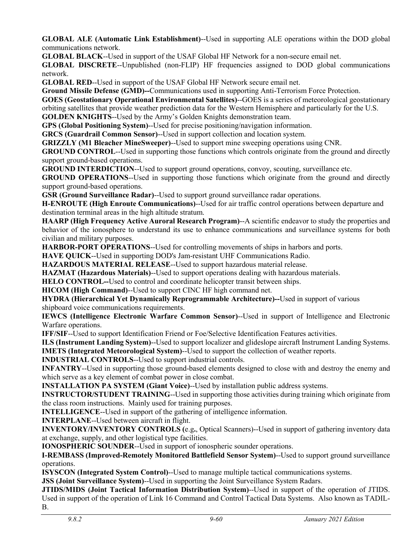**GLOBAL ALE (Automatic Link Establishment)**--Used in supporting ALE operations within the DOD global communications network.

**GLOBAL BLACK**--Used in support of the USAF Global HF Network for a non-secure email net.

**GLOBAL DISCRETE**--Unpublished (non-FLIP) HF frequencies assigned to DOD global communications network.

**GLOBAL RED**--Used in support of the USAF Global HF Network secure email net.

**Ground Missile Defense (GMD)--**Communications used in supporting Anti-Terrorism Force Protection.

**GOES (Geostationary Operational Environmental Satellites)**--GOES is a series of meteorological geostationary orbiting satellites that provide weather prediction data for the Western Hemisphere and particularly for the U.S.

**GOLDEN KNIGHTS**--Used by the Army's Golden Knights demonstration team.

**GPS (Global Positioning System)**--Used for precise positioning/navigation information.

**GRCS (Guardrail Common Sensor)**--Used in support collection and location system.

**GRIZZLY (M1 Bleacher MineSweeper)**--Used to support mine sweeping operations using CNR.

**GROUND CONTROL**--Used in supporting those functions which controls originate from the ground and directly support ground-based operations.

**GROUND INTERDICTION--Used to support ground operations, convoy, scouting, surveillance etc.** 

**GROUND OPERATIONS**--Used in supporting those functions which originate from the ground and directly support ground-based operations.

**GSR (Ground Surveillance Radar)**--Used to support ground surveillance radar operations.

**H-ENROUTE (High Enroute Communications)**--Used for air traffic control operations between departure and destination terminal areas in the high altitude stratum.

**HAARP (High Frequency Active Auroral Research Program)**--A scientific endeavor to study the properties and behavior of the ionosphere to understand its use to enhance communications and surveillance systems for both civilian and military purposes.

**HARBOR-PORT OPERATIONS**--Used for controlling movements of ships in harbors and ports.

**HAVE QUICK**--Used in supporting DOD's Jam-resistant UHF Communications Radio.

**HAZARDOUS MATERIAL RELEASE**--Used to support hazardous material release.

**HAZMAT (Hazardous Materials)**--Used to support operations dealing with hazardous materials.

**HELO CONTROL--**Used to control and coordinate helicopter transit between ships.

**HICOM (High Command)**--Used to support CINC HF high command net.

**HYDRA (Hierarchical Yet Dynamically Reprogrammable Architecture)--**Used in support of various shipboard voice communications requirements.

**IEWCS (Intelligence Electronic Warfare Common Sensor)**--Used in support of Intelligence and Electronic Warfare operations.

**IFF/SIF**--Used to support Identification Friend or Foe/Selective Identification Features activities.

**ILS (Instrument Landing System)**--Used to support localizer and glideslope aircraft Instrument Landing Systems.

**IMETS (Integrated Meteorological System)**--Used to support the collection of weather reports.

**INDUSTRIAL CONTROLS**--Used to support industrial controls.

**INFANTRY**--Used in supporting those ground-based elements designed to close with and destroy the enemy and which serve as a key element of combat power in close combat.

**INSTALLATION PA SYSTEM (Giant Voice)**--Used by installation public address systems.

**INSTRUCTOR/STUDENT TRAINING**--Used in supporting those activities during training which originate from the class room instructions. Mainly used for training purposes.

**INTELLIGENCE**--Used in support of the gathering of intelligence information.

**INTERPLANE**--Used between aircraft in flight.

**INVENTORY/INVENTORY CONTROLS (**e.g**.**, Optical Scanners)--Used in support of gathering inventory data at exchange, supply, and other logistical type facilities.

**IONOSPHERIC SOUNDER**--Used in support of ionospheric sounder operations.

**I-REMBASS (Improved-Remotely Monitored Battlefield Sensor System)**--Used to support ground surveillance operations.

**ISYSCON (Integrated System Control)**--Used to manage multiple tactical communications systems.

**JSS (Joint Surveillance System)**--Used in supporting the Joint Surveillance System Radars.

**JTIDS/MIDS (Joint Tactical Information Distribution System)**--Used in support of the operation of JTIDS. Used in support of the operation of Link 16 Command and Control Tactical Data Systems. Also known as TADIL-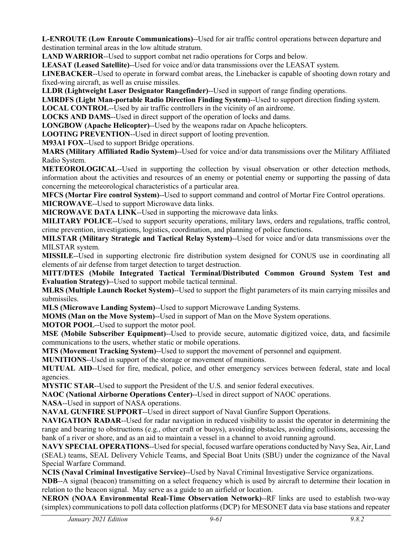**L-ENROUTE (Low Enroute Communications)**--Used for air traffic control operations between departure and destination terminal areas in the low altitude stratum.

**LAND WARRIOR**--Used to support combat net radio operations for Corps and below.

**LEASAT (Leased Satellite)**--Used for voice and/or data transmissions over the LEASAT system.

**LINEBACKER**--Used to operate in forward combat areas, the Linebacker is capable of shooting down rotary and fixed-wing aircraft, as well as cruise missiles.

**LLDR (Lightweight Laser Designator Rangefinder)**--Used in support of range finding operations.

**LMRDFS (Light Man-portable Radio Direction Finding System)**--Used to support direction finding system. **LOCAL CONTROL**--Used by air traffic controllers in the vicinity of an airdrome.

**LOCKS AND DAMS**--Used in direct support of the operation of locks and dams.

**LONGBOW (Apache Helicopter)**--Used by the weapons radar on Apache helicopters.

**LOOTING PREVENTION**--Used in direct support of looting prevention.

**M93A1 FOX**--Used to support Bridge operations.

**MARS (Military Affiliated Radio System)**--Used for voice and/or data transmissions over the Military Affiliated Radio System.

**METEOROLOGICAL**--Used in supporting the collection by visual observation or other detection methods, information about the activities and resources of an enemy or potential enemy or supporting the passing of data concerning the meteorological characteristics of a particular area.

**MFCS (Mortar Fire control System)**--Used to support command and control of Mortar Fire Control operations. **MICROWAVE**--Used to support Microwave data links.

**MICROWAVE DATA LINK**--Used in supporting the microwave data links.

**MILITARY POLICE**--Used to support security operations, military laws, orders and regulations, traffic control, crime prevention, investigations, logistics, coordination, and planning of police functions.

**MILSTAR (Military Strategic and Tactical Relay System)**--Used for voice and/or data transmissions over the MILSTAR system.

**MISSILE**--Used in supporting electronic fire distribution system designed for CONUS use in coordinating all elements of air defense from target detection to target destruction.

**MITT/DTES (Mobile Integrated Tactical Terminal/Distributed Common Ground System Test and Evaluation Strategy)**--Used to support mobile tactical terminal.

**MLRS (Multiple Launch Rocket System)**--Used to support the flight parameters of its main carrying missiles and submissiles.

**MLS (Microwave Landing System)**--Used to support Microwave Landing Systems.

**MOMS (Man on the Move System)**--Used in support of Man on the Move System operations.

**MOTOR POOL**--Used to support the motor pool.

**MSE (Mobile Subscriber Equipment)**--Used to provide secure, automatic digitized voice, data, and facsimile communications to the users, whether static or mobile operations.

**MTS (Movement Tracking System)**--Used to support the movement of personnel and equipment.

**MUNITIONS**--Used in support of the storage or movement of munitions.

**MUTUAL AID**--Used for fire, medical, police, and other emergency services between federal, state and local agencies.

**MYSTIC STAR**--Used to support the President of the U.S. and senior federal executives.

**NAOC (National Airborne Operations Center)**--Used in direct support of NAOC operations.

**NASA**--Used in support of NASA operations.

**NAVAL GUNFIRE SUPPORT**--Used in direct support of Naval Gunfire Support Operations.

**NAVIGATION RADAR--Used for radar navigation in reduced visibility to assist the operator in determining the** range and bearing to obstructions (e.g., other craft or buoys), avoiding obstacles, avoiding collisions, accessing the bank of a river or shore, and as an aid to maintain a vessel in a channel to avoid running aground.

**NAVY SPECIAL OPERATIONS**--Used for special, focused warfare operations conducted by Navy Sea, Air, Land (SEAL) teams, SEAL Delivery Vehicle Teams, and Special Boat Units (SBU) under the cognizance of the Naval Special Warfare Command.

**NCIS (Naval Criminal Investigative Service)**--Used by Naval Criminal Investigative Service organizations.

**NDB**--A signal (beacon) transmitting on a select frequency which is used by aircraft to determine their location in relation to the beacon signal. May serve as a guide to an airfield or location.

**NERON (NOAA Environmental Real-Time Observation Network)**--RF links are used to establish two-way (simplex) communications to poll data collection platforms (DCP) for MESONET data via base stations and repeater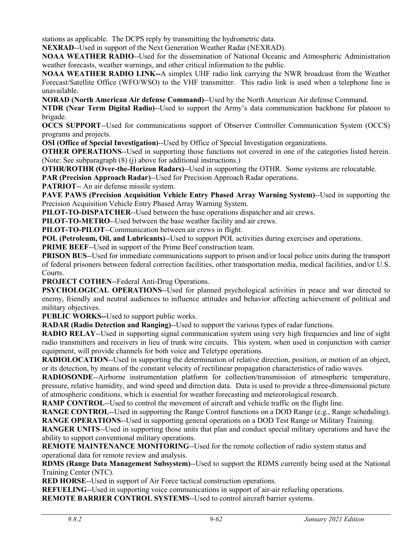stations as applicable. The DCPS reply by transmitting the hydrometric data.

**NEXRAD**--Used in support of the Next Generation Weather Radar (NEXRAD).

**NOAA WEATHER RADIO**--Used for the dissemination of National Oceanic and Atmospheric Administration weather forecasts, weather warnings, and other critical information to the public.

**NOAA WEATHER RADIO LINK--**A simplex UHF radio link carrying the NWR broadcast from the Weather Forecast/Satellite Office (WFO/WSO) to the VHF transmitter. This radio link is used when a telephone line is unavailable.

**NORAD (North American Air defense Command)**--Used by the North American Air defense Command.

**NTDR (Near Term Digital Radio)**--Used to support the Army's data communication backbone for platoon to brigade.

**OCCS SUPPORT**--Used for communications support of Observer Controller Communication System (OCCS) programs and projects.

**OSI** (Office of Special Investigation)--Used by Office of Special Investigation organizations.

**OTHER OPERATIONS--Used in supporting those functions not covered in one of the categories listed herein.** (Note: See subparagraph (8) (j) above for additional instructions.)

**OTHR/ROTHR (Over-the-Horizon Radars)**--Used in supporting the OTHR. Some systems are relocatable.

**PAR (Precision Approach Radar)**--Used for Precision Approach Radar operations.

**PATRIOT**-- An air defense missile system.

**PAVE PAWS (Precision Acquisition Vehicle Entry Phased Array Warning System)**--Used in supporting the Precision Acquisition Vehicle Entry Phased Array Warning System.

**PILOT-TO-DISPATCHER**--Used between the base operations dispatcher and air crews.

**PILOT-TO-METRO**--Used between the base weather facility and air crews.

**PILOT-TO-PILOT**--Communication between air crews in flight.

**POL (Petroleum, Oil, and Lubricants)**--Used to support POL activities during exercises and operations.

**PRIME BEEF--Used in support of the Prime Beef construction team.** 

**PRISON BUS**--Used for immediate communications support to prison and/or local police units during the transport of federal prisoners between federal correction facilities, other transportation media, medical facilities, and/or U.S. Courts.

**PROJECT COTHEN**--Federal Anti-Drug Operations.

**PSYCHOLOGICAL OPERATIONS**--Used for planned psychological activities in peace and war directed to enemy, friendly and neutral audiences to influence attitudes and behavior affecting achievement of political and military objectives.

**PUBLIC WORKS--**Used to support public works.

**RADAR (Radio Detection and Ranging)**--Used to support the various types of radar functions.

**RADIO RELAY**--Used in supporting signal communication system using very high frequencies and line of sight radio transmitters and receivers in lieu of trunk wire circuits. This system, when used in conjunction with carrier equipment, will provide channels for both voice and Teletype operations.

**RADIOLOCATION**--Used in supporting the determination of relative direction, position, or motion of an object, or its detection, by means of the constant velocity of rectilinear propagation characteristics of radio waves.

**RADIOSONDE**--Airborne instrumentation platform for collection/transmission of atmospheric temperature, pressure, relative humidity, and wind speed and direction data. Data is used to provide a three-dimensional picture of atmospheric conditions, which is essential for weather forecasting and meteorological research.

**RAMP CONTROL**--Used to control the movement of aircraft and vehicle traffic on the flight line.

**RANGE CONTROL**--Used in supporting the Range Control functions on a DOD Range (e.g., Range scheduling). **RANGE OPERATIONS--Used in supporting general operations on a DOD Test Range or Military Training.** 

**RANGER UNITS**--Used in supporting those units that plan and conduct special military operations and have the ability to support conventional military operations.

**REMOTE MAINTENANCE MONITORING**--Used for the remote collection of radio system status and operational data for remote review and analysis.

**RDMS (Range Data Management Subsystem)**--Used to support the RDMS currently being used at the National Training Center (NTC).

**RED HORSE**--Used in support of Air Force tactical construction operations.

**REFUELING**--Used in supporting voice communications in support of air-air refueling operations. **REMOTE BARRIER CONTROL SYSTEMS**--Used to control aircraft barrier systems.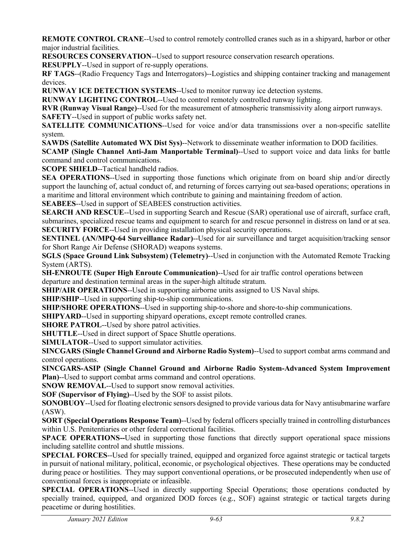**REMOTE CONTROL CRANE--Used to control remotely controlled cranes such as in a shipyard, harbor or other** major industrial facilities.

**RESOURCES CONSERVATION**--Used to support resource conservation research operations.

**RESUPPLY**--Used in support of re-supply operations.

**RF TAGS**--(Radio Frequency Tags and Interrogators)--Logistics and shipping container tracking and management devices.

**RUNWAY ICE DETECTION SYSTEMS**--Used to monitor runway ice detection systems.

**RUNWAY LIGHTING CONTROL**--Used to control remotely controlled runway lighting.

**RVR (Runway Visual Range)**--Used for the measurement of atmospheric transmissivity along airport runways.

**SAFETY**--Used in support of public works safety net.

**SATELLITE COMMUNICATIONS**--Used for voice and/or data transmissions over a non-specific satellite system.

**SAWDS (Satellite Automated WX Dist Sys)**--Network to disseminate weather information to DOD facilities.

**SCAMP (Single Channel Anti-Jam Manportable Terminal)**--Used to support voice and data links for battle command and control communications.

**SCOPE SHIELD--Tactical handheld radios.** 

**SEA OPERATIONS**--Used in supporting those functions which originate from on board ship and/or directly support the launching of, actual conduct of, and returning of forces carrying out sea-based operations; operations in a maritime and littoral environment which contribute to gaining and maintaining freedom of action.

**SEABEES**--Used in support of SEABEES construction activities.

**SEARCH AND RESCUE**--Used in supporting Search and Rescue (SAR) operational use of aircraft, surface craft, submarines, specialized rescue teams and equipment to search for and rescue personnel in distress on land or at sea. **SECURITY FORCE**--Used in providing installation physical security operations.

**SENTINEL (AN/MPQ-64 Surveillance Radar)**--Used for air surveillance and target acquisition/tracking sensor for Short Range Air Defense (SHORAD) weapons systems.

**SGLS (Space Ground Link Subsystem) (Telemetry)**--Used in conjunction with the Automated Remote Tracking System (ARTS).

**SH-ENROUTE (Super High Enroute Communication)**--Used for air traffic control operations between

departure and destination terminal areas in the super-high altitude stratum.

**SHIP/AIR OPERATIONS**--Used in supporting airborne units assigned to US Naval ships.

**SHIP/SHIP--Used in supporting ship-to-ship communications.** 

**SHIP/SHORE OPERATIONS**--Used in supporting ship-to-shore and shore-to-ship communications.

**SHIPYARD**--Used in supporting shipyard operations, except remote controlled cranes.

**SHORE PATROL--Used by shore patrol activities.** 

**SHUTTLE**--Used in direct support of Space Shuttle operations.

**SIMULATOR**--Used to support simulator activities.

**SINCGARS (Single Channel Ground and Airborne Radio System)**--Used to support combat arms command and control operations.

**SINCGARS-ASIP (Single Channel Ground and Airborne Radio System-Advanced System Improvement Plan)**--Used to support combat arms command and control operations.

**SNOW REMOVAL--Used to support snow removal activities.** 

**SOF (Supervisor of Flying)**--Used by the SOF to assist pilots.

**SONOBUOY**--Used for floating electronic sensors designed to provide various data for Navy antisubmarine warfare (ASW).

**SORT (Special Operations Response Team)**--Used by federal officers specially trained in controlling disturbances within U.S. Penitentiaries or other federal correctional facilities.

**SPACE OPERATIONS--**Used in supporting those functions that directly support operational space missions including satellite control and shuttle missions.

**SPECIAL FORCES**--Used for specially trained, equipped and organized force against strategic or tactical targets in pursuit of national military, political, economic, or psychological objectives. These operations may be conducted during peace or hostilities. They may support conventional operations, or be prosecuted independently when use of conventional forces is inappropriate or infeasible.

**SPECIAL OPERATIONS**--Used in directly supporting Special Operations; those operations conducted by specially trained, equipped, and organized DOD forces (e.g., SOF) against strategic or tactical targets during peacetime or during hostilities.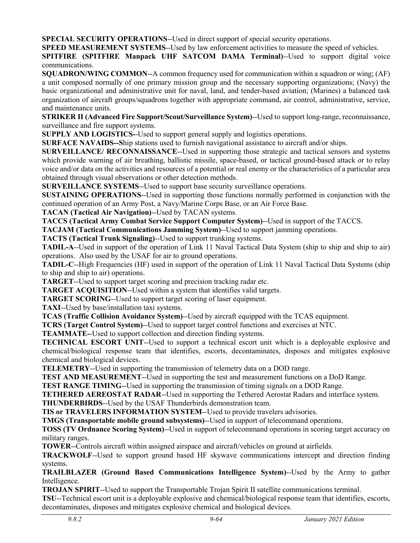**SPECIAL SECURITY OPERATIONS**--Used in direct support of special security operations.

**SPEED MEASUREMENT SYSTEMS--Used by law enforcement activities to measure the speed of vehicles.** 

**SPITFIRE (SPITFIRE Manpack UHF SATCOM DAMA Terminal)**--Used to support digital voice communications.

**SQUADRON/WING COMMON--A** common frequency used for communication within a squadron or wing; (AF) a unit composed normally of one primary mission group and the necessary supporting organizations; (Navy) the basic organizational and administrative unit for naval, land, and tender-based aviation; (Marines) a balanced task organization of aircraft groups/squadrons together with appropriate command, air control, administrative, service, and maintenance units.

**STRIKER II (Advanced Fire Support/Scout/Surveillance System)**--Used to support long-range, reconnaissance, surveillance and fire support systems.

**SUPPLY AND LOGISTICS-**-Used to support general supply and logistics operations.

**SURFACE NAVAIDS--S**hip stations used to furnish navigational assistance to aircraft and/or ships.

**SURVEILLANCE/ RECONNAISSANCE**--Used in supporting those strategic and tactical sensors and systems which provide warning of air breathing, ballistic missile, space-based, or tactical ground-based attack or to relay voice and/or data on the activities and resources of a potential or real enemy or the characteristics of a particular area obtained through visual observations or other detection methods.

**SURVEILLANCE SYSTEMS**--Used to support base security surveillance operations.

**SUSTAINING OPERATIONS**--Used in supporting those functions normally performed in conjunction with the continued operation of an Army Post, a Navy/Marine Corps Base, or an Air Force Base.

**TACAN (Tactical Air Navigation)**--Used by TACAN systems.

**TACCS (Tactical Army Combat Service Support Computer System)**--Used in support of the TACCS.

**TACJAM (Tactical Communications Jamming System)**--Used to support jamming operations.

**TACTS (Tactical Trunk Signaling)**--Used to support trunking systems.

**TADIL-A**--Used in support of the operation of Link 11 Naval Tactical Data System (ship to ship and ship to air) operations. Also used by the USAF for air to ground operations.

**TADIL-C**--High Frequencies (HF) used in support of the operation of Link 11 Naval Tactical Data Systems (ship to ship and ship to air) operations.

**TARGET**--Used to support target scoring and precision tracking radar etc.

**TARGET ACQUISITION**--Used within a system that identifies valid targets.

**TARGET SCORING**--Used to support target scoring of laser equipment.

**TAXI**--Used by base/installation taxi systems.

**TCAS (Traffic Collision Avoidance System)**--Used by aircraft equipped with the TCAS equipment.

**TCRS (Target Control System)**--Used to support target control functions and exercises at NTC.

**TEAMMATE-**-Used to support collection and direction finding systems.

**TECHNICAL ESCORT UNIT**--Used to support a technical escort unit which is a deployable explosive and chemical/biological response team that identifies, escorts, decontaminates, disposes and mitigates explosive chemical and biological devices.

**TELEMETRY**--Used in supporting the transmission of telemetry data on a DOD range.

**TEST AND MEASUREMENT**--Used in supporting the test and measurement functions on a DoD Range.

**TEST RANGE TIMING**--Used in supporting the transmission of timing signals on a DOD Range.

**TETHERED AEREOSTAT RADAR**--Used in supporting the Tethered Aerostat Radars and interface system.

**THUNDERBIRDS**--Used by the USAF Thunderbirds demonstration team.

**TIS or TRAVELERS INFORMATION SYSTEM**--Used to provide travelers advisories.

**TMGS (Transportable mobile ground subsystems)**--Used in support of telecommand operations.

**TOSS (TV Ordnance Scoring System)**--Used in support of telecommand operations in scoring target accuracy on military ranges.

**TOWER**--Controls aircraft within assigned airspace and aircraft/vehicles on ground at airfields.

**TRACKWOLF**--Used to support ground based HF skywave communications intercept and direction finding systems.

**TRAILBLAZER (Ground Based Communications Intelligence System)**--Used by the Army to gather Intelligence.

**TROJAN SPIRIT**--Used to support the Transportable Trojan Spirit II satellite communications terminal.

**TSU**--Technical escort unit is a deployable explosive and chemical/biological response team that identifies, escorts, decontaminates, disposes and mitigates explosive chemical and biological devices.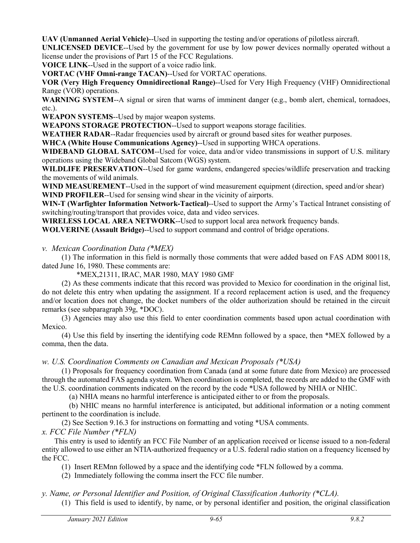**UAV (Unmanned Aerial Vehicle)**--Used in supporting the testing and/or operations of pilotless aircraft.

**UNLICENSED DEVICE**--Used by the government for use by low power devices normally operated without a license under the provisions of Part 15 of the FCC Regulations.

**VOICE LINK**--Used in the support of a voice radio link.

**VORTAC (VHF Omni-range TACAN)**--Used for VORTAC operations.

**VOR (Very High Frequency Omnidirectional Range)**--Used for Very High Frequency (VHF) Omnidirectional Range (VOR) operations.

**WARNING SYSTEM**--A signal or siren that warns of imminent danger (e.g., bomb alert, chemical, tornadoes, etc.).

**WEAPON SYSTEMS**--Used by major weapon systems.

**WEAPONS STORAGE PROTECTION**--Used to support weapons storage facilities.

**WEATHER RADAR**--Radar frequencies used by aircraft or ground based sites for weather purposes.

**WHCA (White House Communications Agency)**--Used in supporting WHCA operations.

**WIDEBAND GLOBAL SATCOM**--Used for voice, data and/or video transmissions in support of U.S. military operations using the Wideband Global Satcom (WGS) system.

**WILDLIFE PRESERVATION**--Used for game wardens, endangered species/wildlife preservation and tracking the movements of wild animals.

**WIND MEASUREMENT**--Used in the support of wind measurement equipment (direction, speed and/or shear) **WIND PROFILER**--Used for sensing wind shear in the vicinity of airports.

**WIN-T (Warfighter Information Network-Tactical)**--Used to support the Army's Tactical Intranet consisting of switching/routing/transport that provides voice, data and video services.

**WIRELESS LOCAL AREA NETWORK**--Used to support local area network frequency bands.

**WOLVERINE (Assault Bridge)**--Used to support command and control of bridge operations.

### *v. Mexican Coordination Data (\*MEX)*

(1) The information in this field is normally those comments that were added based on FAS ADM 800118, dated June 16, 1980. These comments are:

\*MEX,21311, IRAC, MAR 1980, MAY 1980 GMF

(2) As these comments indicate that this record was provided to Mexico for coordination in the original list, do not delete this entry when updating the assignment. If a record replacement action is used, and the frequency and/or location does not change, the docket numbers of the older authorization should be retained in the circuit remarks (see subparagraph 39g, \*DOC).

(3) Agencies may also use this field to enter coordination comments based upon actual coordination with Mexico.

(4) Use this field by inserting the identifying code REMnn followed by a space, then \*MEX followed by a comma, then the data.

## *w. U.S. Coordination Comments on Canadian and Mexican Proposals (\*USA)*

(1) Proposals for frequency coordination from Canada (and at some future date from Mexico) are processed through the automated FAS agenda system. When coordination is completed, the records are added to the GMF with the U.S. coordination comments indicated on the record by the code \*USA followed by NHIA or NHIC.

(a) NHIA means no harmful interference is anticipated either to or from the proposals.

(b) NHIC means no harmful interference is anticipated, but additional information or a noting comment pertinent to the coordination is include.

(2) See Section 9.16.3 for instructions on formatting and voting \*USA comments.

## *x. FCC File Number (\*FLN)*

This entry is used to identify an FCC File Number of an application received or license issued to a non-federal entity allowed to use either an NTIA-authorized frequency or a U.S. federal radio station on a frequency licensed by the FCC.

- (1) Insert REMnn followed by a space and the identifying code \*FLN followed by a comma.
- (2) Immediately following the comma insert the FCC file number.

## *y. Name, or Personal Identifier and Position, of Original Classification Authority (\*CLA).*

(1) This field is used to identify, by name, or by personal identifier and position, the original classification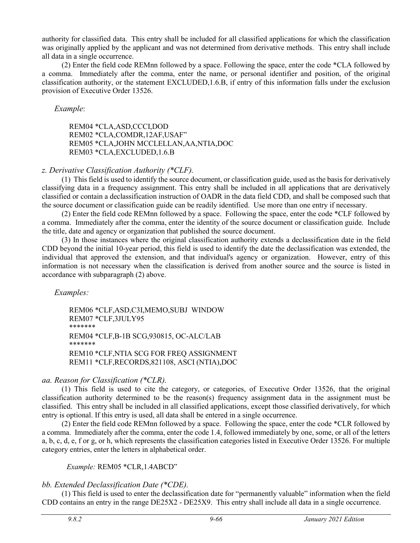authority for classified data. This entry shall be included for all classified applications for which the classification was originally applied by the applicant and was not determined from derivative methods. This entry shall include all data in a single occurrence.

(2) Enter the field code REMnn followed by a space. Following the space, enter the code \*CLA followed by a comma. Immediately after the comma, enter the name, or personal identifier and position, of the original classification authority, or the statement EXCLUDED,1.6.B, if entry of this information falls under the exclusion provision of Executive Order 13526.

## *Example*:

REM04 \*CLA,ASD,CCCI,DOD REM02 \*CLA,COMDR,12AF,USAF" REM05 \*CLA,JOHN MCCLELLAN,AA,NTIA,DOC REM03 \*CLA,EXCLUDED,1.6.B

## *z. Derivative Classification Authority (\*CLF).*

(1) This field is used to identify the source document, or classification guide, used as the basis for derivatively classifying data in a frequency assignment. This entry shall be included in all applications that are derivatively classified or contain a declassification instruction of OADR in the data field CDD, and shall be composed such that the source document or classification guide can be readily identified. Use more than one entry if necessary.

(2) Enter the field code REMnn followed by a space. Following the space, enter the code \*CLF followed by a comma. Immediately after the comma, enter the identity of the source document or classification guide. Include the title, date and agency or organization that published the source document.

(3) In those instances where the original classification authority extends a declassification date in the field CDD beyond the initial 10-year period, this field is used to identify the date the declassification was extended, the individual that approved the extension, and that individual's agency or organization. However, entry of this information is not necessary when the classification is derived from another source and the source is listed in accordance with subparagraph (2) above.

*Examples:*

REM06 \*CLF,ASD,C3I,MEMO,SUBJ WINDOW REM07 \*CLF,3JULY95 \*\*\*\*\*\*\* REM04 \*CLF,B-1B SCG,930815, OC-ALC/LAB \*\*\*\*\*\*\* REM10 \*CLF,NTIA SCG FOR FREQ ASSIGNMENT REM11 \*CLF,RECORDS,821108, ASCI (NTIA),DOC

# *aa. Reason for Classification (\*CLR).*

(1) This field is used to cite the category, or categories, of Executive Order 13526, that the original classification authority determined to be the reason(s) frequency assignment data in the assignment must be classified. This entry shall be included in all classified applications, except those classified derivatively, for which entry is optional. If this entry is used, all data shall be entered in a single occurrence.

(2) Enter the field code REMnn followed by a space. Following the space, enter the code \*CLR followed by a comma. Immediately after the comma, enter the code 1.4, followed immediately by one, some, or all of the letters a, b, c, d, e, f or g, or h, which represents the classification categories listed in Executive Order 13526. For multiple category entries, enter the letters in alphabetical order.

# *Example:* REM05 \*CLR,1.4ABCD"

# *bb. Extended Declassification Date (\*CDE).*

(1) This field is used to enter the declassification date for "permanently valuable" information when the field CDD contains an entry in the range DE25X2 - DE25X9. This entry shall include all data in a single occurrence.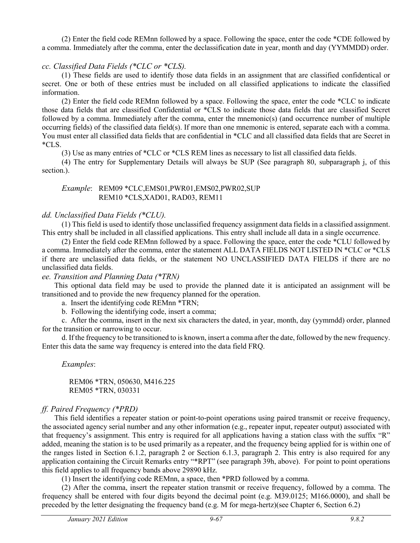(2) Enter the field code REMnn followed by a space. Following the space, enter the code \*CDE followed by a comma. Immediately after the comma, enter the declassification date in year, month and day (YYMMDD) order.

### *cc. Classified Data Fields (\*CLC or \*CLS).*

(1) These fields are used to identify those data fields in an assignment that are classified confidentical or secret. One or both of these entries must be included on all classified applications to indicate the classified information.

(2) Enter the field code REMnn followed by a space. Following the space, enter the code \*CLC to indicate those data fields that are classified Confidential or \*CLS to indicate those data fields that are classified Secret followed by a comma. Immediately after the comma, enter the mnemonic(s) (and occurrence number of multiple occurring fields) of the classified data field(s). If more than one mnemonic is entered, separate each with a comma. You must enter all classified data fields that are confidential in \*CLC and all classified data fields that are Secret in \*CLS.

(3) Use as many entries of \*CLC or \*CLS REM lines as necessary to list all classified data fields.

(4) The entry for Supplementary Details will always be SUP (See paragraph 80, subparagraph j, of this section.).

*Example*: REM09 \*CLC,EMS01,PWR01,EMS02,PWR02,SUP REM10 \*CLS,XAD01, RAD03, REM11

### *dd. Unclassified Data Fields (\*CLU).*

(1) This field is used to identify those unclassified frequency assignment data fields in a classified assignment. This entry shall be included in all classified applications. This entry shall include all data in a single occurrence.

(2) Enter the field code REMnn followed by a space. Following the space, enter the code \*CLU followed by a comma. Immediately after the comma, enter the statement ALL DATA FIELDS NOT LISTED IN \*CLC or \*CLS if there are unclassified data fields, or the statement NO UNCLASSIFIED DATA FIELDS if there are no unclassified data fields.

#### *ee. Transition and Planning Data (\*TRN)*

This optional data field may be used to provide the planned date it is anticipated an assignment will be transitioned and to provide the new frequency planned for the operation.

a. Insert the identifying code REMnn \*TRN;

b. Following the identifying code, insert a comma;

c. After the comma, insert in the next six characters the dated, in year, month, day (yymmdd) order, planned for the transition or narrowing to occur.

d. If the frequency to be transitioned to is known, insert a comma after the date, followed by the new frequency. Enter this data the same way frequency is entered into the data field FRQ.

*Examples*:

REM06 \*TRN, 050630, M416.225 REM05 \*TRN, 030331

# *ff. Paired Frequency (\*PRD)*

This field identifies a repeater station or point-to-point operations using paired transmit or receive frequency, the associated agency serial number and any other information (e.g., repeater input, repeater output) associated with that frequency's assignment. This entry is required for all applications having a station class with the suffix "R" added, meaning the station is to be used primarily as a repeater, and the frequency being applied for is within one of the ranges listed in Section 6.1.2, paragraph 2 or Section 6.1.3, paragraph 2. This entry is also required for any application containing the Circuit Remarks entry "\*RPT" (see paragraph 39h, above). For point to point operations this field applies to all frequency bands above 29890 kHz.

(1) Insert the identifying code REMnn, a space, then \*PRD followed by a comma.

(2) After the comma, insert the repeater station transmit or receive frequency, followed by a comma. The frequency shall be entered with four digits beyond the decimal point (e.g. M39.0125; M166.0000), and shall be preceded by the letter designating the frequency band (e.g. M for mega-hertz)(see Chapter 6, Section 6.2)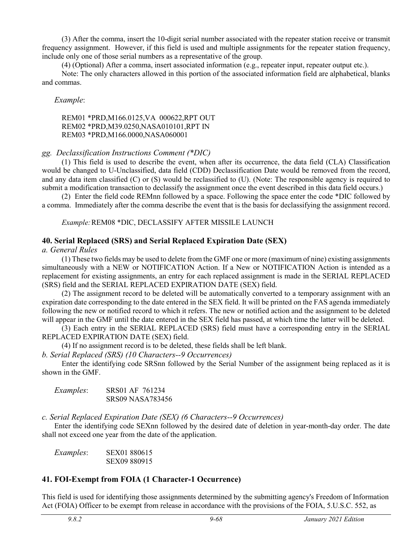(3) After the comma, insert the 10-digit serial number associated with the repeater station receive or transmit frequency assignment. However, if this field is used and multiple assignments for the repeater station frequency, include only one of those serial numbers as a representative of the group.

(4) (Optional) After a comma, insert associated information (e.g., repeater input, repeater output etc.).

Note: The only characters allowed in this portion of the associated information field are alphabetical, blanks and commas.

### *Example*:

#### REM01 \*PRD,M166.0125,VA 000622,RPT OUT REM02 \*PRD,M39.0250,NASA010101,RPT IN REM03 \*PRD,M166.0000,NASA060001

### *gg. Declassification Instructions Comment (\*DIC)*

(1) This field is used to describe the event, when after its occurrence, the data field (CLA) Classification would be changed to U-Unclassified, data field (CDD) Declassification Date would be removed from the record, and any data item classified (C) or (S) would be reclassified to (U). (Note: The responsible agency is required to submit a modification transaction to declassify the assignment once the event described in this data field occurs.)

(2) Enter the field code REMnn followed by a space. Following the space enter the code \*DIC followed by a comma. Immediately after the comma describe the event that is the basis for declassifying the assignment record.

*Example:*REM08 \*DIC, DECLASSIFY AFTER MISSILE LAUNCH

## **40. Serial Replaced (SRS) and Serial Replaced Expiration Date (SEX)**

*a. General Rules*

(1) These two fields may be used to delete from the GMF one or more (maximum of nine) existing assignments simultaneously with a NEW or NOTIFICATION Action. If a New or NOTIFICATION Action is intended as a replacement for existing assignments, an entry for each replaced assignment is made in the SERIAL REPLACED (SRS) field and the SERIAL REPLACED EXPIRATION DATE (SEX) field.

(2) The assignment record to be deleted will be automatically converted to a temporary assignment with an expiration date corresponding to the date entered in the SEX field. It will be printed on the FAS agenda immediately following the new or notified record to which it refers. The new or notified action and the assignment to be deleted will appear in the GMF until the date entered in the SEX field has passed, at which time the latter will be deleted.

(3) Each entry in the SERIAL REPLACED (SRS) field must have a corresponding entry in the SERIAL REPLACED EXPIRATION DATE (SEX) field.

(4) If no assignment record is to be deleted, these fields shall be left blank.

*b. Serial Replaced (SRS) (10 Characters--9 Occurrences)*

Enter the identifying code SRSnn followed by the Serial Number of the assignment being replaced as it is shown in the GMF.

| <i>Examples</i> : | SRS01 AF 761234  |
|-------------------|------------------|
|                   | SRS09 NASA783456 |

*c. Serial Replaced Expiration Date (SEX) (6 Characters--9 Occurrences)*

Enter the identifying code SEXnn followed by the desired date of deletion in year-month-day order. The date shall not exceed one year from the date of the application.

*Examples*: SEX01 880615 SEX09 880915

# **41. FOI-Exempt from FOIA (1 Character-1 Occurrence)**

This field is used for identifying those assignments determined by the submitting agency's Freedom of Information Act (FOIA) Officer to be exempt from release in accordance with the provisions of the FOIA, 5.U.S.C. 552, as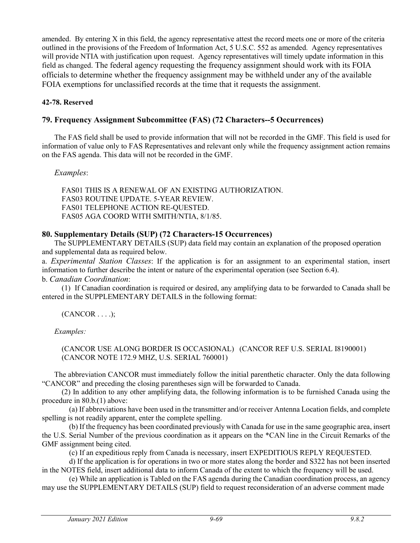amended. By entering X in this field, the agency representative attest the record meets one or more of the criteria outlined in the provisions of the Freedom of Information Act, 5 U.S.C. 552 as amended. Agency representatives will provide NTIA with justification upon request. Agency representatives will timely update information in this field as changed. The federal agency requesting the frequency assignment should work with its FOIA officials to determine whether the frequency assignment may be withheld under any of the available FOIA exemptions for unclassified records at the time that it requests the assignment.

## **42-78. Reserved**

## **79. Frequency Assignment Subcommittee (FAS) (72 Characters--5 Occurrences)**

The FAS field shall be used to provide information that will not be recorded in the GMF. This field is used for information of value only to FAS Representatives and relevant only while the frequency assignment action remains on the FAS agenda. This data will not be recorded in the GMF.

## *Examples*:

FAS01 THIS IS A RENEWAL OF AN EXISTING AUTHORIZATION. FAS03 ROUTINE UPDATE. 5-YEAR REVIEW. FAS01 TELEPHONE ACTION RE-QUESTED. FAS05 AGA COORD WITH SMITH/NTIA, 8/1/85.

## **80. Supplementary Details (SUP) (72 Characters-15 Occurrences)**

The SUPPLEMENTARY DETAILS (SUP) data field may contain an explanation of the proposed operation and supplemental data as required below.

a. *Experimental Station Classes*: If the application is for an assignment to an experimental station, insert information to further describe the intent or nature of the experimental operation (see Section 6.4). b. *Canadian Coordination*:

(1) If Canadian coordination is required or desired, any amplifying data to be forwarded to Canada shall be entered in the SUPPLEMENTARY DETAILS in the following format:

 $(CANCOR \ldots);$ 

*Examples:*

(CANCOR USE ALONG BORDER IS OCCASIONAL) (CANCOR REF U.S. SERIAL I8190001) (CANCOR NOTE 172.9 MHZ, U.S. SERIAL 760001)

The abbreviation CANCOR must immediately follow the initial parenthetic character. Only the data following "CANCOR" and preceding the closing parentheses sign will be forwarded to Canada.

(2) In addition to any other amplifying data, the following information is to be furnished Canada using the procedure in 80.b.(1) above:

(a) If abbreviations have been used in the transmitter and/or receiver Antenna Location fields, and complete spelling is not readily apparent, enter the complete spelling.

(b) If the frequency has been coordinated previously with Canada for use in the same geographic area, insert the U.S. Serial Number of the previous coordination as it appears on the \*CAN line in the Circuit Remarks of the GMF assignment being cited.

(c) If an expeditious reply from Canada is necessary, insert EXPEDITIOUS REPLY REQUESTED.

d) If the application is for operations in two or more states along the border and S322 has not been inserted in the NOTES field, insert additional data to inform Canada of the extent to which the frequency will be used.

(e) While an application is Tabled on the FAS agenda during the Canadian coordination process, an agency may use the SUPPLEMENTARY DETAILS (SUP) field to request reconsideration of an adverse comment made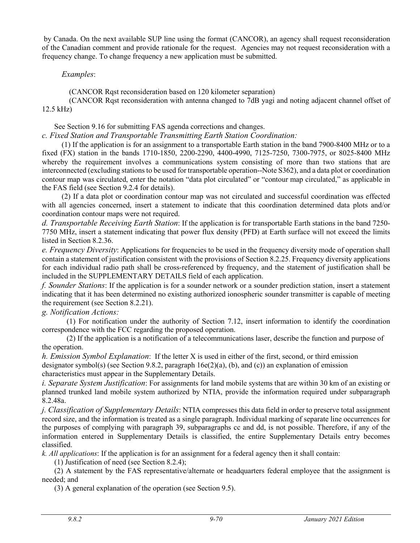by Canada. On the next available SUP line using the format (CANCOR), an agency shall request reconsideration of the Canadian comment and provide rationale for the request. Agencies may not request reconsideration with a frequency change. To change frequency a new application must be submitted.

# *Examples*:

(CANCOR Rqst reconsideration based on 120 kilometer separation)

(CANCOR Rqst reconsideration with antenna changed to 7dB yagi and noting adjacent channel offset of 12.5 kHz)

See Section 9.16 for submitting FAS agenda corrections and changes. *c. Fixed Station and Transportable Transmitting Earth Station Coordination:*

(1) If the application is for an assignment to a transportable Earth station in the band 7900-8400 MHz or to a fixed (FX) station in the bands 1710-1850, 2200-2290, 4400-4990, 7125-7250, 7300-7975, or 8025-8400 MHz whereby the requirement involves a communications system consisting of more than two stations that are interconnected (excluding stations to be used for transportable operation--Note S362), and a data plot or coordination contour map was circulated, enter the notation "data plot circulated" or "contour map circulated," as applicable in the FAS field (see Section 9.2.4 for details).

(2) If a data plot or coordination contour map was not circulated and successful coordination was effected with all agencies concerned, insert a statement to indicate that this coordination determined data plots and/or coordination contour maps were not required.

*d. Transportable Receiving Earth Station*: If the application is for transportable Earth stations in the band 7250- 7750 MHz, insert a statement indicating that power flux density (PFD) at Earth surface will not exceed the limits listed in Section 8.2.36.

*e. Frequency Diversity*: Applications for frequencies to be used in the frequency diversity mode of operation shall contain a statement of justification consistent with the provisions of Section 8.2.25. Frequency diversity applications for each individual radio path shall be cross-referenced by frequency, and the statement of justification shall be included in the SUPPLEMENTARY DETAILS field of each application.

*f. Sounder Stations*: If the application is for a sounder network or a sounder prediction station, insert a statement indicating that it has been determined no existing authorized ionospheric sounder transmitter is capable of meeting the requirement (see Section 8.2.21).

# *g. Notification Actions:*

(1) For notification under the authority of Section 7.12, insert information to identify the coordination correspondence with the FCC regarding the proposed operation.

(2) If the application is a notification of a telecommunications laser, describe the function and purpose of the operation.

*h. Emission Symbol Explanation*: If the letter X is used in either of the first, second, or third emission designator symbol(s) (see Section 9.8.2, paragraph 16e(2)(a), (b), and (c)) an explanation of emission characteristics must appear in the Supplementary Details.

*i. Separate System Justification*: For assignments for land mobile systems that are within 30 km of an existing or planned trunked land mobile system authorized by NTIA, provide the information required under subparagraph 8.2.48a.

*j. Classification of Supplementary Details*: NTIA compresses this data field in order to preserve total assignment record size, and the information is treated as a single paragraph. Individual marking of separate line occurrences for the purposes of complying with paragraph 39, subparagraphs cc and dd, is not possible. Therefore, if any of the information entered in Supplementary Details is classified, the entire Supplementary Details entry becomes classified.

*k. All applications*: If the application is for an assignment for a federal agency then it shall contain:

(1) Justification of need (see Section 8.2.4);

(2) A statement by the FAS representative/alternate or headquarters federal employee that the assignment is needed; and

(3) A general explanation of the operation (see Section 9.5).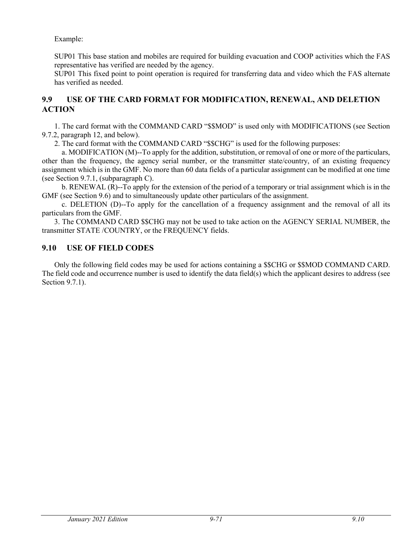Example:

SUP01 This base station and mobiles are required for building evacuation and COOP activities which the FAS representative has verified are needed by the agency.

SUP01 This fixed point to point operation is required for transferring data and video which the FAS alternate has verified as needed.

# **9.9 USE OF THE CARD FORMAT FOR MODIFICATION, RENEWAL, AND DELETION ACTION**

1. The card format with the COMMAND CARD "\$\$MOD" is used only with MODIFICATIONS (see Section 9.7.2, paragraph 12, and below).

2. The card format with the COMMAND CARD "\$\$CHG" is used for the following purposes:

a. MODIFICATION (M)--To apply for the addition, substitution, or removal of one or more of the particulars, other than the frequency, the agency serial number, or the transmitter state/country, of an existing frequency assignment which is in the GMF. No more than 60 data fields of a particular assignment can be modified at one time (see Section 9.7.1, (subparagraph C).

b. RENEWAL (R)--To apply for the extension of the period of a temporary or trial assignment which is in the GMF (see Section 9.6) and to simultaneously update other particulars of the assignment.

c. DELETION (D)--To apply for the cancellation of a frequency assignment and the removal of all its particulars from the GMF.

3. The COMMAND CARD \$\$CHG may not be used to take action on the AGENCY SERIAL NUMBER, the transmitter STATE /COUNTRY, or the FREQUENCY fields.

## **9.10 USE OF FIELD CODES**

Only the following field codes may be used for actions containing a \$\$CHG or \$\$MOD COMMAND CARD. The field code and occurrence number is used to identify the data field(s) which the applicant desires to address (see Section 9.7.1).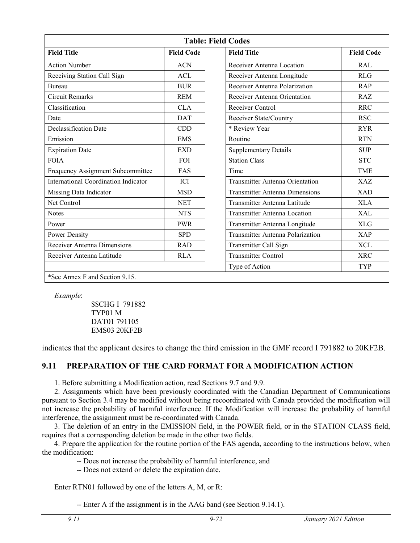| <b>Table: Field Codes</b>            |                   |                                         |                   |  |  |
|--------------------------------------|-------------------|-----------------------------------------|-------------------|--|--|
| <b>Field Title</b>                   | <b>Field Code</b> | <b>Field Title</b>                      | <b>Field Code</b> |  |  |
| <b>Action Number</b>                 | <b>ACN</b>        | Receiver Antenna Location               | RAL               |  |  |
| Receiving Station Call Sign          | <b>ACL</b>        | Receiver Antenna Longitude              | <b>RLG</b>        |  |  |
| Bureau                               | <b>BUR</b>        | Receiver Antenna Polarization           | <b>RAP</b>        |  |  |
| <b>Circuit Remarks</b>               | <b>REM</b>        | Receiver Antenna Orientation            | <b>RAZ</b>        |  |  |
| Classification                       | <b>CLA</b>        | Receiver Control                        | <b>RRC</b>        |  |  |
| Date                                 | <b>DAT</b>        | Receiver State/Country                  | <b>RSC</b>        |  |  |
| Declassification Date                | CDD               | * Review Year                           | <b>RYR</b>        |  |  |
| Emission                             | <b>EMS</b>        | Routine                                 | <b>RTN</b>        |  |  |
| <b>Expiration Date</b>               | <b>EXD</b>        | <b>Supplementary Details</b>            | <b>SUP</b>        |  |  |
| <b>FOIA</b>                          | FOI               | <b>Station Class</b>                    | <b>STC</b>        |  |  |
| Frequency Assignment Subcommittee    | FAS               | Time                                    | <b>TME</b>        |  |  |
| International Coordination Indicator | ICI               | <b>Transmitter Antenna Orientation</b>  | <b>XAZ</b>        |  |  |
| Missing Data Indicator               | <b>MSD</b>        | <b>Transmitter Antenna Dimensions</b>   | <b>XAD</b>        |  |  |
| Net Control                          | <b>NET</b>        | Transmitter Antenna Latitude            | <b>XLA</b>        |  |  |
| <b>Notes</b>                         | <b>NTS</b>        | <b>Transmitter Antenna Location</b>     | <b>XAL</b>        |  |  |
| Power                                | <b>PWR</b>        | Transmitter Antenna Longitude           | <b>XLG</b>        |  |  |
| Power Density                        | <b>SPD</b>        | <b>Transmitter Antenna Polarization</b> | <b>XAP</b>        |  |  |
| Receiver Antenna Dimensions          | <b>RAD</b>        | Transmitter Call Sign                   | <b>XCL</b>        |  |  |
| Receiver Antenna Latitude            | <b>RLA</b>        | <b>Transmitter Control</b>              | <b>XRC</b>        |  |  |
|                                      |                   | Type of Action                          | <b>TYP</b>        |  |  |

\*See Annex F and Section 9.15.

*Example*:

\$\$CHG I 791882 TYP01 M DAT01 791105 EMS03 20KF2B

indicates that the applicant desires to change the third emission in the GMF record I 791882 to 20KF2B.

# **9.11 PREPARATION OF THE CARD FORMAT FOR A MODIFICATION ACTION**

1. Before submitting a Modification action, read Sections 9.7 and 9.9.

2. Assignments which have been previously coordinated with the Canadian Department of Communications pursuant to Section 3.4 may be modified without being recoordinated with Canada provided the modification will not increase the probability of harmful interference. If the Modification will increase the probability of harmful interference, the assignment must be re-coordinated with Canada.

3. The deletion of an entry in the EMISSION field, in the POWER field, or in the STATION CLASS field, requires that a corresponding deletion be made in the other two fields.

4. Prepare the application for the routine portion of the FAS agenda, according to the instructions below, when the modification:

-- Does not increase the probability of harmful interference, and

-- Does not extend or delete the expiration date.

Enter RTN01 followed by one of the letters A, M, or R:

-- Enter A if the assignment is in the AAG band (see Section 9.14.1).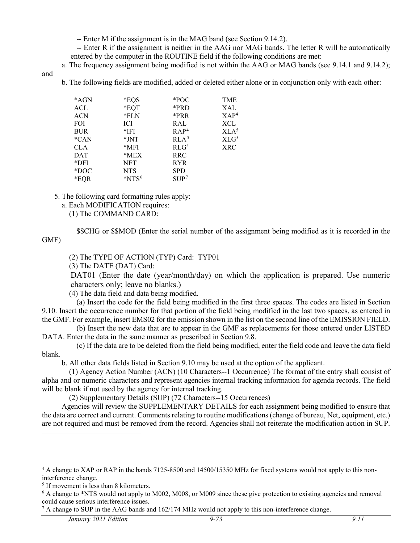- -- Enter M if the assignment is in the MAG band (see Section 9.14.2).
- -- Enter R if the assignment is neither in the AAG nor MAG bands. The letter R will be automatically entered by the computer in the ROUTINE field if the following conditions are met:
- a. The frequency assignment being modified is not within the AAG or MAG bands (see 9.14.1 and 9.14.2);

and

b. The following fields are modified, added or deleted either alone or in conjunction only with each other:

<span id="page-72-1"></span><span id="page-72-0"></span>

| *AGN       | *EQS       | $*POC$           | <b>TME</b>       |
|------------|------------|------------------|------------------|
| <b>ACL</b> | *EQT       | *PRD             | XAL              |
| <b>ACN</b> | *FLN       | *PRR             | XAP <sup>4</sup> |
| <b>FOI</b> | ICI        | RAL              | XCL              |
| <b>BUR</b> | $*$ IFI    | RAP <sup>4</sup> | XLA <sup>5</sup> |
| $*$ CAN    | $*JNT$     | RLA <sup>5</sup> | XLG <sup>5</sup> |
| <b>CLA</b> | $*MFI$     | RLG <sup>5</sup> | <b>XRC</b>       |
| <b>DAT</b> | $*MEX$     | <b>RRC</b>       |                  |
| *DFI       | <b>NET</b> | <b>RYR</b>       |                  |
| $*DOC$     | <b>NTS</b> | <b>SPD</b>       |                  |
| *EQR       | $*NTS6$    | SUP <sup>7</sup> |                  |
|            |            |                  |                  |

5. The following card formatting rules apply:

a. Each MODIFICATION requires:

(1) The COMMAND CARD:

\$\$CHG or \$\$MOD (Enter the serial number of the assignment being modified as it is recorded in the GMF)

(2) The TYPE OF ACTION (TYP) Card: TYP01

(3) The DATE (DAT) Card:

DAT01 (Enter the date (year/month/day) on which the application is prepared. Use numeric characters only; leave no blanks.)

(4) The data field and data being modified.

(a) Insert the code for the field being modified in the first three spaces. The codes are listed in Section 9.10. Insert the occurrence number for that portion of the field being modified in the last two spaces, as entered in the GMF. For example, insert EMS02 for the emission shown in the list on the second line of the EMISSION FIELD.

(b) Insert the new data that are to appear in the GMF as replacements for those entered under LISTED DATA. Enter the data in the same manner as prescribed in Section 9.8.

(c) If the data are to be deleted from the field being modified, enter the field code and leave the data field blank.

b. All other data fields listed in Section 9.10 may be used at the option of the applicant.

(1) Agency Action Number (ACN) (10 Characters--1 Occurrence) The format of the entry shall consist of alpha and or numeric characters and represent agencies internal tracking information for agenda records. The field will be blank if not used by the agency for internal tracking.

(2) Supplementary Details (SUP) (72 Characters--15 Occurrences)

Agencies will review the SUPPLEMENTARY DETAILS for each assignment being modified to ensure that the data are correct and current. Comments relating to routine modifications (change of bureau, Net, equipment, etc.) are not required and must be removed from the record. Agencies shall not reiterate the modification action in SUP.

 $\overline{a}$ 

<span id="page-72-2"></span><sup>4</sup> A change to XAP or RAP in the bands 7125-8500 and 14500/15350 MHz for fixed systems would not apply to this noninterference change.

<span id="page-72-3"></span><sup>&</sup>lt;sup>5</sup> If movement is less than 8 kilometers.

<span id="page-72-4"></span><sup>&</sup>lt;sup>6</sup> A change to \*NTS would not apply to M002, M008, or M009 since these give protection to existing agencies and removal could cause serious interference issues.

<span id="page-72-5"></span> $7$  A change to SUP in the AAG bands and 162/174 MHz would not apply to this non-interference change.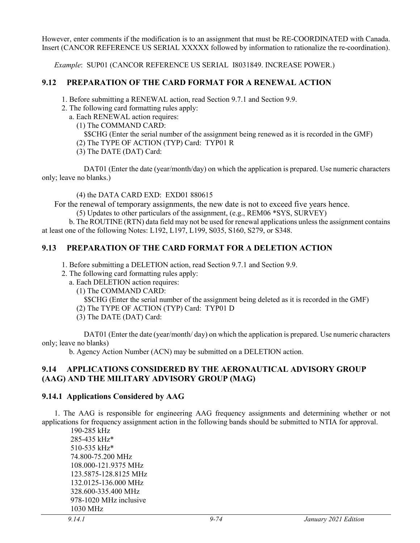However, enter comments if the modification is to an assignment that must be RE-COORDINATED with Canada. Insert (CANCOR REFERENCE US SERIAL XXXXX followed by information to rationalize the re-coordination).

*Example*: SUP01 (CANCOR REFERENCE US SERIAL I8031849. INCREASE POWER.)

## **9.12 PREPARATION OF THE CARD FORMAT FOR A RENEWAL ACTION**

- 1. Before submitting a RENEWAL action, read Section 9.7.1 and Section 9.9.
- 2. The following card formatting rules apply:
	- a. Each RENEWAL action requires:
		- (1) The COMMAND CARD:
		- \$\$CHG (Enter the serial number of the assignment being renewed as it is recorded in the GMF)
		- (2) The TYPE OF ACTION (TYP) Card: TYP01 R
		- (3) The DATE (DAT) Card:

DAT01 (Enter the date (year/month/day) on which the application is prepared. Use numeric characters only; leave no blanks.)

(4) the DATA CARD EXD: EXD01 880615

For the renewal of temporary assignments, the new date is not to exceed five years hence.

(5) Updates to other particulars of the assignment, (e.g., REM06 \*SYS, SURVEY)

b. The ROUTINE (RTN) data field may not be used for renewal applications unless the assignment contains at least one of the following Notes: L192, L197, L199, S035, S160, S279, or S348.

## **9.13 PREPARATION OF THE CARD FORMAT FOR A DELETION ACTION**

- 1. Before submitting a DELETION action, read Section 9.7.1 and Section 9.9.
- 2. The following card formatting rules apply:
	- a. Each DELETION action requires:
		- (1) The COMMAND CARD:

\$\$CHG (Enter the serial number of the assignment being deleted as it is recorded in the GMF)

- (2) The TYPE OF ACTION (TYP) Card: TYP01 D
- (3) The DATE (DAT) Card:

DAT01 (Enter the date (year/month/ day) on which the application is prepared. Use numeric characters only; leave no blanks)

b. Agency Action Number (ACN) may be submitted on a DELETION action.

# **9.14 APPLICATIONS CONSIDERED BY THE AERONAUTICAL ADVISORY GROUP (AAG) AND THE MILITARY ADVISORY GROUP (MAG)**

## **9.14.1 Applications Considered by AAG**

1. The AAG is responsible for engineering AAG frequency assignments and determining whether or not applications for frequency assignment action in the following bands should be submitted to NTIA for approval.

190-285 kHz 285-435 kHz\* 510-535 kHz\* 74.800-75.200 MHz 108.000-121.9375 MHz 123.5875-128.8125 MHz 132.0125-136.000 MHz 328.600-335.400 MHz 978-1020 MHz inclusive 1030 MHz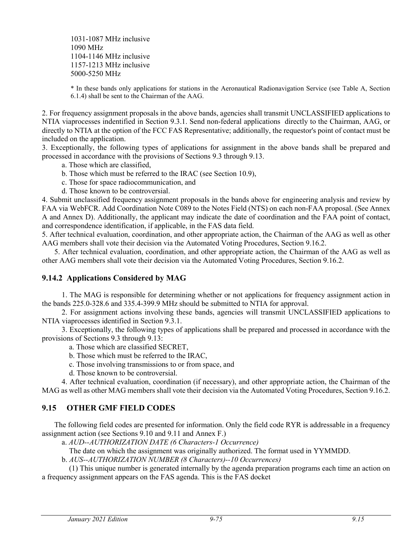1031-1087 MHz inclusive 1090 MHz 1104-1146 MHz inclusive 1157-1213 MHz inclusive 5000-5250 MHz

\* In these bands only applications for stations in the Aeronautical Radionavigation Service (see Table A, Section 6.1.4) shall be sent to the Chairman of the AAG.

2. For frequency assignment proposals in the above bands, agencies shall transmit UNCLASSIFIED applications to NTIA viaprocesses indentified in Section 9.3.1. Send non-federal applications directly to the Chairman, AAG, or directly to NTIA at the option of the FCC FAS Representative; additionally, the requestor's point of contact must be included on the application.

3. Exceptionally, the following types of applications for assignment in the above bands shall be prepared and processed in accordance with the provisions of Sections 9.3 through 9.13.

- a. Those which are classified,
- b. Those which must be referred to the IRAC (see Section 10.9),
- c. Those for space radiocommunication, and
- d. Those known to be controversial.

4. Submit unclassified frequency assignment proposals in the bands above for engineering analysis and review by FAA via WebFCR. Add Coordination Note C089 to the Notes Field (NTS) on each non-FAA proposal. (See Annex A and Annex D). Additionally, the applicant may indicate the date of coordination and the FAA point of contact, and correspondence identification, if applicable, in the FAS data field.

5. After technical evaluation, coordination, and other appropriate action, the Chairman of the AAG as well as other AAG members shall vote their decision via the Automated Voting Procedures, Section 9.16.2.

5. After technical evaluation, coordination, and other appropriate action, the Chairman of the AAG as well as other AAG members shall vote their decision via the Automated Voting Procedures, Section 9.16.2.

## **9.14.2 Applications Considered by MAG**

1. The MAG is responsible for determining whether or not applications for frequency assignment action in the bands 225.0-328.6 and 335.4-399.9 MHz should be submitted to NTIA for approval.

2. For assignment actions involving these bands, agencies will transmit UNCLASSIFIED applications to NTIA viaprocesses identified in Section 9.3.1.

3. Exceptionally, the following types of applications shall be prepared and processed in accordance with the provisions of Sections 9.3 through 9.13:

a. Those which are classified SECRET,

b. Those which must be referred to the IRAC,

c. Those involving transmissions to or from space, and

d. Those known to be controversial.

4. After technical evaluation, coordination (if necessary), and other appropriate action, the Chairman of the MAG as well as other MAG members shall vote their decision via the Automated Voting Procedures, Section 9.16.2.

## **9.15 OTHER GMF FIELD CODES**

The following field codes are presented for information. Only the field code RYR is addressable in a frequency assignment action (see Sections 9.10 and 9.11 and Annex F.)

a. *AUD--AUTHORIZATION DATE (6 Characters-1 Occurrence)*

The date on which the assignment was originally authorized. The format used in YYMMDD.

b. *AUS--AUTHORIZATION NUMBER (8 Characters)--10 Occurrences)*

(1) This unique number is generated internally by the agenda preparation programs each time an action on a frequency assignment appears on the FAS agenda. This is the FAS docket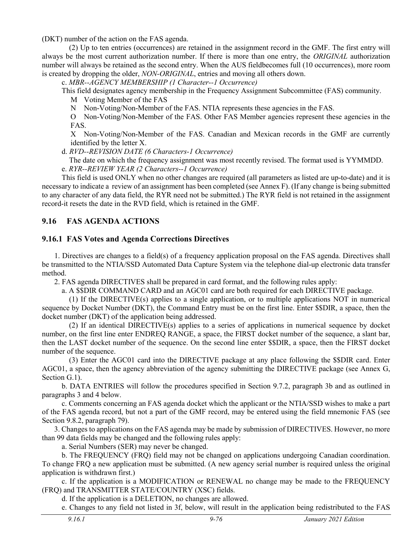(DKT) number of the action on the FAS agenda.

(2) Up to ten entries (occurrences) are retained in the assignment record in the GMF. The first entry will always be the most current authorization number. If there is more than one entry, the *ORIGINAL* authorization number will always be retained as the second entry. When the AUS fieldbecomes full (10 occurrences), more room is created by dropping the older, *NON-ORIGINAL*, entries and moving all others down.

c. *MBR--AGENCY MEMBERSHIP (1 Character--1 Occurrence)*

This field designates agency membership in the Frequency Assignment Subcommittee (FAS) community.

M Voting Member of the FAS

N Non-Voting/Non-Member of the FAS. NTIA represents these agencies in the FAS.

O Non-Voting/Non-Member of the FAS. Other FAS Member agencies represent these agencies in the FAS.

X Non-Voting/Non-Member of the FAS. Canadian and Mexican records in the GMF are currently identified by the letter X.

d. *RVD--REVISION DATE (6 Characters-1 Occurrence)*

The date on which the frequency assignment was most recently revised. The format used is YYMMDD.

e. *RYR--REVIEW YEAR (2 Characters--1 Occurrence)*

This field is used ONLY when no other changes are required (all parameters as listed are up-to-date) and it is necessary to indicate a review of an assignment has been completed (see Annex F). (If any change is being submitted to any character of any data field, the RYR need not be submitted.) The RYR field is not retained in the assignment record-it resets the date in the RVD field, which is retained in the GMF.

# **9.16 FAS AGENDA ACTIONS**

## **9.16.1 FAS Votes and Agenda Corrections Directives**

1. Directives are changes to a field(s) of a frequency application proposal on the FAS agenda. Directives shall be transmitted to the NTIA/SSD Automated Data Capture System via the telephone dial-up electronic data transfer method.

2. FAS agenda DIRECTIVES shall be prepared in card format, and the following rules apply:

a. A \$\$DIR COMMAND CARD and an AGC01 card are both required for each DIRECTIVE package.

(1) If the DIRECTIVE(s) applies to a single application, or to multiple applications NOT in numerical sequence by Docket Number (DKT), the Command Entry must be on the first line. Enter \$\$DIR, a space, then the docket number (DKT) of the application being addressed.

(2) If an identical DIRECTIVE(s) applies to a series of applications in numerical sequence by docket number, on the first line enter ENDREQ RANGE, a space, the FIRST docket number of the sequence, a slant bar, then the LAST docket number of the sequence. On the second line enter \$\$DIR, a space, then the FIRST docket number of the sequence.

(3) Enter the AGC01 card into the DIRECTIVE package at any place following the \$\$DIR card. Enter AGC01, a space, then the agency abbreviation of the agency submitting the DIRECTIVE package (see Annex G, Section G.1).

b. DATA ENTRIES will follow the procedures specified in Section 9.7.2, paragraph 3b and as outlined in paragraphs 3 and 4 below.

c. Comments concerning an FAS agenda docket which the applicant or the NTIA/SSD wishes to make a part of the FAS agenda record, but not a part of the GMF record, may be entered using the field mnemonic FAS (see Section 9.8.2, paragraph 79).

3. Changes to applications on the FAS agenda may be made by submission of DIRECTIVES. However, no more than 99 data fields may be changed and the following rules apply:

a. Serial Numbers (SER) may never be changed.

b. The FREQUENCY (FRQ) field may not be changed on applications undergoing Canadian coordination. To change FRQ a new application must be submitted. (A new agency serial number is required unless the original application is withdrawn first.)

c. If the application is a MODIFICATION or RENEWAL no change may be made to the FREQUENCY (FRQ) and TRANSMITTER STATE/COUNTRY (XSC) fields.

d. If the application is a DELETION, no changes are allowed.

e. Changes to any field not listed in 3f, below, will result in the application being redistributed to the FAS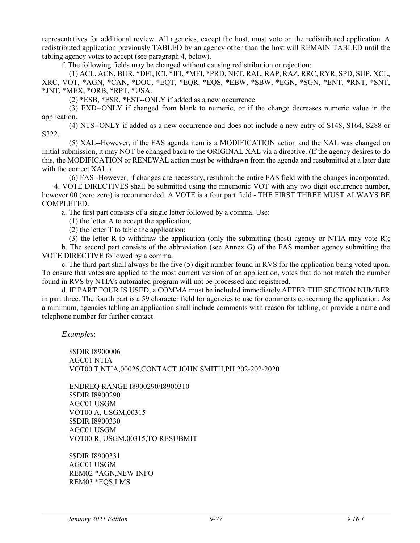representatives for additional review. All agencies, except the host, must vote on the redistributed application. A redistributed application previously TABLED by an agency other than the host will REMAIN TABLED until the tabling agency votes to accept (see paragraph 4, below).

f. The following fields may be changed without causing redistribution or rejection:

(1) ACL, ACN, BUR, \*DFI, ICI, \*IFI, \*MFI, \*PRD, NET, RAL, RAP, RAZ, RRC, RYR, SPD, SUP, XCL, XRC, VOT, \*AGN, \*CAN, \*DOC, \*EQT, \*EQR, \*EQS, \*EBW, \*SBW, \*EGN, \*SGN, \*ENT, \*RNT, \*SNT, \*JNT, \*MEX, \*ORB, \*RPT, \*USA.

(2) \*ESB, \*ESR, \*EST--ONLY if added as a new occurrence.

(3) EXD--ONLY if changed from blank to numeric, or if the change decreases numeric value in the application.

(4) NTS--ONLY if added as a new occurrence and does not include a new entry of S148, S164, S288 or S322.

(5) XAL--However, if the FAS agenda item is a MODIFICATION action and the XAL was changed on initial submission, it may NOT be changed back to the ORIGINAL XAL via a directive. (If the agency desires to do this, the MODIFICATION or RENEWAL action must be withdrawn from the agenda and resubmitted at a later date with the correct XAL.)

(6) FAS--However, if changes are necessary, resubmit the entire FAS field with the changes incorporated.

4. VOTE DIRECTIVES shall be submitted using the mnemonic VOT with any two digit occurrence number, however 00 (zero zero) is recommended. A VOTE is a four part field - THE FIRST THREE MUST ALWAYS BE COMPLETED.

a. The first part consists of a single letter followed by a comma. Use:

(1) the letter A to accept the application;

(2) the letter T to table the application;

(3) the letter R to withdraw the application (only the submitting (host) agency or NTIA may vote R); b. The second part consists of the abbreviation (see Annex G) of the FAS member agency submitting the VOTE DIRECTIVE followed by a comma.

c. The third part shall always be the five (5) digit number found in RVS for the application being voted upon. To ensure that votes are applied to the most current version of an application, votes that do not match the number found in RVS by NTIA's automated program will not be processed and registered.

d. IF PART FOUR IS USED, a COMMA must be included immediately AFTER THE SECTION NUMBER in part three. The fourth part is a 59 character field for agencies to use for comments concerning the application. As a minimum, agencies tabling an application shall include comments with reason for tabling, or provide a name and telephone number for further contact.

*Examples*:

\$\$DIR I8900006 AGC01 NTIA VOT00 T,NTIA,00025,CONTACT JOHN SMITH,PH 202-202-2020

ENDREQ RANGE I8900290/I8900310 \$\$DIR I8900290 AGC01 USGM VOT00 A, USGM,00315 \$\$DIR I8900330 AGC01 USGM VOT00 R, USGM,00315,TO RESUBMIT

\$\$DIR I8900331 AGC01 USGM REM02 \*AGN,NEW INFO REM03 \*EQS,LMS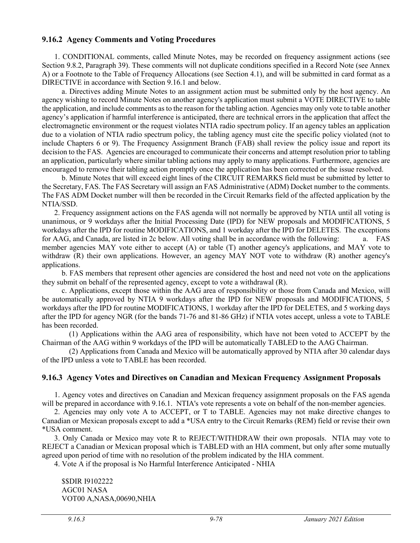## **9.16.2 Agency Comments and Voting Procedures**

1. CONDITIONAL comments, called Minute Notes, may be recorded on frequency assignment actions (see Section 9.8.2, Paragraph 39). These comments will not duplicate conditions specified in a Record Note (see Annex A) or a Footnote to the Table of Frequency Allocations (see Section 4.1), and will be submitted in card format as a DIRECTIVE in accordance with Section 9.16.1 and below.

a. Directives adding Minute Notes to an assignment action must be submitted only by the host agency. An agency wishing to record Minute Notes on another agency's application must submit a VOTE DIRECTIVE to table the application, and include comments as to the reason for the tabling action. Agencies may only vote to table another agency's application if harmful interference is anticipated, there are technical errors in the application that affect the electromagnetic environment or the request violates NTIA radio spectrum policy. If an agency tables an application due to a violation of NTIA radio spectrum policy, the tabling agency must cite the specific policy violated (not to include Chapters 6 or 9). The Frequency Assignment Branch (FAB) shall review the policy issue and report its decision to the FAS. Agencies are encouraged to communicate their concerns and attempt resolution prior to tabling an application, particularly where similar tabling actions may apply to many applications. Furthermore, agencies are encouraged to remove their tabling action promptly once the application has been corrected or the issue resolved.

b. Minute Notes that will exceed eight lines of the CIRCUIT REMARKS field must be submitted by letter to the Secretary, FAS. The FAS Secretary will assign an FAS Administrative (ADM) Docket number to the comments. The FAS ADM Docket number will then be recorded in the Circuit Remarks field of the affected application by the NTIA/SSD.

2. Frequency assignment actions on the FAS agenda will not normally be approved by NTIA until all voting is unanimous, or 9 workdays after the Initial Processing Date (IPD) for NEW proposals and MODIFICATIONS, 5 workdays after the IPD for routine MODIFICATIONS, and 1 workday after the IPD for DELETES. The exceptions for AAG, and Canada, are listed in 2c below. All voting shall be in accordance with the following: a. FAS member agencies MAY vote either to accept (A) or table (T) another agency's applications, and MAY vote to withdraw (R) their own applications. However, an agency MAY NOT vote to withdraw (R) another agency's applications.

b. FAS members that represent other agencies are considered the host and need not vote on the applications they submit on behalf of the represented agency, except to vote a withdrawal (R).

c. Applications, except those within the AAG area of responsibility or those from Canada and Mexico, will be automatically approved by NTIA 9 workdays after the IPD for NEW proposals and MODIFICATIONS, 5 workdays after the IPD for routine MODIFICATIONS, 1 workday after the IPD for DELETES, and 5 working days after the IPD for agency NGR (for the bands 71-76 and 81-86 GHz) if NTIA votes accept, unless a vote to TABLE has been recorded.

(1) Applications within the AAG area of responsibility, which have not been voted to ACCEPT by the Chairman of the AAG within 9 workdays of the IPD will be automatically TABLED to the AAG Chairman.

(2) Applications from Canada and Mexico will be automatically approved by NTIA after 30 calendar days of the IPD unless a vote to TABLE has been recorded.

#### **9.16.3 Agency Votes and Directives on Canadian and Mexican Frequency Assignment Proposals**

1. Agency votes and directives on Canadian and Mexican frequency assignment proposals on the FAS agenda will be prepared in accordance with 9.16.1. NTIA's vote represents a vote on behalf of the non-member agencies.

2. Agencies may only vote A to ACCEPT, or T to TABLE. Agencies may not make directive changes to Canadian or Mexican proposals except to add a \*USA entry to the Circuit Remarks (REM) field or revise their own \*USA comment.

3. Only Canada or Mexico may vote R to REJECT/WITHDRAW their own proposals. NTIA may vote to REJECT a Canadian or Mexican proposal which is TABLED with an HIA comment, but only after some mutually agreed upon period of time with no resolution of the problem indicated by the HIA comment.

4. Vote A if the proposal is No Harmful Interference Anticipated - NHIA

\$\$DIR I9102222 AGC01 NASA VOT00 A,NASA,00690,NHIA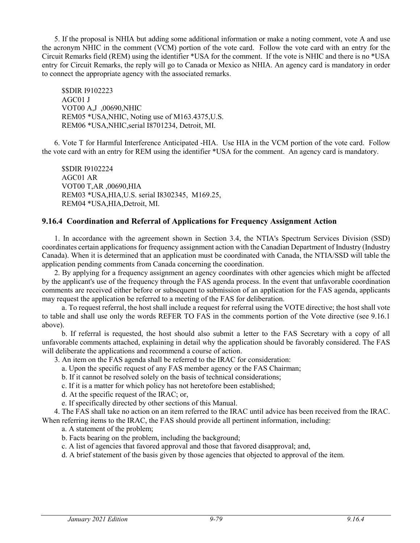5. If the proposal is NHIA but adding some additional information or make a noting comment, vote A and use the acronym NHIC in the comment (VCM) portion of the vote card. Follow the vote card with an entry for the Circuit Remarks field (REM) using the identifier \*USA for the comment. If the vote is NHIC and there is no \*USA entry for Circuit Remarks, the reply will go to Canada or Mexico as NHIA. An agency card is mandatory in order to connect the appropriate agency with the associated remarks.

\$\$DIR I9102223 AGC01 J VOT00 A,J ,00690,NHIC REM05 \*USA,NHIC, Noting use of M163.4375,U.S. REM06 \*USA,NHIC,serial I8701234, Detroit, MI.

6. Vote T for Harmful Interference Anticipated -HIA. Use HIA in the VCM portion of the vote card. Follow the vote card with an entry for REM using the identifier \*USA for the comment. An agency card is mandatory.

\$\$DIR I9102224 AGC01 AR VOT00 T,AR ,00690,HIA REM03 \*USA,HIA,U.S. serial I8302345, M169.25, REM04 \*USA,HIA,Detroit, MI.

#### **9.16.4 Coordination and Referral of Applications for Frequency Assignment Action**

1. In accordance with the agreement shown in Section 3.4, the NTIA's Spectrum Services Division (SSD) coordinates certain applications for frequency assignment action with the Canadian Department of Industry (Industry Canada). When it is determined that an application must be coordinated with Canada, the NTIA/SSD will table the application pending comments from Canada concerning the coordination.

2. By applying for a frequency assignment an agency coordinates with other agencies which might be affected by the applicant's use of the frequency through the FAS agenda process. In the event that unfavorable coordination comments are received either before or subsequent to submission of an application for the FAS agenda, applicants may request the application be referred to a meeting of the FAS for deliberation.

a. To request referral, the host shall include a request for referral using the VOTE directive; the host shall vote to table and shall use only the words REFER TO FAS in the comments portion of the Vote directive (see 9.16.1 above).

b. If referral is requested, the host should also submit a letter to the FAS Secretary with a copy of all unfavorable comments attached, explaining in detail why the application should be favorably considered. The FAS will deliberate the applications and recommend a course of action.

3. An item on the FAS agenda shall be referred to the IRAC for consideration:

- a. Upon the specific request of any FAS member agency or the FAS Chairman;
- b. If it cannot be resolved solely on the basis of technical considerations;
- c. If it is a matter for which policy has not heretofore been established;
- d. At the specific request of the IRAC; or,

e. If specifically directed by other sections of this Manual.

4. The FAS shall take no action on an item referred to the IRAC until advice has been received from the IRAC. When referring items to the IRAC, the FAS should provide all pertinent information, including:

a. A statement of the problem;

- b. Facts bearing on the problem, including the background;
- c. A list of agencies that favored approval and those that favored disapproval; and,

d. A brief statement of the basis given by those agencies that objected to approval of the item.